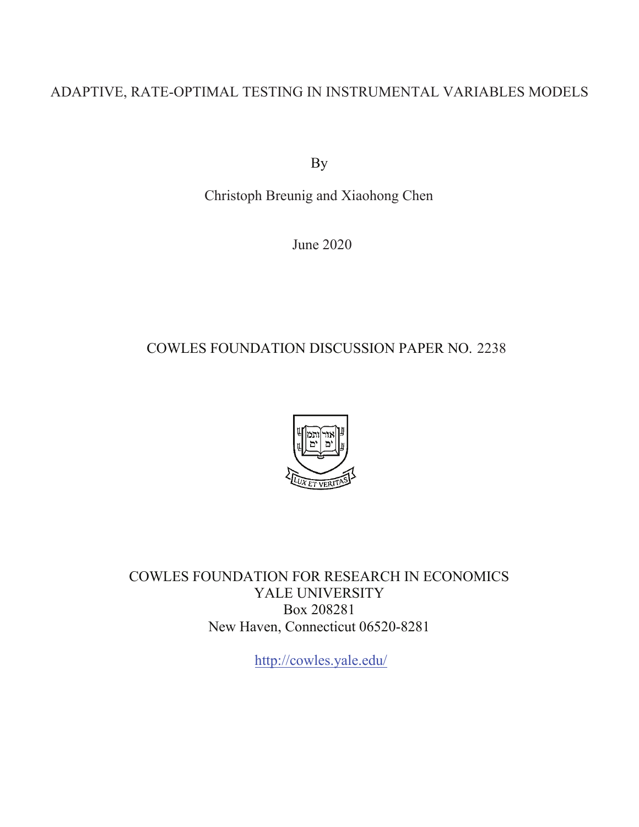### ADAPTIVE, RATE-OPTIMAL TESTING IN INSTRUMENTAL VARIABLES MODELS

By

Christoph Breunig and Xiaohong Chen

June 2020

### COWLES FOUNDATION DISCUSSION PAPER NO. 2238



COWLES FOUNDATION FOR RESEARCH IN ECONOMICS YALE UNIVERSITY Box 208281 New Haven, Connecticut 06520-8281

<http://cowles.yale.edu>/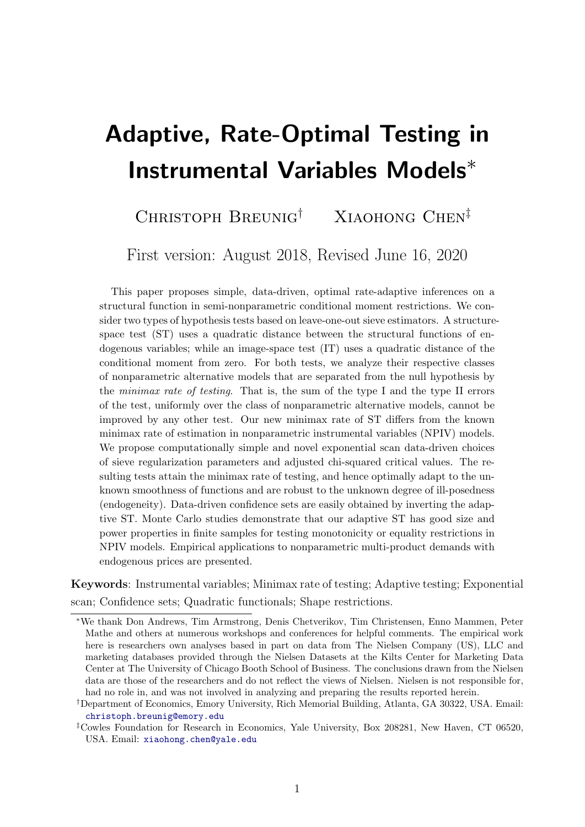# <span id="page-1-0"></span>Adaptive, Rate-Optimal Testing in Instrumental Variables Models<sup>∗</sup>

### CHRISTOPH BREUNIG<sup>†</sup> XIAOHONG CHEN<sup>‡</sup>

First version: August 2018, Revised June 16, 2020

This paper proposes simple, data-driven, optimal rate-adaptive inferences on a structural function in semi-nonparametric conditional moment restrictions. We consider two types of hypothesis tests based on leave-one-out sieve estimators. A structurespace test (ST) uses a quadratic distance between the structural functions of endogenous variables; while an image-space test (IT) uses a quadratic distance of the conditional moment from zero. For both tests, we analyze their respective classes of nonparametric alternative models that are separated from the null hypothesis by the minimax rate of testing. That is, the sum of the type I and the type II errors of the test, uniformly over the class of nonparametric alternative models, cannot be improved by any other test. Our new minimax rate of ST differs from the known minimax rate of estimation in nonparametric instrumental variables (NPIV) models. We propose computationally simple and novel exponential scan data-driven choices of sieve regularization parameters and adjusted chi-squared critical values. The resulting tests attain the minimax rate of testing, and hence optimally adapt to the unknown smoothness of functions and are robust to the unknown degree of ill-posedness (endogeneity). Data-driven confidence sets are easily obtained by inverting the adaptive ST. Monte Carlo studies demonstrate that our adaptive ST has good size and power properties in finite samples for testing monotonicity or equality restrictions in NPIV models. Empirical applications to nonparametric multi-product demands with endogenous prices are presented.

Keywords: Instrumental variables; Minimax rate of testing; Adaptive testing; Exponential scan; Confidence sets; Quadratic functionals; Shape restrictions.

<sup>∗</sup>We thank Don Andrews, Tim Armstrong, Denis Chetverikov, Tim Christensen, Enno Mammen, Peter Mathe and others at numerous workshops and conferences for helpful comments. The empirical work here is researchers own analyses based in part on data from The Nielsen Company (US), LLC and marketing databases provided through the Nielsen Datasets at the Kilts Center for Marketing Data Center at The University of Chicago Booth School of Business. The conclusions drawn from the Nielsen data are those of the researchers and do not reflect the views of Nielsen. Nielsen is not responsible for, had no role in, and was not involved in analyzing and preparing the results reported herein.

<sup>†</sup>Department of Economics, Emory University, Rich Memorial Building, Atlanta, GA 30322, USA. Email: [christoph.breunig@emory.edu]( christoph.breunig@emory.edu)

<sup>‡</sup>Cowles Foundation for Research in Economics, Yale University, Box 208281, New Haven, CT 06520, USA. Email: <xiaohong.chen@yale.edu>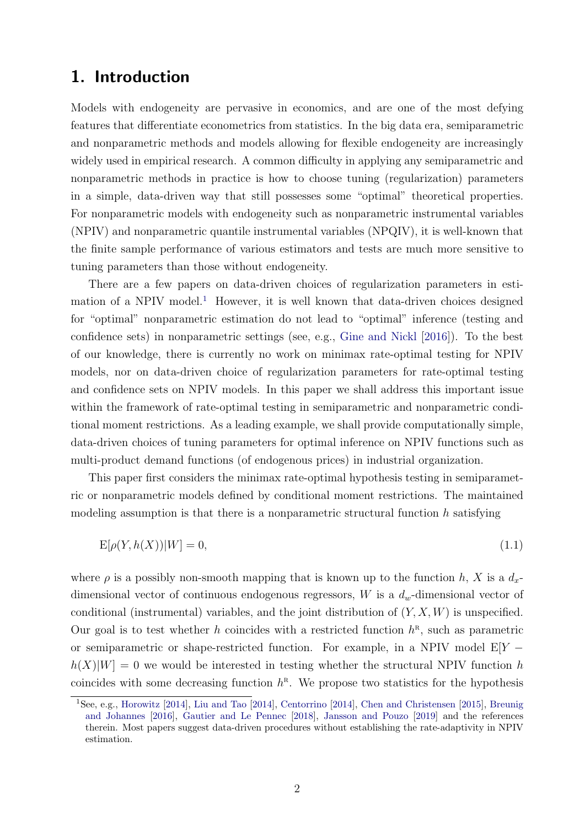### 1. Introduction

Models with endogeneity are pervasive in economics, and are one of the most defying features that differentiate econometrics from statistics. In the big data era, semiparametric and nonparametric methods and models allowing for flexible endogeneity are increasingly widely used in empirical research. A common difficulty in applying any semiparametric and nonparametric methods in practice is how to choose tuning (regularization) parameters in a simple, data-driven way that still possesses some "optimal" theoretical properties. For nonparametric models with endogeneity such as nonparametric instrumental variables (NPIV) and nonparametric quantile instrumental variables (NPQIV), it is well-known that the finite sample performance of various estimators and tests are much more sensitive to tuning parameters than those without endogeneity.

There are a few papers on data-driven choices of regularization parameters in esti-mation of a NPIV model.<sup>[1](#page-2-0)</sup> However, it is well known that data-driven choices designed for "optimal" nonparametric estimation do not lead to "optimal" inference (testing and confidence sets) in nonparametric settings (see, e.g., [Gine and Nickl](#page-35-0) [\[2016\]](#page-35-0)). To the best of our knowledge, there is currently no work on minimax rate-optimal testing for NPIV models, nor on data-driven choice of regularization parameters for rate-optimal testing and confidence sets on NPIV models. In this paper we shall address this important issue within the framework of rate-optimal testing in semiparametric and nonparametric conditional moment restrictions. As a leading example, we shall provide computationally simple, data-driven choices of tuning parameters for optimal inference on NPIV functions such as multi-product demand functions (of endogenous prices) in industrial organization.

This paper first considers the minimax rate-optimal hypothesis testing in semiparametric or nonparametric models defined by conditional moment restrictions. The maintained modeling assumption is that there is a nonparametric structural function  $h$  satisfying

<span id="page-2-1"></span>
$$
E[\rho(Y, h(X))|W] = 0,\t\t(1.1)
$$

where  $\rho$  is a possibly non-smooth mapping that is known up to the function h, X is a  $d_x$ dimensional vector of continuous endogenous regressors,  $W$  is a  $d_w$ -dimensional vector of conditional (instrumental) variables, and the joint distribution of  $(Y, X, W)$  is unspecified. Our goal is to test whether h coincides with a restricted function  $h^R$ , such as parametric or semiparametric or shape-restricted function. For example, in a NPIV model  $E[Y$  $h(X)|W| = 0$  we would be interested in testing whether the structural NPIV function h coincides with some decreasing function  $h^R$ . We propose two statistics for the hypothesis

<span id="page-2-0"></span><sup>1</sup>See, e.g., [Horowitz](#page-35-1) [\[2014\]](#page-35-1), [Liu and Tao](#page-36-0) [\[2014\]](#page-36-0), [Centorrino](#page-34-0) [\[2014\]](#page-34-0), [Chen and Christensen](#page-34-1) [\[2015\]](#page-34-1), [Breunig](#page-34-2) [and Johannes](#page-34-2) [\[2016\]](#page-34-2), [Gautier and Le Pennec](#page-35-2) [\[2018\]](#page-35-2), [Jansson and Pouzo](#page-35-3) [\[2019\]](#page-35-3) and the references therein. Most papers suggest data-driven procedures without establishing the rate-adaptivity in NPIV estimation.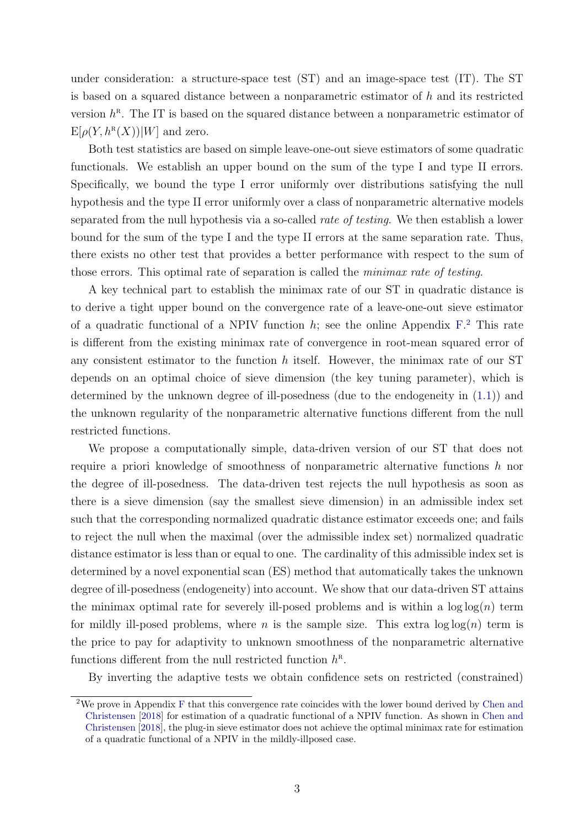under consideration: a structure-space test (ST) and an image-space test (IT). The ST is based on a squared distance between a nonparametric estimator of h and its restricted version  $h^R$ . The IT is based on the squared distance between a nonparametric estimator of  $\mathbb{E}[\rho(Y, h^{\mathfrak{n}}(X))|W]$  and zero.

Both test statistics are based on simple leave-one-out sieve estimators of some quadratic functionals. We establish an upper bound on the sum of the type I and type II errors. Specifically, we bound the type I error uniformly over distributions satisfying the null hypothesis and the type II error uniformly over a class of nonparametric alternative models separated from the null hypothesis via a so-called rate of testing. We then establish a lower bound for the sum of the type I and the type II errors at the same separation rate. Thus, there exists no other test that provides a better performance with respect to the sum of those errors. This optimal rate of separation is called the minimax rate of testing.

A key technical part to establish the minimax rate of our ST in quadratic distance is to derive a tight upper bound on the convergence rate of a leave-one-out sieve estimator of a quadratic functional of a NPIV function  $h$ ; see the online Appendix  $F<sup>2</sup>$  $F<sup>2</sup>$  $F<sup>2</sup>$ . This rate is different from the existing minimax rate of convergence in root-mean squared error of any consistent estimator to the function  $h$  itself. However, the minimax rate of our ST depends on an optimal choice of sieve dimension (the key tuning parameter), which is determined by the unknown degree of ill-posedness (due to the endogeneity in [\(1.1\)](#page-2-1)) and the unknown regularity of the nonparametric alternative functions different from the null restricted functions.

We propose a computationally simple, data-driven version of our ST that does not require a priori knowledge of smoothness of nonparametric alternative functions  $h$  nor the degree of ill-posedness. The data-driven test rejects the null hypothesis as soon as there is a sieve dimension (say the smallest sieve dimension) in an admissible index set such that the corresponding normalized quadratic distance estimator exceeds one; and fails to reject the null when the maximal (over the admissible index set) normalized quadratic distance estimator is less than or equal to one. The cardinality of this admissible index set is determined by a novel exponential scan (ES) method that automatically takes the unknown degree of ill-posedness (endogeneity) into account. We show that our data-driven ST attains the minimax optimal rate for severely ill-posed problems and is within a  $\log \log(n)$  term for mildly ill-posed problems, where n is the sample size. This extra  $log log(n)$  term is the price to pay for adaptivity to unknown smoothness of the nonparametric alternative functions different from the null restricted function  $h^{\text{R}}$ .

By inverting the adaptive tests we obtain confidence sets on restricted (constrained)

<span id="page-3-0"></span><sup>2</sup>We prove in Appendix [F](#page-1-0) that this convergence rate coincides with the lower bound derived by [Chen and](#page-34-3) [Christensen](#page-34-3) [\[2018\]](#page-34-3) for estimation of a quadratic functional of a NPIV function. As shown in [Chen and](#page-34-3) [Christensen](#page-34-3) [\[2018\]](#page-34-3), the plug-in sieve estimator does not achieve the optimal minimax rate for estimation of a quadratic functional of a NPIV in the mildly-illposed case.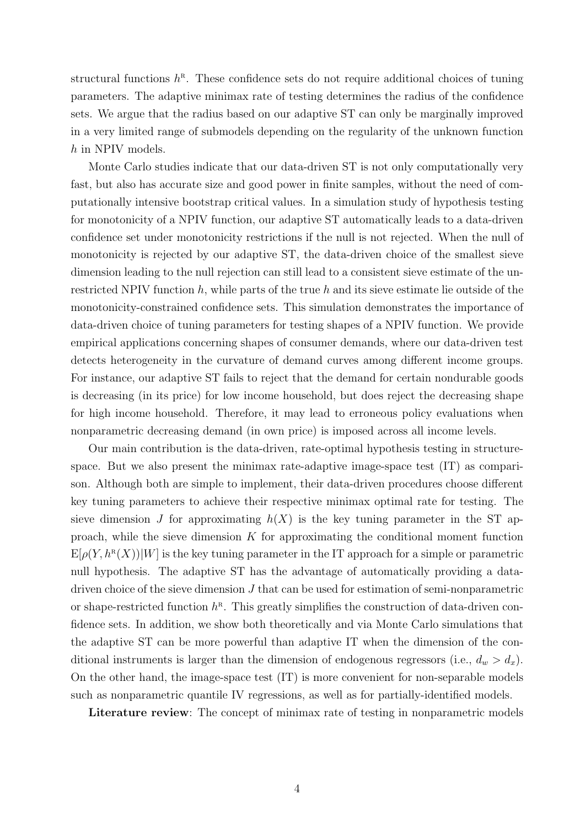structural functions  $h^R$ . These confidence sets do not require additional choices of tuning parameters. The adaptive minimax rate of testing determines the radius of the confidence sets. We argue that the radius based on our adaptive ST can only be marginally improved in a very limited range of submodels depending on the regularity of the unknown function h in NPIV models.

Monte Carlo studies indicate that our data-driven ST is not only computationally very fast, but also has accurate size and good power in finite samples, without the need of computationally intensive bootstrap critical values. In a simulation study of hypothesis testing for monotonicity of a NPIV function, our adaptive ST automatically leads to a data-driven confidence set under monotonicity restrictions if the null is not rejected. When the null of monotonicity is rejected by our adaptive ST, the data-driven choice of the smallest sieve dimension leading to the null rejection can still lead to a consistent sieve estimate of the unrestricted NPIV function  $h$ , while parts of the true  $h$  and its sieve estimate lie outside of the monotonicity-constrained confidence sets. This simulation demonstrates the importance of data-driven choice of tuning parameters for testing shapes of a NPIV function. We provide empirical applications concerning shapes of consumer demands, where our data-driven test detects heterogeneity in the curvature of demand curves among different income groups. For instance, our adaptive ST fails to reject that the demand for certain nondurable goods is decreasing (in its price) for low income household, but does reject the decreasing shape for high income household. Therefore, it may lead to erroneous policy evaluations when nonparametric decreasing demand (in own price) is imposed across all income levels.

Our main contribution is the data-driven, rate-optimal hypothesis testing in structurespace. But we also present the minimax rate-adaptive image-space test (IT) as comparison. Although both are simple to implement, their data-driven procedures choose different key tuning parameters to achieve their respective minimax optimal rate for testing. The sieve dimension J for approximating  $h(X)$  is the key tuning parameter in the ST approach, while the sieve dimension  $K$  for approximating the conditional moment function  $E[\rho(Y, h^{R}(X))|W]$  is the key tuning parameter in the IT approach for a simple or parametric null hypothesis. The adaptive ST has the advantage of automatically providing a datadriven choice of the sieve dimension  $J$  that can be used for estimation of semi-nonparametric or shape-restricted function  $h^R$ . This greatly simplifies the construction of data-driven confidence sets. In addition, we show both theoretically and via Monte Carlo simulations that the adaptive ST can be more powerful than adaptive IT when the dimension of the conditional instruments is larger than the dimension of endogenous regressors (i.e.,  $d_w > d_x$ ). On the other hand, the image-space test (IT) is more convenient for non-separable models such as nonparametric quantile IV regressions, as well as for partially-identified models.

Literature review: The concept of minimax rate of testing in nonparametric models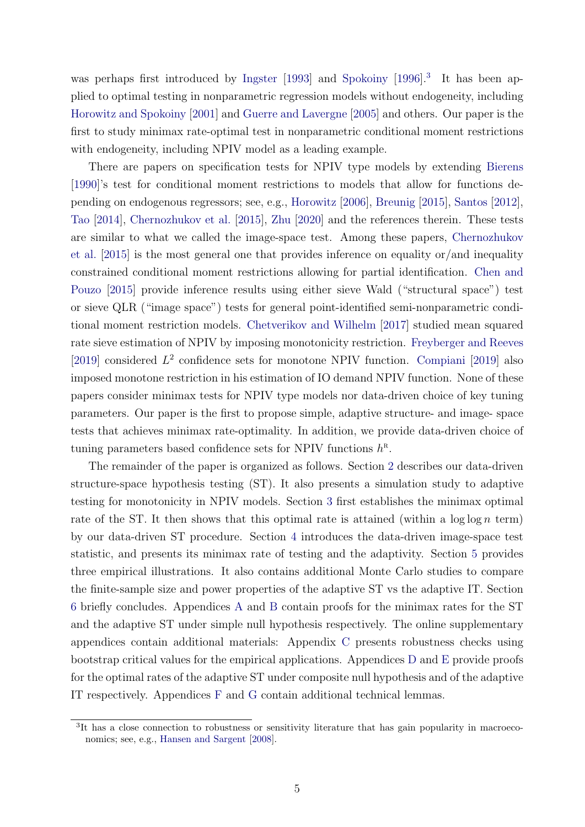was perhaps first introduced by [Ingster](#page-35-4) [\[1993\]](#page-35-4) and [Spokoiny](#page-36-1) [\[1996\]](#page-36-1).<sup>[3](#page-5-0)</sup> It has been applied to optimal testing in nonparametric regression models without endogeneity, including [Horowitz and Spokoiny](#page-35-5) [\[2001\]](#page-35-5) and [Guerre and Lavergne](#page-35-6) [\[2005\]](#page-35-6) and others. Our paper is the first to study minimax rate-optimal test in nonparametric conditional moment restrictions with endogeneity, including NPIV model as a leading example.

There are papers on specification tests for NPIV type models by extending [Bierens](#page-33-0) [\[1990\]](#page-33-0)'s test for conditional moment restrictions to models that allow for functions depending on endogenous regressors; see, e.g., [Horowitz](#page-35-7) [\[2006\]](#page-35-7), [Breunig](#page-34-4) [\[2015\]](#page-34-4), [Santos](#page-36-2) [\[2012\]](#page-36-2), [Tao](#page-36-3) [\[2014\]](#page-36-3), [Chernozhukov et al.](#page-34-5) [\[2015\]](#page-34-5), [Zhu](#page-36-4) [\[2020\]](#page-36-4) and the references therein. These tests are similar to what we called the image-space test. Among these papers, [Chernozhukov](#page-34-5) [et al.](#page-34-5) [\[2015\]](#page-34-5) is the most general one that provides inference on equality or/and inequality constrained conditional moment restrictions allowing for partial identification. [Chen and](#page-34-6) [Pouzo](#page-34-6) [\[2015\]](#page-34-6) provide inference results using either sieve Wald ("structural space") test or sieve QLR ("image space") tests for general point-identified semi-nonparametric conditional moment restriction models. [Chetverikov and Wilhelm](#page-34-7) [\[2017\]](#page-34-7) studied mean squared rate sieve estimation of NPIV by imposing monotonicity restriction. [Freyberger and Reeves](#page-35-8) [\[2019\]](#page-34-8) considered  $L^2$  confidence sets for monotone NPIV function. [Compiani](#page-34-8) [2019] also imposed monotone restriction in his estimation of IO demand NPIV function. None of these papers consider minimax tests for NPIV type models nor data-driven choice of key tuning parameters. Our paper is the first to propose simple, adaptive structure- and image- space tests that achieves minimax rate-optimality. In addition, we provide data-driven choice of tuning parameters based confidence sets for NPIV functions  $h^R$ .

The remainder of the paper is organized as follows. Section [2](#page-6-0) describes our data-driven structure-space hypothesis testing (ST). It also presents a simulation study to adaptive testing for monotonicity in NPIV models. Section [3](#page-13-0) first establishes the minimax optimal rate of the ST. It then shows that this optimal rate is attained (within a  $\log \log n$  term) by our data-driven ST procedure. Section [4](#page-22-0) introduces the data-driven image-space test statistic, and presents its minimax rate of testing and the adaptivity. Section [5](#page-25-0) provides three empirical illustrations. It also contains additional Monte Carlo studies to compare the finite-sample size and power properties of the adaptive ST vs the adaptive IT. Section [6](#page-33-1) briefly concludes. Appendices [A](#page-36-5) and [B](#page-40-0) contain proofs for the minimax rates for the ST and the adaptive ST under simple null hypothesis respectively. The online supplementary appendices contain additional materials: Appendix [C](#page-1-0) presents robustness checks using bootstrap critical values for the empirical applications. Appendices [D](#page-1-0) and [E](#page-1-0) provide proofs for the optimal rates of the adaptive ST under composite null hypothesis and of the adaptive IT respectively. Appendices [F](#page-1-0) and [G](#page-1-0) contain additional technical lemmas.

<span id="page-5-0"></span><sup>&</sup>lt;sup>3</sup>It has a close connection to robustness or sensitivity literature that has gain popularity in macroeconomics; see, e.g., [Hansen and Sargent](#page-35-9) [\[2008\]](#page-35-9).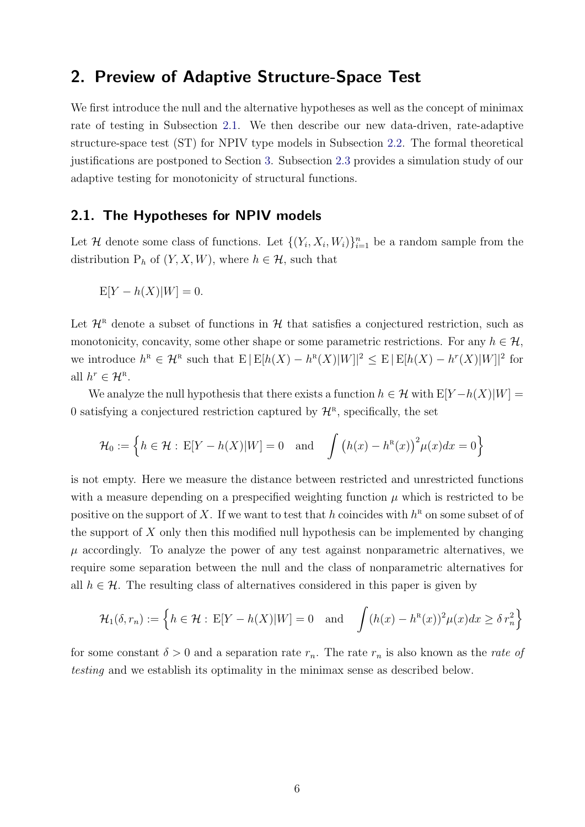### <span id="page-6-0"></span>2. Preview of Adaptive Structure-Space Test

We first introduce the null and the alternative hypotheses as well as the concept of minimax rate of testing in Subsection [2.1.](#page-6-1) We then describe our new data-driven, rate-adaptive structure-space test (ST) for NPIV type models in Subsection [2.2.](#page-7-0) The formal theoretical justifications are postponed to Section [3.](#page-13-0) Subsection [2.3](#page-9-0) provides a simulation study of our adaptive testing for monotonicity of structural functions.

#### <span id="page-6-1"></span>2.1. The Hypotheses for NPIV models

Let H denote some class of functions. Let  $\{(Y_i, X_i, W_i)\}_{i=1}^n$  be a random sample from the distribution  $P_h$  of  $(Y, X, W)$ , where  $h \in \mathcal{H}$ , such that

$$
E[Y - h(X)|W] = 0.
$$

Let  $\mathcal{H}^R$  denote a subset of functions in H that satisfies a conjectured restriction, such as monotonicity, concavity, some other shape or some parametric restrictions. For any  $h \in \mathcal{H}$ , we introduce  $h^{\text{\tiny R}} \in \mathcal{H}^{\text{\tiny R}}$  such that  $E |E[h(X) - h^{\text{\tiny R}}(X)|W]|^2 \leq E |E[h(X) - h^{\text{\tiny T}}(X)|W]|^2$  for all  $h^r \in \mathcal{H}^{\scriptscriptstyle\mathrm{R}}$ .

We analyze the null hypothesis that there exists a function  $h \in \mathcal{H}$  with  $E[Y-h(X)|W] =$ 0 satisfying a conjectured restriction captured by  $\mathcal{H}^R$ , specifically, the set

$$
\mathcal{H}_0 := \left\{ h \in \mathcal{H} : E[Y - h(X)|W] = 0 \quad \text{and} \quad \int \left( h(x) - h^R(x) \right)^2 \mu(x) dx = 0 \right\}
$$

is not empty. Here we measure the distance between restricted and unrestricted functions with a measure depending on a prespecified weighting function  $\mu$  which is restricted to be positive on the support of X. If we want to test that h coincides with  $h^R$  on some subset of of the support of  $X$  only then this modified null hypothesis can be implemented by changing  $\mu$  accordingly. To analyze the power of any test against nonparametric alternatives, we require some separation between the null and the class of nonparametric alternatives for all  $h \in \mathcal{H}$ . The resulting class of alternatives considered in this paper is given by

$$
\mathcal{H}_1(\delta, r_n) := \left\{ h \in \mathcal{H} : E[Y - h(X)|W] = 0 \quad \text{and} \quad \int (h(x) - h^R(x))^2 \mu(x) dx \ge \delta r_n^2 \right\}
$$

for some constant  $\delta > 0$  and a separation rate  $r_n$ . The rate  $r_n$  is also known as the *rate of* testing and we establish its optimality in the minimax sense as described below.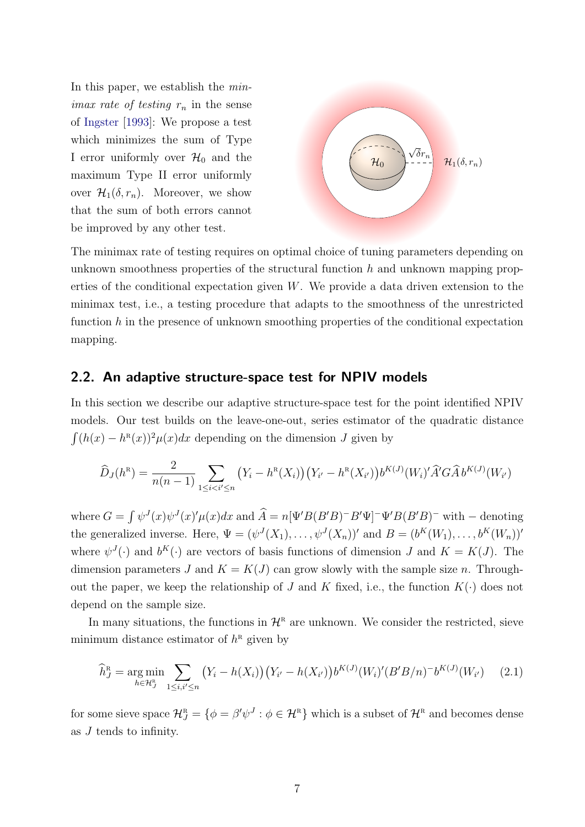In this paper, we establish the min*imax rate of testing*  $r_n$  in the sense of [Ingster](#page-35-4) [\[1993\]](#page-35-4): We propose a test which minimizes the sum of Type I error uniformly over  $\mathcal{H}_0$  and the maximum Type II error uniformly over  $\mathcal{H}_1(\delta, r_n)$ . Moreover, we show that the sum of both errors cannot be improved by any other test.



The minimax rate of testing requires on optimal choice of tuning parameters depending on unknown smoothness properties of the structural function  $h$  and unknown mapping properties of the conditional expectation given  $W$ . We provide a data driven extension to the minimax test, i.e., a testing procedure that adapts to the smoothness of the unrestricted function  $h$  in the presence of unknown smoothing properties of the conditional expectation mapping.

#### <span id="page-7-0"></span>2.2. An adaptive structure-space test for NPIV models

In this section we describe our adaptive structure-space test for the point identified NPIV models. Our test builds on the leave-one-out, series estimator of the quadratic distance  $\int (h(x) - h^{R}(x))^{2} \mu(x) dx$  depending on the dimension J given by

$$
\widehat{D}_J(h^{\rm R}) = \frac{2}{n(n-1)} \sum_{1 \leq i < i' \leq n} \left( Y_i - h^{\rm R}(X_i) \right) \left( Y_{i'} - h^{\rm R}(X_{i'}) \right) b^{K(J)}(W_i)' \widehat{A}' G \widehat{A} b^{K(J)}(W_{i'})
$$

where  $G = \int \psi^J(x) \psi^J(x) \psi(x) dx$  and  $\hat{A} = n[\Psi'B(B'B)^{-}B'\Psi]^{-} \Psi'B(B'B)^{-}$  with  $-$  denoting the generalized inverse. Here,  $\Psi = (\psi^J(X_1), \dots, \psi^J(X_n))'$  and  $B = (b^K(W_1), \dots, b^K(W_n))'$ where  $\psi^J(\cdot)$  and  $b^K(\cdot)$  are vectors of basis functions of dimension J and  $K = K(J)$ . The dimension parameters J and  $K = K(J)$  can grow slowly with the sample size n. Throughout the paper, we keep the relationship of J and K fixed, i.e., the function  $K(\cdot)$  does not depend on the sample size.

In many situations, the functions in  $\mathcal{H}^R$  are unknown. We consider the restricted, sieve minimum distance estimator of  $h^{\text{R}}$  given by

<span id="page-7-1"></span>
$$
\widehat{h}_J^{\mathcal{R}} = \underset{h \in \mathcal{H}_J^{\mathcal{R}}}{\arg \min} \sum_{1 \le i, i' \le n} \left( Y_i - h(X_i) \right) \left( Y_{i'} - h(X_{i'}) \right) b^{K(J)} (W_i)' (B'B/n)^{-} b^{K(J)} (W_{i'}) \tag{2.1}
$$

for some sieve space  $\mathcal{H}_{J}^{\text{\tiny R}} = \{ \phi = \beta' \psi^{J} : \phi \in \mathcal{H}^{\text{\tiny R}} \}$  which is a subset of  $\mathcal{H}^{\text{\tiny R}}$  and becomes dense as J tends to infinity.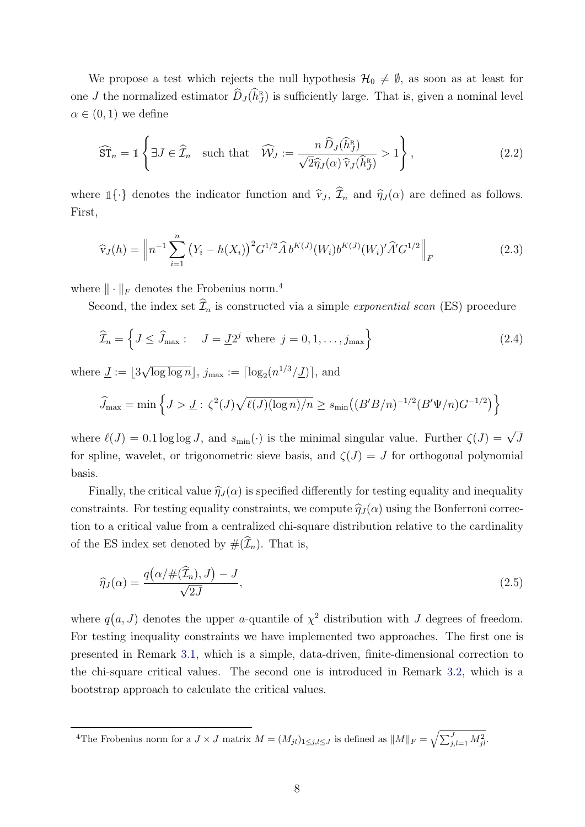We propose a test which rejects the null hypothesis  $\mathcal{H}_0 \neq \emptyset$ , as soon as at least for one *J* the normalized estimator  $\widehat{D}_J(\widehat{h}_J^{\scriptscriptstyle\mathrm{R}})$  $J<sup>R</sup>$ ) is sufficiently large. That is, given a nominal level  $\alpha \in (0,1)$  we define

<span id="page-8-1"></span>
$$
\widehat{\mathrm{ST}}_n = \mathbb{1} \left\{ \exists J \in \widehat{\mathcal{I}}_n \quad \text{such that} \quad \widehat{\mathcal{W}}_J := \frac{n \,\widehat{D}_J(\widehat{h}_J^{\mathrm{R}})}{\sqrt{2} \widehat{\eta}_J(\alpha) \,\widehat{\mathrm{v}}_J(\widehat{h}_J^{\mathrm{R}})} > 1 \right\},\tag{2.2}
$$

where  $\mathbb{1}\{\cdot\}$  denotes the indicator function and  $\hat{\mathbf{v}}_J$ ,  $\hat{\mathcal{I}}_n$  and  $\hat{\eta}_J(\alpha)$  are defined as follows. First,

$$
\widehat{\mathbf{v}}_J(h) = \left\| n^{-1} \sum_{i=1}^n \left( Y_i - h(X_i) \right)^2 G^{1/2} \widehat{A} b^{K(J)}(W_i) b^{K(J)}(W_i)' \widehat{A}' G^{1/2} \right\|_F
$$
\n(2.3)

where  $\|\cdot\|_F$  denotes the Frobenius norm.<sup>[4](#page-8-0)</sup>

Second, the index set  $\widehat{\mathcal{I}}_n$  is constructed via a simple *exponential scan* (ES) procedure

<span id="page-8-2"></span>
$$
\widehat{\mathcal{I}}_n = \left\{ J \le \widehat{J}_{\text{max}} : \quad J = \underline{J} 2^j \text{ where } j = 0, 1, \dots, j_{\text{max}} \right\} \tag{2.4}
$$

where  $\underline{J} := |3$ √  $\overline{\log \log n}$ ,  $j_{\max} := \lceil \log_2(n^{1/3}/\underline{J}) \rceil$ , and

$$
\widehat{J}_{\max} = \min \left\{ J > \underline{J} : \zeta^2(J) \sqrt{\ell(J) (\log n) / n} \ge s_{\min} \big( (B'B/n)^{-1/2} (B'\Psi/n) G^{-1/2} \big) \right\}
$$

where  $\ell(J) = 0.1 \log \log J$ , and  $s_{\min}(\cdot)$  is the minimal singular value. Further  $\zeta(J) = \sqrt{J}$ for spline, wavelet, or trigonometric sieve basis, and  $\zeta(J) = J$  for orthogonal polynomial basis.

Finally, the critical value  $\hat{\eta}_J (\alpha)$  is specified differently for testing equality and inequality constraints. For testing equality constraints, we compute  $\hat{\eta}_J(\alpha)$  using the Bonferroni correction to a critical value from a centralized chi-square distribution relative to the cardinality of the ES index set denoted by  $#(\widehat{\mathcal{I}}_n)$ . That is,

<span id="page-8-3"></span>
$$
\widehat{\eta}_J(\alpha) = \frac{q\big(\alpha/\#(\widehat{\mathcal{I}}_n), J\big) - J}{\sqrt{2J}},\tag{2.5}
$$

where  $q(a, J)$  denotes the upper *a*-quantile of  $\chi^2$  distribution with J degrees of freedom. For testing inequality constraints we have implemented two approaches. The first one is presented in Remark [3.1,](#page-19-0) which is a simple, data-driven, finite-dimensional correction to the chi-square critical values. The second one is introduced in Remark [3.2,](#page-19-1) which is a bootstrap approach to calculate the critical values.

<span id="page-8-0"></span><sup>&</sup>lt;sup>4</sup>The Frobenius norm for a  $J \times J$  matrix  $M = (M_{jl})_{1 \leq j,l \leq J}$  is defined as  $||M||_F = \sqrt{\sum_{j,l=1}^J M_{jl}^2}$ .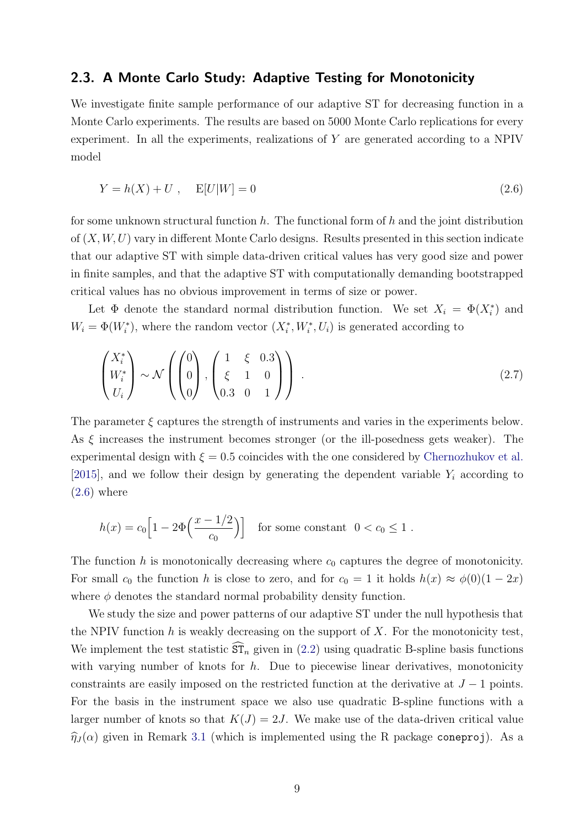#### <span id="page-9-0"></span>2.3. A Monte Carlo Study: Adaptive Testing for Monotonicity

We investigate finite sample performance of our adaptive ST for decreasing function in a Monte Carlo experiments. The results are based on 5000 Monte Carlo replications for every experiment. In all the experiments, realizations of Y are generated according to a NPIV model

<span id="page-9-1"></span>
$$
Y = h(X) + U , \quad E[U|W] = 0 \tag{2.6}
$$

for some unknown structural function  $h$ . The functional form of  $h$  and the joint distribution of  $(X, W, U)$  vary in different Monte Carlo designs. Results presented in this section indicate that our adaptive ST with simple data-driven critical values has very good size and power in finite samples, and that the adaptive ST with computationally demanding bootstrapped critical values has no obvious improvement in terms of size or power.

Let  $\Phi$  denote the standard normal distribution function. We set  $X_i = \Phi(X_i^*)$  and  $W_i = \Phi(W_i^*),$  where the random vector  $(X_i^*, W_i^*, U_i)$  is generated according to

<span id="page-9-2"></span>
$$
\begin{pmatrix} X_i^* \\ W_i^* \\ U_i \end{pmatrix} \sim \mathcal{N} \left( \begin{pmatrix} 0 \\ 0 \\ 0 \end{pmatrix}, \begin{pmatrix} 1 & \xi & 0.3 \\ \xi & 1 & 0 \\ 0.3 & 0 & 1 \end{pmatrix} \right) . \tag{2.7}
$$

The parameter  $\xi$  captures the strength of instruments and varies in the experiments below. As  $\xi$  increases the instrument becomes stronger (or the ill-posedness gets weaker). The experimental design with  $\xi = 0.5$  coincides with the one considered by [Chernozhukov et al.](#page-34-5) [\[2015\]](#page-34-5), and we follow their design by generating the dependent variable  $Y_i$  according to  $(2.6)$  where

$$
h(x) = c_0 \left[ 1 - 2\Phi\left(\frac{x - 1/2}{c_0}\right) \right]
$$
 for some constant  $0 < c_0 \le 1$ .

The function h is monotonically decreasing where  $c_0$  captures the degree of monotonicity. For small  $c_0$  the function h is close to zero, and for  $c_0 = 1$  it holds  $h(x) \approx \phi(0)(1 - 2x)$ where  $\phi$  denotes the standard normal probability density function.

We study the size and power patterns of our adaptive ST under the null hypothesis that the NPIV function  $h$  is weakly decreasing on the support of  $X$ . For the monotonicity test, We implement the test statistic  $\widehat{\text{ST}}_n$  given in [\(2.2\)](#page-8-1) using quadratic B-spline basis functions with varying number of knots for  $h$ . Due to piecewise linear derivatives, monotonicity constraints are easily imposed on the restricted function at the derivative at  $J-1$  points. For the basis in the instrument space we also use quadratic B-spline functions with a larger number of knots so that  $K(J) = 2J$ . We make use of the data-driven critical value  $\hat{\eta}_J(\alpha)$  given in Remark [3.1](#page-19-0) (which is implemented using the R package coneproj). As a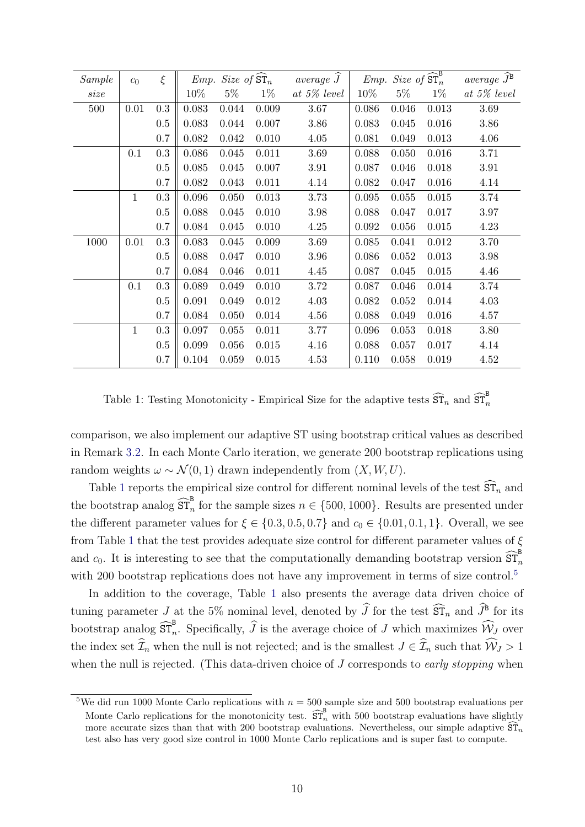| Sample | c <sub>0</sub> | $\xi$     |        |           |       | Emp. Size of $\widehat{\text{ST}}_n$ average $\widehat{J}$ |       |           | $Emp. \; Size \; of \; \widehat{\text{ST}}_n^B$ | $average \overline{\hat{J}^{\mathbf{B}}}$ |
|--------|----------------|-----------|--------|-----------|-------|------------------------------------------------------------|-------|-----------|-------------------------------------------------|-------------------------------------------|
| size   |                |           | $10\%$ | $5\%$     | $1\%$ | at $5\%$ level                                             | 10%   | $5\%$     | $1\%$                                           | at $5\%$ level                            |
| 500    | 0.01           | 0.3       | 0.083  | 0.044     | 0.009 | 3.67                                                       | 0.086 | 0.046     | 0.013                                           | 3.69                                      |
|        |                | 0.5       | 0.083  | 0.044     | 0.007 | 3.86                                                       | 0.083 | 0.045     | 0.016                                           | 3.86                                      |
|        |                | 0.7       | 0.082  | 0.042     | 0.010 | 4.05                                                       | 0.081 | 0.049     | 0.013                                           | 4.06                                      |
|        | 0.1            | $\rm 0.3$ | 0.086  | $0.045\,$ | 0.011 | 3.69                                                       | 0.088 | 0.050     | 0.016                                           | 3.71                                      |
|        |                | 0.5       | 0.085  | 0.045     | 0.007 | 3.91                                                       | 0.087 | 0.046     | 0.018                                           | 3.91                                      |
|        |                | 0.7       | 0.082  | 0.043     | 0.011 | 4.14                                                       | 0.082 | $0.047\,$ | 0.016                                           | 4.14                                      |
|        | $\mathbf{1}$   | $\rm 0.3$ | 0.096  | 0.050     | 0.013 | 3.73                                                       | 0.095 | 0.055     | 0.015                                           | 3.74                                      |
|        |                | 0.5       | 0.088  | 0.045     | 0.010 | $3.98\,$                                                   | 0.088 | 0.047     | 0.017                                           | 3.97                                      |
|        |                | 0.7       | 0.084  | $0.045\,$ | 0.010 | 4.25                                                       | 0.092 | 0.056     | 0.015                                           | 4.23                                      |
| 1000   | 0.01           | $\rm 0.3$ | 0.083  | 0.045     | 0.009 | 3.69                                                       | 0.085 | 0.041     | 0.012                                           | 3.70                                      |
|        |                | 0.5       | 0.088  | 0.047     | 0.010 | 3.96                                                       | 0.086 | 0.052     | 0.013                                           | 3.98                                      |
|        |                | 0.7       | 0.084  | 0.046     | 0.011 | 4.45                                                       | 0.087 | 0.045     | 0.015                                           | 4.46                                      |
|        | 0.1            | 0.3       | 0.089  | 0.049     | 0.010 | 3.72                                                       | 0.087 | 0.046     | 0.014                                           | 3.74                                      |
|        |                | 0.5       | 0.091  | 0.049     | 0.012 | 4.03                                                       | 0.082 | 0.052     | 0.014                                           | 4.03                                      |
|        |                | 0.7       | 0.084  | 0.050     | 0.014 | 4.56                                                       | 0.088 | 0.049     | 0.016                                           | 4.57                                      |
|        | $\mathbf{1}$   | 0.3       | 0.097  | 0.055     | 0.011 | 3.77                                                       | 0.096 | 0.053     | 0.018                                           | 3.80                                      |
|        |                | 0.5       | 0.099  | 0.056     | 0.015 | 4.16                                                       | 0.088 | 0.057     | 0.017                                           | 4.14                                      |
|        |                | 0.7       | 0.104  | 0.059     | 0.015 | 4.53                                                       | 0.110 | 0.058     | 0.019                                           | 4.52                                      |

<span id="page-10-0"></span>Table 1: Testing Monotonicity - Empirical Size for the adaptive tests  $\widehat{\mathrm{ST}}_n$  and  $\widehat{\mathrm{ST}}_n^{\mathrm{B}}$ 

comparison, we also implement our adaptive ST using bootstrap critical values as described in Remark [3.2.](#page-19-1) In each Monte Carlo iteration, we generate 200 bootstrap replications using random weights  $\omega \sim \mathcal{N}(0, 1)$  drawn independently from  $(X, W, U)$ .

Table [1](#page-10-0) reports the empirical size control for different nominal levels of the test  $\widehat{\mathrm{ST}}_n$  and the bootstrap analog  $\widehat{\text{ST}}_n^{\text{B}}$  for the sample sizes  $n \in \{500, 1000\}$ . Results are presented under the different parameter values for  $\xi \in \{0.3, 0.5, 0.7\}$  and  $c_0 \in \{0.01, 0.1, 1\}$ . Overall, we see from Table [1](#page-10-0) that the test provides adequate size control for different parameter values of  $\xi$ and  $c_0$ . It is interesting to see that the computationally demanding bootstrap version  $\widehat{\text{ST}}_n^{\text{B}}$ with 200 bootstrap replications does not have any improvement in terms of size control.<sup>[5](#page-10-1)</sup>

In addition to the coverage, Table [1](#page-10-0) also presents the average data driven choice of tuning parameter  $J$  at the 5% nominal level, denoted by  $\tilde{J}$  for the test  $\tilde{ST}_n$  and  $\tilde{J}^{\text{B}}$  for its bootstrap analog  $\widehat{\text{ST}}_n^{\text{B}}$ . Specifically,  $\widehat{J}$  is the average choice of J which maximizes  $\widehat{\mathcal{W}}_J$  over the index set  $\widehat{\mathcal{I}}_n$  when the null is not rejected; and is the smallest  $J \in \widehat{\mathcal{I}}_n$  such that  $\widehat{\mathcal{W}}_J > 1$ when the null is rejected. (This data-driven choice of  $J$  corresponds to *early stopping* when

<span id="page-10-1"></span><sup>&</sup>lt;sup>5</sup>We did run 1000 Monte Carlo replications with  $n = 500$  sample size and 500 bootstrap evaluations per Monte Carlo replications for the monotonicity test.  $\widehat{\text{ST}}_n^{\text{B}}$  with 500 bootstrap evaluations have slightly more accurate sizes than that with 200 bootstrap evaluations. Nevertheless, our simple adaptive  $\widehat{\mathrm{ST}}_n$ test also has very good size control in 1000 Monte Carlo replications and is super fast to compute.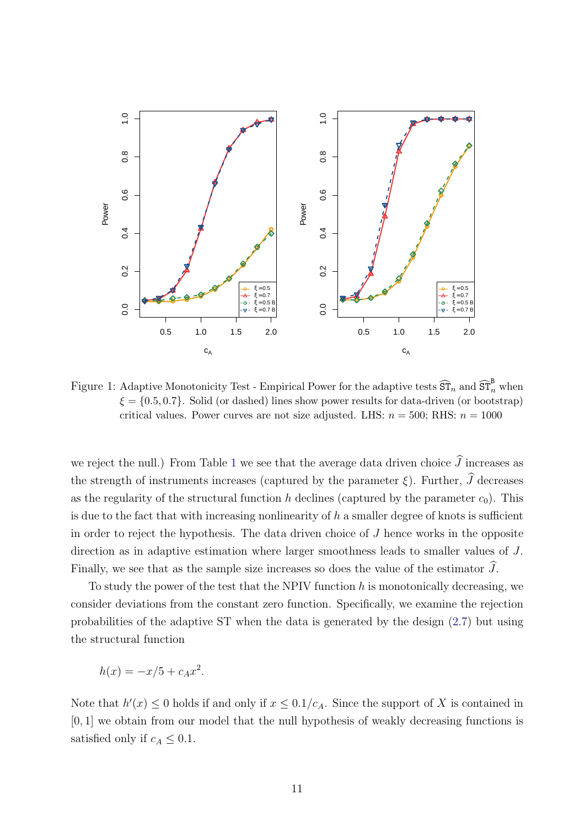

<span id="page-11-0"></span>Figure 1: Adaptive Monotonicity Test - Empirical Power for the adaptive tests  $\widehat{\text{ST}}_n$  and  $\widehat{\text{ST}}_n^B$  when  $\xi = \{0.5, 0.7\}$ . Solid (or dashed) lines show power results for data-driven (or bootstrap) critical values. Power curves are not size adjusted. LHS:  $n = 500$ : RHS:  $n = 1000$ 

we reject the null.) From Table [1](#page-10-0) we see that the average data driven choice  $\widehat{J}$  increases as the strength of instruments increases (captured by the parameter  $\xi$ ). Further,  $\widehat{J}$  decreases as the regularity of the structural function h declines (captured by the parameter  $c_0$ ). This is due to the fact that with increasing nonlinearity of  $h$  a smaller degree of knots is sufficient in order to reject the hypothesis. The data driven choice of J hence works in the opposite direction as in adaptive estimation where larger smoothness leads to smaller values of J. Finally, we see that as the sample size increases so does the value of the estimator  $\widehat{J}$ .

To study the power of the test that the NPIV function  $h$  is monotonically decreasing, we consider deviations from the constant zero function. Specifically, we examine the rejection probabilities of the adaptive ST when the data is generated by the design [\(2.7\)](#page-9-2) but using the structural function

$$
h(x) = -x/5 + c_A x^2.
$$

Note that  $h'(x) \leq 0$  holds if and only if  $x \leq 0.1/c_A$ . Since the support of X is contained in [0, 1] we obtain from our model that the null hypothesis of weakly decreasing functions is satisfied only if  $c_A \leq 0.1$ .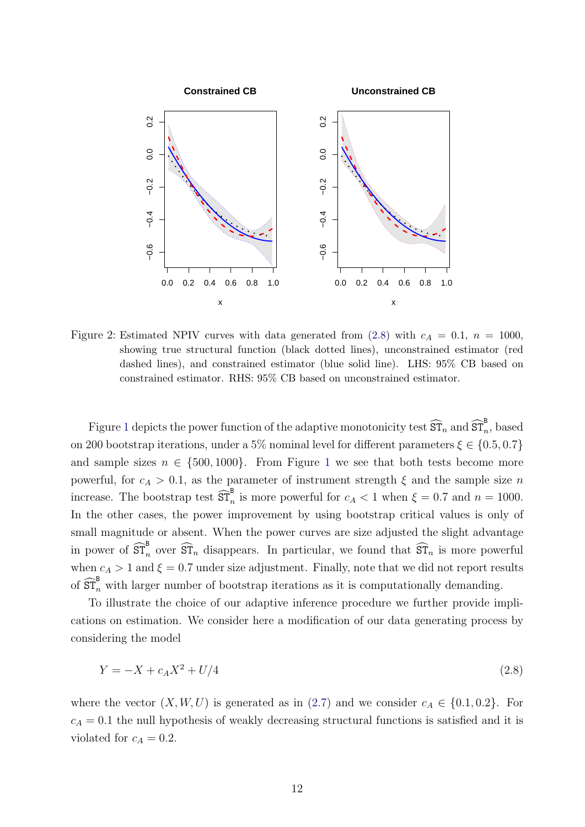

<span id="page-12-1"></span>Figure 2: Estimated NPIV curves with data generated from [\(2.8\)](#page-12-0) with  $c_A = 0.1$ ,  $n = 1000$ , showing true structural function (black dotted lines), unconstrained estimator (red dashed lines), and constrained estimator (blue solid line). LHS: 95% CB based on constrained estimator. RHS: 95% CB based on unconstrained estimator.

Figure [1](#page-11-0) depicts the power function of the adaptive monotonicity test  $\widehat{ST}_n$  and  $\widehat{ST}_n^B$ , based on 200 bootstrap iterations, under a 5% nominal level for different parameters  $\xi \in \{0.5, 0.7\}$ and sample sizes  $n \in \{500, 1000\}$  $n \in \{500, 1000\}$  $n \in \{500, 1000\}$ . From Figure 1 we see that both tests become more powerful, for  $c_A > 0.1$ , as the parameter of instrument strength  $\xi$  and the sample size n increase. The bootstrap test  $\widehat{\text{ST}}_n^{\text{B}}$  is more powerful for  $c_A < 1$  when  $\xi = 0.7$  and  $n = 1000$ . In the other cases, the power improvement by using bootstrap critical values is only of small magnitude or absent. When the power curves are size adjusted the slight advantage in power of  $\widehat{\text{ST}}_n^{\text{B}}$  over  $\widehat{\text{ST}}_n$  disappears. In particular, we found that  $\widehat{\text{ST}}_n$  is more powerful when  $c_A > 1$  and  $\xi = 0.7$  under size adjustment. Finally, note that we did not report results of  $\widehat{\text{ST}}_n^{\text{B}}$  with larger number of bootstrap iterations as it is computationally demanding.

To illustrate the choice of our adaptive inference procedure we further provide implications on estimation. We consider here a modification of our data generating process by considering the model

<span id="page-12-0"></span>
$$
Y = -X + c_A X^2 + U/4 \tag{2.8}
$$

where the vector  $(X, W, U)$  is generated as in  $(2.7)$  and we consider  $c_A \in \{0.1, 0.2\}$ . For  $c_A = 0.1$  the null hypothesis of weakly decreasing structural functions is satisfied and it is violated for  $c_A = 0.2$ .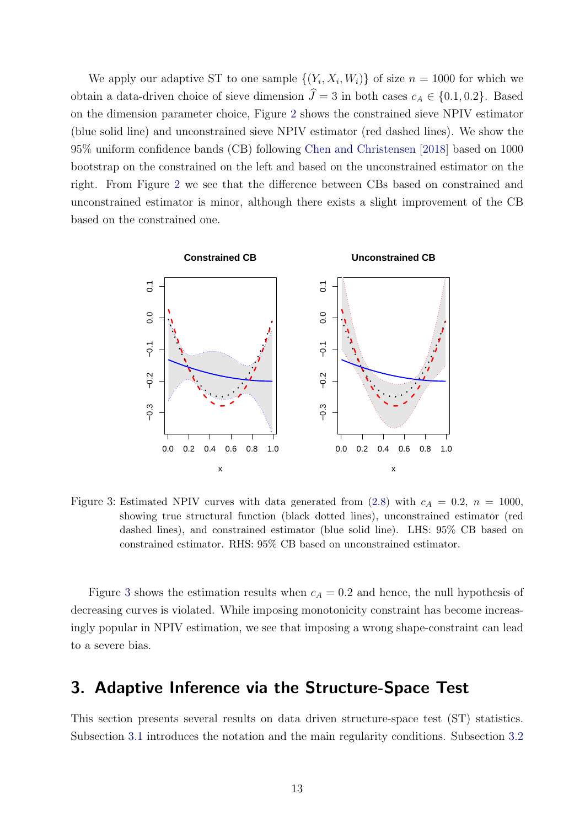We apply our adaptive ST to one sample  $\{(Y_i, X_i, W_i)\}\$  of size  $n = 1000$  for which we obtain a data-driven choice of sieve dimension  $\hat{J} = 3$  in both cases  $c_A \in \{0.1, 0.2\}$ . Based on the dimension parameter choice, Figure [2](#page-12-1) shows the constrained sieve NPIV estimator (blue solid line) and unconstrained sieve NPIV estimator (red dashed lines). We show the 95% uniform confidence bands (CB) following [Chen and Christensen](#page-34-3) [\[2018\]](#page-34-3) based on 1000 bootstrap on the constrained on the left and based on the unconstrained estimator on the right. From Figure [2](#page-12-1) we see that the difference between CBs based on constrained and unconstrained estimator is minor, although there exists a slight improvement of the CB based on the constrained one.



<span id="page-13-1"></span>Figure 3: Estimated NPIV curves with data generated from [\(2.8\)](#page-12-0) with  $c_A = 0.2$ ,  $n = 1000$ , showing true structural function (black dotted lines), unconstrained estimator (red dashed lines), and constrained estimator (blue solid line). LHS: 95% CB based on constrained estimator. RHS: 95% CB based on unconstrained estimator.

Figure [3](#page-13-1) shows the estimation results when  $c_A = 0.2$  and hence, the null hypothesis of decreasing curves is violated. While imposing monotonicity constraint has become increasingly popular in NPIV estimation, we see that imposing a wrong shape-constraint can lead to a severe bias.

### <span id="page-13-0"></span>3. Adaptive Inference via the Structure-Space Test

This section presents several results on data driven structure-space test (ST) statistics. Subsection [3.1](#page-14-0) introduces the notation and the main regularity conditions. Subsection [3.2](#page-15-0)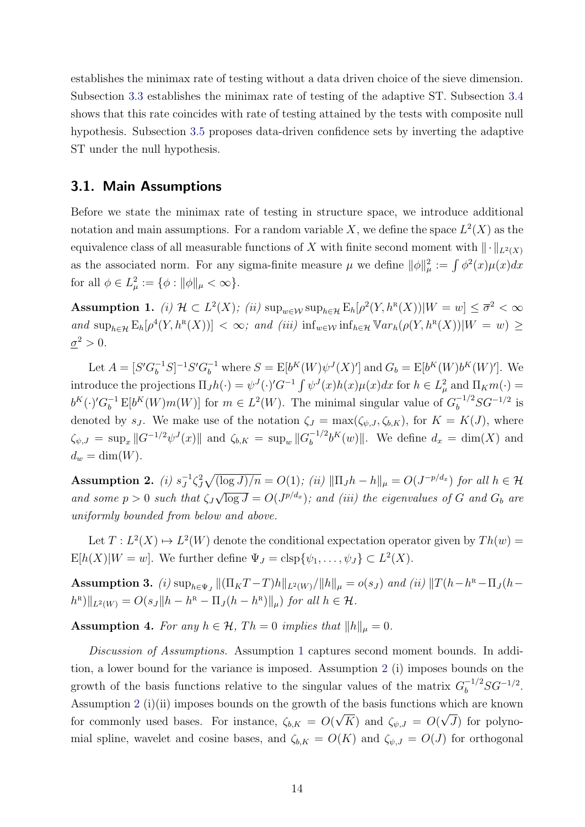establishes the minimax rate of testing without a data driven choice of the sieve dimension. Subsection [3.3](#page-17-0) establishes the minimax rate of testing of the adaptive ST. Subsection [3.4](#page-19-2) shows that this rate coincides with rate of testing attained by the tests with composite null hypothesis. Subsection [3.5](#page-21-0) proposes data-driven confidence sets by inverting the adaptive ST under the null hypothesis.

#### <span id="page-14-0"></span>3.1. Main Assumptions

Before we state the minimax rate of testing in structure space, we introduce additional notation and main assumptions. For a random variable X, we define the space  $L^2(X)$  as the equivalence class of all measurable functions of X with finite second moment with  $\|\cdot\|_{L^2(X)}$ as the associated norm. For any sigma-finite measure  $\mu$  we define  $\|\phi\|_{\mu}^2 := \int \phi^2(x)\mu(x)dx$ for all  $\phi \in L^2_{\mu} := \{ \phi : ||\phi||_{\mu} < \infty \}.$ 

<span id="page-14-1"></span>Assumption 1. *(i)*  $H \subset L^2(X)$ ; *(ii)*  $\sup_{w \in \mathcal{W}} \sup_{h \in \mathcal{H}} \mathbb{E}_h[\rho^2(Y, h^R(X)) | W = w] \leq \overline{\sigma}^2 < \infty$ and  $\sup_{h\in\mathcal{H}} \mathbb{E}_h[\rho^4(Y,h^R(X))] < \infty$ ; and (iii)  $\inf_{w\in\mathcal{W}} \inf_{h\in\mathcal{H}} \mathbb{V}ar_h(\rho(Y,h^R(X))|W=w) \ge$  $\underline{\sigma}^2 > 0.$ 

Let  $A = [S'G_b^{-1}S]^{-1}S'G_b^{-1}$  where  $S = E[b^K(W)\psi^J(X)']$  and  $G_b = E[b^K(W)b^K(W)']$ . We introduce the projections  $\Pi_J h(\cdot) = \psi^J(\cdot)' G^{-1} \int \psi^J(x) h(x) \mu(x) dx$  for  $h \in L^2_\mu$  and  $\Pi_K m(\cdot) =$  $b^K(\cdot)'G_b^{-1} E[b^K(W)m(W)]$  for  $m \in L^2(W)$ . The minimal singular value of  $G_b^{-1/2}SG^{-1/2}$  is denoted by s<sub>J</sub>. We make use of the notation  $\zeta_J = \max(\zeta_{\psi,J}, \zeta_{b,K})$ , for  $K = K(J)$ , where  $\zeta_{\psi,J} = \sup_x ||G^{-1/2}\psi^J(x)||$  and  $\zeta_{b,K} = \sup_w ||G_b^{-1/2}$  $b^{-1/2}b^{K}(w)$ . We define  $d_x = \dim(X)$  and  $d_w = \dim(W)$ .

<span id="page-14-2"></span>Assumption 2. *(i)*  $s_J^{-1}$  $J^1 \zeta_J^2 \sqrt{(\log J)/n} = O(1)$ ; (ii)  $\|\Pi_J h - h\|_{\mu} = O(J^{-p/d_x})$  for all  $h \in \mathcal{H}$ and some  $p > 0$  such that  $\zeta_j$ √  $\overline{\log J} = O(J^{p/d_x})$ ; and (iii) the eigenvalues of G and  $G_b$  are uniformly bounded from below and above.

Let  $T: L^2(X) \to L^2(W)$  denote the conditional expectation operator given by  $Th(w)$  $E[h(X)|W=w]$ . We further define  $\Psi_J = \text{clsp}\{\psi_1,\ldots,\psi_J\} \subset L^2(X)$ .

<span id="page-14-3"></span>Assumption 3. (i)  $\sup_{h \in \Psi_J} ||(\Pi_K T - T)h||_{L^2(W)}/||h||_{\mu} = o(s_J)$  and (ii)  $||T(h - h^R - \Pi_J(h - T))||_{L^2(W)}$  $|h^{\text{R}}||_{L^2(W)} = O(s_J || h - h^{\text{R}} - \Pi_J(h - h^{\text{R}})||_{\mu})$  for all  $h \in \mathcal{H}$ .

<span id="page-14-4"></span>**Assumption 4.** For any  $h \in \mathcal{H}$ , Th = 0 implies that  $||h||_{\mu} = 0$ .

Discussion of Assumptions. Assumption [1](#page-14-1) captures second moment bounds. In addition, a lower bound for the variance is imposed. Assumption [2](#page-14-2) (i) imposes bounds on the growth of the basis functions relative to the singular values of the matrix  $G_b^{-1/2}SG^{-1/2}$ . Assumption [2](#page-14-2) (i)(ii) imposes bounds on the growth of the basis functions which are known for commonly used bases. For instance,  $\zeta_{b,K} = O(\sqrt{K})$  and  $\zeta_{\psi,J} = O(\sqrt{J})$  for polynomial spline, wavelet and cosine bases, and  $\zeta_{b,K} = O(K)$  and  $\zeta_{\psi,J} = O(J)$  for orthogonal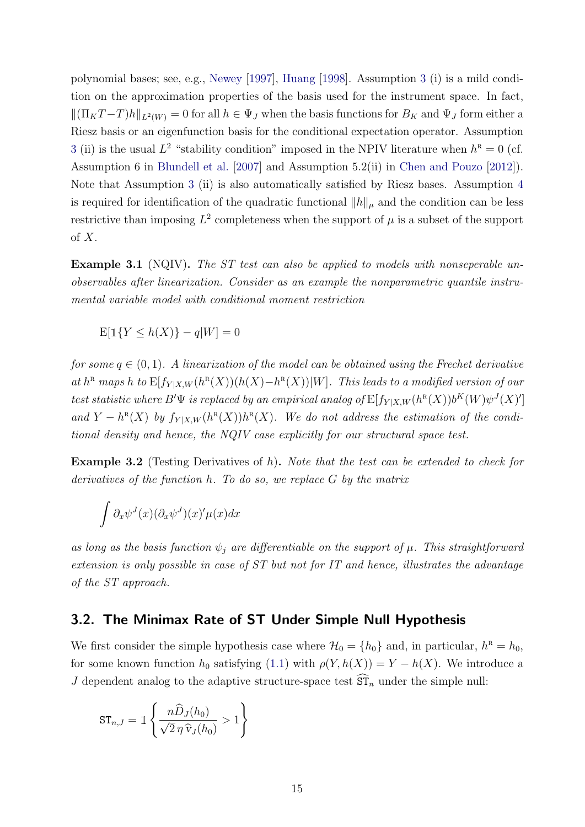polynomial bases; see, e.g., [Newey](#page-36-6) [\[1997\]](#page-36-6), [Huang](#page-35-10) [\[1998\]](#page-35-10). Assumption [3](#page-14-3) (i) is a mild condition on the approximation properties of the basis used for the instrument space. In fact,  $\|(\Pi_K T - T)h\|_{L^2(W)} = 0$  for all  $h \in \Psi_J$  when the basis functions for  $B_K$  and  $\Psi_J$  form either a Riesz basis or an eigenfunction basis for the conditional expectation operator. Assumption [3](#page-14-3) (ii) is the usual  $L^2$  "stability condition" imposed in the NPIV literature when  $h^R = 0$  (cf. Assumption 6 in [Blundell et al.](#page-33-2) [\[2007\]](#page-33-2) and Assumption 5.2(ii) in [Chen and Pouzo](#page-34-9) [\[2012\]](#page-34-9)). Note that Assumption [3](#page-14-3) (ii) is also automatically satisfied by Riesz bases. Assumption [4](#page-14-4) is required for identification of the quadratic functional  $||h||_{\mu}$  and the condition can be less restrictive than imposing  $L^2$  completeness when the support of  $\mu$  is a subset of the support of  $X$ .

Example 3.1 (NQIV). The ST test can also be applied to models with nonseperable unobservables after linearization. Consider as an example the nonparametric quantile instrumental variable model with conditional moment restriction

$$
\mathbf{E}[\mathbb{1}\{Y \le h(X)\} - q|W] = 0
$$

for some  $q \in (0,1)$ . A linearization of the model can be obtained using the Frechet derivative at  $h^R$  maps h to  $E[f_{Y|X,W}(h^R(X))(h(X)-h^R(X))|W]$ . This leads to a modified version of our test statistic where B' $\Psi$  is replaced by an empirical analog of  $E[f_{Y|X,W}(h^R(X))b^K(W)\psi^J(X)']$ and  $Y - h^{\text{R}}(X)$  by  $f_{Y|X,W}(h^{\text{R}}(X))h^{\text{R}}(X)$ . We do not address the estimation of the conditional density and hence, the NQIV case explicitly for our structural space test.

Example 3.2 (Testing Derivatives of h). Note that the test can be extended to check for derivatives of the function h. To do so, we replace G by the matrix

$$
\int \partial_x \psi^J(x) (\partial_x \psi^J)(x)' \mu(x) dx
$$

as long as the basis function  $\psi_i$  are differentiable on the support of  $\mu$ . This straightforward extension is only possible in case of ST but not for IT and hence, illustrates the advantage of the ST approach.

#### <span id="page-15-0"></span>3.2. The Minimax Rate of ST Under Simple Null Hypothesis

We first consider the simple hypothesis case where  $\mathcal{H}_0 = \{h_0\}$  and, in particular,  $h^R = h_0$ , for some known function  $h_0$  satisfying [\(1.1\)](#page-2-1) with  $\rho(Y, h(X)) = Y - h(X)$ . We introduce a J dependent analog to the adaptive structure-space test  $\hat{\mathsf{ST}}_n$  under the simple null:

$$
\text{ST}_{n,J} = \mathbb{1}\left\{\frac{n\widehat{D}_J(h_0)}{\sqrt{2}\,\eta\,\widehat{v}_J(h_0)} > 1\right\}
$$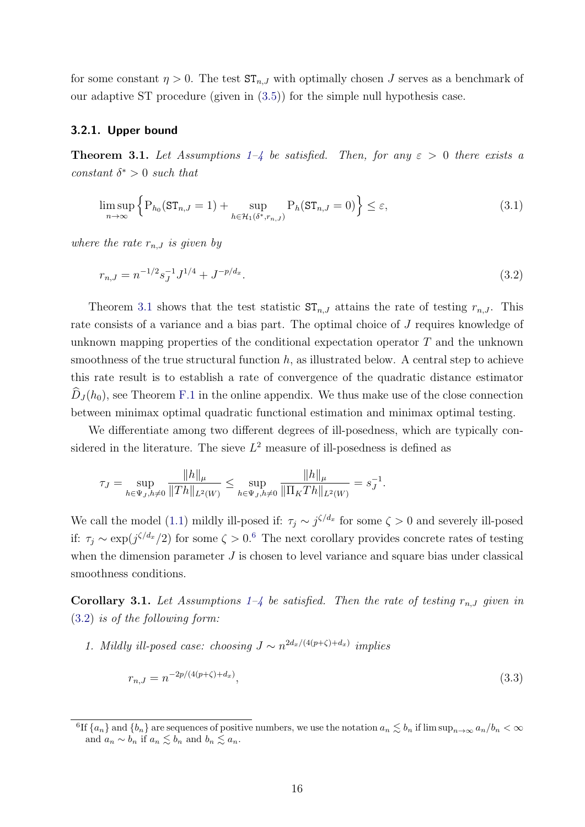for some constant  $\eta > 0$ . The test  $ST_{n,J}$  with optimally chosen J serves as a benchmark of our adaptive ST procedure (given in [\(3.5\)](#page-17-1)) for the simple null hypothesis case.

#### 3.2.1. Upper bound

<span id="page-16-0"></span>**Theorem 3.[1](#page-14-1).** Let Assumptions 1[–4](#page-14-4) be satisfied. Then, for any  $\varepsilon > 0$  there exists a constant  $\delta^* > 0$  such that

$$
\limsup_{n \to \infty} \left\{ P_{h_0}(\mathsf{ST}_{n,J} = 1) + \sup_{h \in \mathcal{H}_1(\delta^*, r_{n,J})} P_h(\mathsf{ST}_{n,J} = 0) \right\} \le \varepsilon,
$$
\n(3.1)

where the rate  $r_{n,J}$  is given by

<span id="page-16-2"></span>
$$
r_{n,J} = n^{-1/2} s_J^{-1} J^{1/4} + J^{-p/d_x}.
$$
\n(3.2)

Theorem [3.1](#page-16-0) shows that the test statistic  $ST_{n,J}$  attains the rate of testing  $r_{n,J}$ . This rate consists of a variance and a bias part. The optimal choice of J requires knowledge of unknown mapping properties of the conditional expectation operator T and the unknown smoothness of the true structural function  $h$ , as illustrated below. A central step to achieve this rate result is to establish a rate of convergence of the quadratic distance estimator  $D_J(h_0)$ , see Theorem [F.1](#page-1-0) in the online appendix. We thus make use of the close connection between minimax optimal quadratic functional estimation and minimax optimal testing.

We differentiate among two different degrees of ill-posedness, which are typically considered in the literature. The sieve  $L^2$  measure of ill-posedness is defined as

$$
\tau_J = \sup_{h \in \Psi_J, h \neq 0} \frac{\|h\|_{\mu}}{\|Th\|_{L^2(W)}} \le \sup_{h \in \Psi_J, h \neq 0} \frac{\|h\|_{\mu}}{\|\Pi_K Th\|_{L^2(W)}} = s_J^{-1}.
$$

We call the model [\(1.1\)](#page-2-1) mildly ill-posed if:  $\tau_j \sim j^{\zeta/d_x}$  for some  $\zeta > 0$  and severely ill-posed if:  $\tau_j \sim \exp(j^{\zeta/d_x}/2)$  for some  $\zeta > 0.6$  $\zeta > 0.6$  The next corollary provides concrete rates of testing when the dimension parameter  $J$  is chosen to level variance and square bias under classical smoothness conditions.

<span id="page-16-3"></span>**Corollary 3.1.** Let Assumptions [1–](#page-14-1)[4](#page-14-4) be satisfied. Then the rate of testing  $r_{n,J}$  given in [\(3.2\)](#page-16-2) is of the following form:

1. Mildly ill-posed case: choosing  $J \sim n^{2d_x/(4(p+\zeta)+d_x)}$  implies

<span id="page-16-4"></span>
$$
r_{n,J} = n^{-2p/(4(p+\zeta)+d_x)},\tag{3.3}
$$

<span id="page-16-1"></span><sup>&</sup>lt;sup>6</sup>If  $\{a_n\}$  and  $\{b_n\}$  are sequences of positive numbers, we use the notation  $a_n \lesssim b_n$  if  $\limsup_{n\to\infty} a_n/b_n < \infty$ and  $a_n \sim b_n$  if  $a_n \lesssim b_n$  and  $b_n \lesssim a_n$ .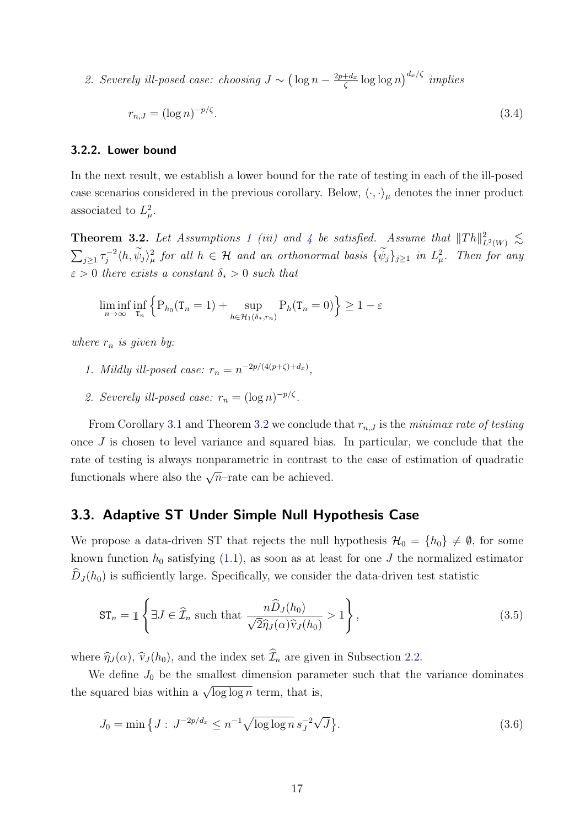2. Severely ill-posed case: choosing  $J \sim (\log n - \frac{2p+d_x}{\zeta})$  $\frac{1+d_x}{\zeta} \log \log n \big)^{d_x/\zeta}$  implies

<span id="page-17-4"></span>
$$
r_{n,J} = (\log n)^{-p/\zeta}.\tag{3.4}
$$

#### 3.2.2. Lower bound

In the next result, we establish a lower bound for the rate of testing in each of the ill-posed case scenarios considered in the previous corollary. Below,  $\langle \cdot, \cdot \rangle_{\mu}$  denotes the inner product associated to  $L^2_{\mu}$ .

<span id="page-17-2"></span>**Theorem 3.2.** Let Assumptions [1](#page-14-1) (iii) and [4](#page-14-4) be satisfied. Assume that  $||Th||_{L^2(W)}^2 \lesssim$  $\sum_{j\geq 1}\tau_j^{-2}$  $\{\psi_j\}_{j\geq 1}$  in  $L^2_\mu$ , for all  $h \in \mathcal{H}$  and an orthonormal basis  $\{\psi_j\}_{j\geq 1}$  in  $L^2_\mu$ . Then for any  $\varepsilon > 0$  there exists a constant  $\delta_* > 0$  such that

$$
\liminf_{n \to \infty} \inf_{\mathbf{T}_n} \left\{ \mathbf{P}_{h_0}(\mathbf{T}_n = 1) + \sup_{h \in \mathcal{H}_1(\delta_*, r_n)} \mathbf{P}_h(\mathbf{T}_n = 0) \right\} \ge 1 - \varepsilon
$$

where  $r_n$  is given by:

- 1. Mildly ill-posed case:  $r_n = n^{-2p/(4(p+\zeta)+d_x)}$ ,
- 2. Severely ill-posed case:  $r_n = (\log n)^{-p/\zeta}$ .

From Corollary [3.1](#page-16-3) and Theorem [3.2](#page-17-2) we conclude that  $r_{n,J}$  is the minimax rate of testing once  $J$  is chosen to level variance and squared bias. In particular, we conclude that the rate of testing is always nonparametric in contrast to the case of estimation of quadratic functionals where also the  $\sqrt{n}$ –rate can be achieved.

#### <span id="page-17-0"></span>3.3. Adaptive ST Under Simple Null Hypothesis Case

We propose a data-driven ST that rejects the null hypothesis  $\mathcal{H}_0 = \{h_0\} \neq \emptyset$ , for some known function  $h_0$  satisfying [\(1.1\)](#page-2-1), as soon as at least for one J the normalized estimator  $\widehat{D}_J(h_0)$  is sufficiently large. Specifically, we consider the data-driven test statistic

<span id="page-17-1"></span>
$$
\mathrm{ST}_n = \mathbb{1}\left\{\exists J \in \widehat{\mathcal{I}}_n \text{ such that } \frac{n\widehat{D}_J(h_0)}{\sqrt{2}\widehat{\eta}_J(\alpha)\widehat{v}_J(h_0)} > 1\right\},\tag{3.5}
$$

where  $\hat{\eta}_J(\alpha)$ ,  $\hat{\nu}_J(h_0)$ , and the index set  $\hat{\mathcal{I}}_n$  are given in Subsection [2.2.](#page-7-0)

We define  $J_0$  be the smallest dimension parameter such that the variance dominates the squared bias within a  $\sqrt{\log \log n}$  term, that is,

<span id="page-17-3"></span>
$$
J_0 = \min\left\{J : J^{-2p/d_x} \le n^{-1} \sqrt{\log \log n} \, s_J^{-2} \sqrt{J}\right\}.\tag{3.6}
$$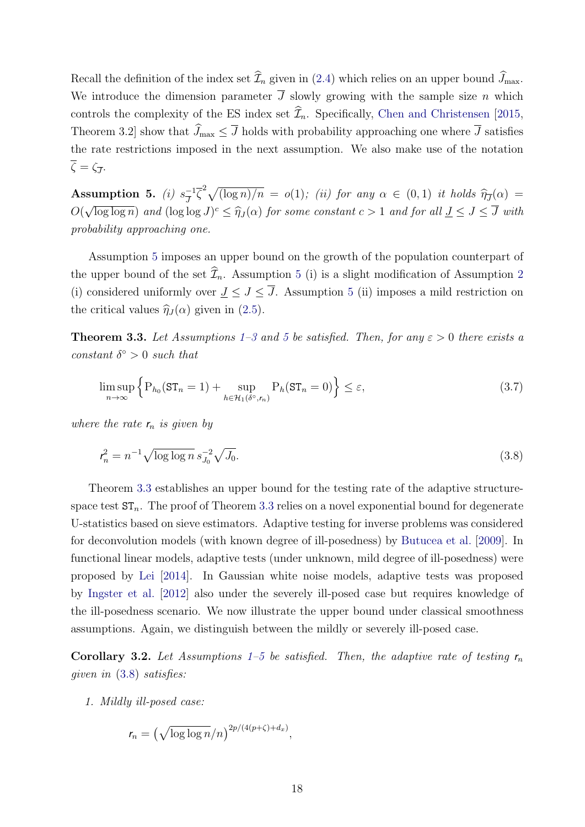Recall the definition of the index set  $\widehat{\mathcal{I}}_n$  given in [\(2.4\)](#page-8-2) which relies on an upper bound  $\widehat{J}_{\text{max}}$ . We introduce the dimension parameter  $\overline{J}$  slowly growing with the sample size n which controls the complexity of the ES index set  $\widehat{\mathcal{I}}_n$ . Specifically, [Chen and Christensen](#page-34-1) [\[2015,](#page-34-1) Theorem 3.2] show that  $\widehat{J}_{\text{max}} \leq \overline{J}$  holds with probability approaching one where  $\overline{J}$  satisfies the rate restrictions imposed in the next assumption. We also make use of the notation  $\zeta = \zeta_{\overline{J}}$ .

<span id="page-18-0"></span>Assumption 5. *(i)*  $s^{-1}$  $\int_{\overline{J}}^{-1} \overline{\zeta}^2 \sqrt{(\log n)/n} = o(1)$ ; (ii) for any  $\alpha \in (0,1)$  it holds  $\widehat{\eta}_{\overline{J}}(\alpha) =$ O( √  $\overline{\log \log n}$  and  $(\log \log J)^c \leq \hat{\eta}_J(\alpha)$  for some constant  $c > 1$  and for all  $\underline{J} \leq J \leq \overline{J}$  with probability approaching one.

Assumption [5](#page-18-0) imposes an upper bound on the growth of the population counterpart of the upper bound of the set  $\widehat{\mathcal{I}}_n$ . Assumption [5](#page-18-0) (i) is a slight modification of Assumption [2](#page-14-2) (i) considered uniformly over  $J \leq J \leq \overline{J}$ . Assumption [5](#page-18-0) (ii) imposes a mild restriction on the critical values  $\hat{\eta}_J (\alpha)$  given in [\(2.5\)](#page-8-3).

<span id="page-18-1"></span>**Theorem 3.3.** Let Assumptions [1](#page-14-1)[–3](#page-14-3) and [5](#page-18-0) be satisfied. Then, for any  $\varepsilon > 0$  there exists a constant  $\delta^{\circ} > 0$  such that

$$
\limsup_{n \to \infty} \left\{ P_{h_0}(\mathsf{ST}_n = 1) + \sup_{h \in \mathcal{H}_1(\delta^\circ, r_n)} P_h(\mathsf{ST}_n = 0) \right\} \le \varepsilon,\tag{3.7}
$$

where the rate  $r_n$  is given by

<span id="page-18-2"></span>
$$
r_n^2 = n^{-1} \sqrt{\log \log n} \, s_{J_0}^{-2} \sqrt{J_0}.\tag{3.8}
$$

Theorem [3.3](#page-18-1) establishes an upper bound for the testing rate of the adaptive structurespace test  $ST_n$ . The proof of Theorem [3.3](#page-18-1) relies on a novel exponential bound for degenerate U-statistics based on sieve estimators. Adaptive testing for inverse problems was considered for deconvolution models (with known degree of ill-posedness) by [Butucea et al.](#page-34-10) [\[2009\]](#page-34-10). In functional linear models, adaptive tests (under unknown, mild degree of ill-posedness) were proposed by [Lei](#page-35-11) [\[2014\]](#page-35-11). In Gaussian white noise models, adaptive tests was proposed by [Ingster et al.](#page-35-12) [\[2012\]](#page-35-12) also under the severely ill-posed case but requires knowledge of the ill-posedness scenario. We now illustrate the upper bound under classical smoothness assumptions. Again, we distinguish between the mildly or severely ill-posed case.

<span id="page-18-3"></span>Corollary 3.2. Let Assumptions [1–](#page-14-1)[5](#page-18-0) be satisfied. Then, the adaptive rate of testing  $r_n$ given in [\(3.8\)](#page-18-2) satisfies:

1. Mildly ill-posed case:

$$
r_n = \left(\sqrt{\log\log n}/n\right)^{2p/(4(p+\zeta)+d_x)},
$$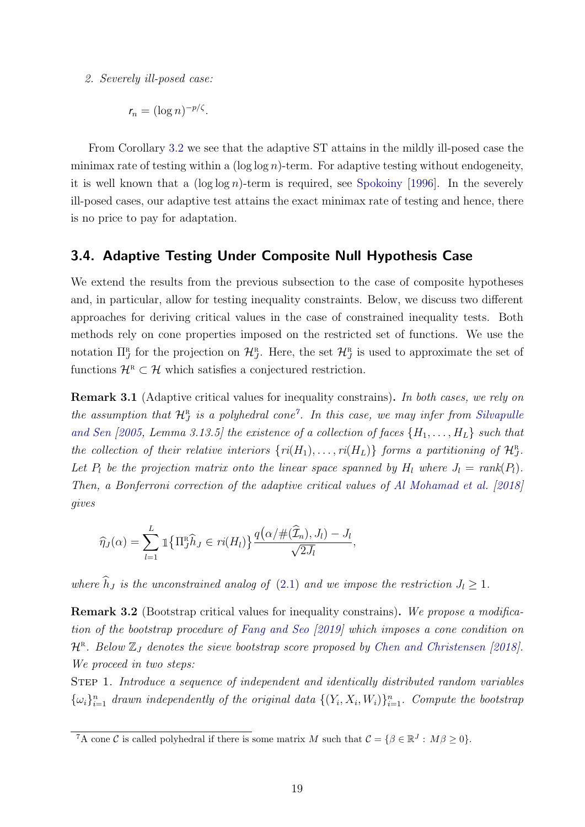2. Severely ill-posed case:

$$
r_n = (\log n)^{-p/\zeta}.
$$

From Corollary [3.2](#page-18-3) we see that the adaptive ST attains in the mildly ill-posed case the minimax rate of testing within a  $(\log \log n)$ -term. For adaptive testing without endogeneity, it is well known that a  $(\log \log n)$ -term is required, see [Spokoiny](#page-36-1) [\[1996\]](#page-36-1). In the severely ill-posed cases, our adaptive test attains the exact minimax rate of testing and hence, there is no price to pay for adaptation.

#### <span id="page-19-2"></span>3.4. Adaptive Testing Under Composite Null Hypothesis Case

We extend the results from the previous subsection to the case of composite hypotheses and, in particular, allow for testing inequality constraints. Below, we discuss two different approaches for deriving critical values in the case of constrained inequality tests. Both methods rely on cone properties imposed on the restricted set of functions. We use the notation  $\Pi_J^{\rm R}$  for the projection on  $\mathcal{H}_J^{\rm R}$ . Here, the set  $\mathcal{H}_J^{\rm R}$  is used to approximate the set of functions  $\mathcal{H}^R \subset \mathcal{H}$  which satisfies a conjectured restriction.

<span id="page-19-0"></span>Remark 3.1 (Adaptive critical values for inequality constrains). In both cases, we rely on the assumption that  $\mathcal{H}_{J}^{\text{R}}$  is a polyhedral cone<sup>[7](#page-19-3)</sup>. In this case, we may infer from [Silvapulle](#page-36-7) [and Sen](#page-36-7) [\[2005,](#page-36-7) Lemma 3.13.5] the existence of a collection of faces  $\{H_1, \ldots, H_L\}$  such that the collection of their relative interiors  $\{ri(H_1), \ldots, ri(H_L)\}\$  forms a partitioning of  $\mathcal{H}_J^{\mathbb{R}}$ . Let  $P_l$  be the projection matrix onto the linear space spanned by  $H_l$  where  $J_l = rank(P_l)$ . Then, a Bonferroni correction of the adaptive critical values of [Al Mohamad et al.](#page-33-3) [\[2018\]](#page-33-3) gives

$$
\widehat{\eta}_J(\alpha) = \sum_{l=1}^L \mathbb{1}\left\{\Pi_J^R \widehat{h}_J \in ri(H_l)\right\} \frac{q(\alpha/\#(\widehat{\mathcal{I}}_n), J_l) - J_l}{\sqrt{2J_l}},
$$

where  $\widehat{h}_J$  is the unconstrained analog of [\(2.1\)](#page-7-1) and we impose the restriction  $J_l \geq 1$ .

<span id="page-19-1"></span>**Remark 3.2** (Bootstrap critical values for inequality constrains). We propose a modification of the bootstrap procedure of [Fang and Seo](#page-35-13) [\[2019\]](#page-35-13) which imposes a cone condition on  $\mathcal{H}^{\text{R}}$ . Below  $\mathbb{Z}_J$  denotes the sieve bootstrap score proposed by [Chen and Christensen](#page-34-3) [\[2018\]](#page-34-3). We proceed in two steps:

STEP 1. Introduce a sequence of independent and identically distributed random variables  $\{\omega_i\}_{i=1}^n$  drawn independently of the original data  $\{(Y_i, X_i, W_i)\}_{i=1}^n$ . Compute the bootstrap

<span id="page-19-3"></span><sup>&</sup>lt;sup>7</sup>A cone C is called polyhedral if there is some matrix M such that  $C = \{ \beta \in \mathbb{R}^J : M\beta \ge 0 \}.$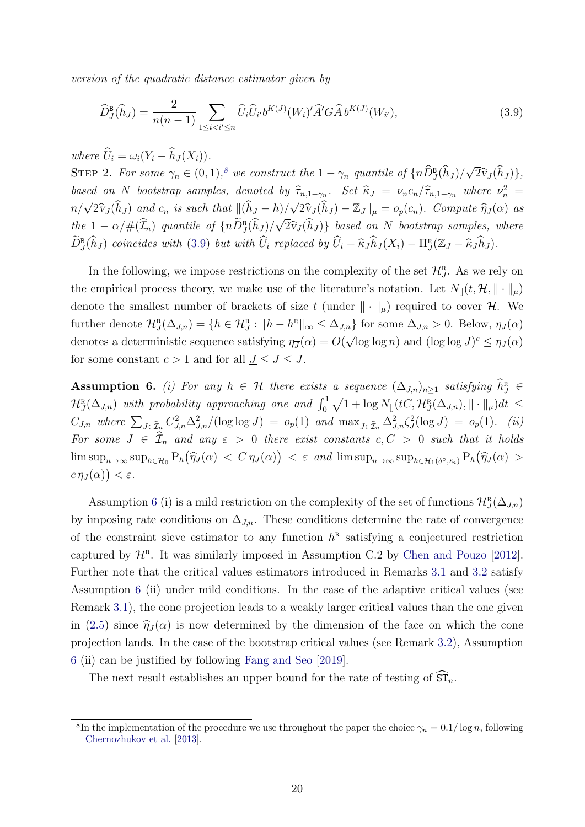version of the quadratic distance estimator given by

<span id="page-20-1"></span>
$$
\widehat{D}_{J}^{\mathbf{B}}(\widehat{h}_{J}) = \frac{2}{n(n-1)} \sum_{1 \leq i < i' \leq n} \widehat{U}_{i} \widehat{U}_{i'} b^{K(J)}(W_{i})' \widehat{A}' G \widehat{A} b^{K(J)}(W_{i'}),\tag{3.9}
$$

where  $\widehat{U}_i = \omega_i (Y_i - \widehat{h}_J(X_i)).$ 

STEP 2. For some  $\gamma_n \in (0,1),^8$  $\gamma_n \in (0,1),^8$  we construct the  $1 - \gamma_n$  quantile of  $\{n\widehat{D}_J^{\mathsf{B}}(\widehat{h}_J)/\}$ √  ${2\widehat{\mathrm{v}}_J(h_J)}$ , based on N bootstrap samples, denoted by  $\hat{\tau}_{n,1-\gamma_n}$ . Set  $\hat{\kappa}_J = \nu_n c_n / \hat{\tau}_{n,1-\gamma_n}$  where  $\nu_n^2 =$  $n/\sqrt{}$  $2\widehat{\mathcal{V}}_J(h_J)$  and  $c_n$  is such that  $\|(h_J - h)/\|$  $\langle h \rangle / \sqrt{2} \hat{\mathbf{v}}_J(\hat{h}_J) - \mathbb{Z}_J \|_{\mu} = o_p(c_n)$ . Compute  $\hat{\eta}_J(\alpha)$  as the  $1 - \alpha / \#(\mathcal{I}_n)$  quantile of  $\{nD_J^{\mathbf{B}}(h_J)/\sqrt{2} \hat{v}_J(h_J)\}$  based on N bootstrap samples, where  $\widetilde{D}_{J}^{\text{B}}(\widehat{h}_{J})$  coincides with  $(3.9)$  but with  $\widehat{U}_{i}$  replaced by  $\widehat{U}_{i} - \widehat{\kappa}_{J} \widehat{h}_{J}(X_{i}) - \Pi_{J}^{\text{R}}(\mathbb{Z}_{J} - \widehat{\kappa}_{J} \widehat{h}_{J})$ .

In the following, we impose restrictions on the complexity of the set  $\mathcal{H}_J^{\scriptscriptstyle R}$ . As we rely on the empirical process theory, we make use of the literature's notation. Let  $N_{\parallel}(t, \mathcal{H}, \|\cdot\|_{\mu})$ denote the smallest number of brackets of size t (under  $\|\cdot\|_{\mu}$ ) required to cover H. We further denote  $\mathcal{H}^{\text{R}}_{J}(\Delta_{J,n}) = \{h \in \mathcal{H}^{\text{R}}_{J} : ||h - h^{\text{R}}||_{\infty} \leq \Delta_{J,n}\}\)$  for some  $\Delta_{J,n} > 0$ . Below,  $\eta_{J}(\alpha)$ denotes a deterministic sequence satisfying  $\eta_{\overline{J}}(\alpha) = O(\alpha)$ י<br>,  $\overline{\log \log n}$  and  $(\log \log J)^c \leq \eta_J(\alpha)$ for some constant  $c > 1$  and for all  $J \leq J \leq \overline{J}$ .

<span id="page-20-2"></span>Assumption 6. (i) For any  $h \in \mathcal{H}$  there exists a sequence  $(\Delta_{J,n})_{n\geq 1}$  satisfying  $\widehat{h}_J^{\scriptscriptstyle R} \in$  $\mathcal{H}^R_J(\Delta_{J,n})$  with probability approaching one and  $\int_0^1 \sqrt{1 + \log N_{[]}(tC, \mathcal{H}^R_J(\Delta_{J,n}), \|\cdot\|_{\mu})} dt \leq$  $C_{J,n}$  where  $\sum_{J \in \widehat{\mathcal{I}}_n} C_{J,n}^2 \Delta_{J,n}^2/(\log \log J) = o_p(1)$  and  $\max_{J \in \widehat{\mathcal{I}}_n} \Delta_{J,n}^2 \zeta_J^2(\log J) = o_p(1)$ . (ii) For some  $J \in \hat{\mathcal{I}}_n$  and any  $\varepsilon > 0$  there exist constants  $c, C > 0$  such that it holds  $\limsup_{n\to\infty} \sup_{h\in\mathcal{H}_0} P_h(\hat{\eta}_J(\alpha) < C \eta_J(\alpha) \big) < \varepsilon$  and  $\limsup_{n\to\infty} \sup_{h\in\mathcal{H}_1(\delta^\circ,r_n)} P_h(\hat{\eta}_J(\alpha) >$  $c\eta_J(\alpha)\big)<\varepsilon.$ 

Assumption [6](#page-20-2) (i) is a mild restriction on the complexity of the set of functions  $\mathcal{H}^R_J(\Delta_{J,n})$ by imposing rate conditions on  $\Delta_{J,n}$ . These conditions determine the rate of convergence of the constraint sieve estimator to any function  $h^R$  satisfying a conjectured restriction captured by  $\mathcal{H}^R$ . It was similarly imposed in Assumption C.2 by [Chen and Pouzo](#page-34-9) [\[2012\]](#page-34-9). Further note that the critical values estimators introduced in Remarks [3.1](#page-19-0) and [3.2](#page-19-1) satisfy Assumption [6](#page-20-2) (ii) under mild conditions. In the case of the adaptive critical values (see Remark [3.1\)](#page-19-0), the cone projection leads to a weakly larger critical values than the one given in [\(2.5\)](#page-8-3) since  $\hat{\eta}_J(\alpha)$  is now determined by the dimension of the face on which the cone projection lands. In the case of the bootstrap critical values (see Remark [3.2\)](#page-19-1), Assumption [6](#page-20-2) (ii) can be justified by following [Fang and Seo](#page-35-13) [\[2019\]](#page-35-13).

The next result establishes an upper bound for the rate of testing of  $\widehat{\mathrm{ST}}_n$ .

<span id="page-20-0"></span><sup>&</sup>lt;sup>8</sup>In the implementation of the procedure we use throughout the paper the choice  $\gamma_n = 0.1/\log n$ , following [Chernozhukov et al.](#page-34-11) [\[2013\]](#page-34-11).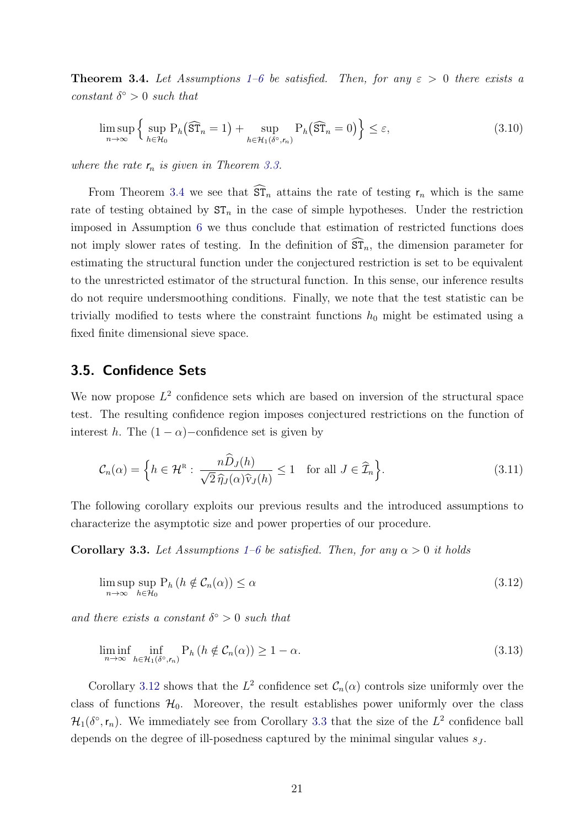<span id="page-21-1"></span>**Theorem 3.4.** Let Assumptions [1](#page-14-1)[–6](#page-20-2) be satisfied. Then, for any  $\varepsilon > 0$  there exists a constant  $\delta^{\circ} > 0$  such that

$$
\limsup_{n \to \infty} \left\{ \sup_{h \in \mathcal{H}_0} \mathcal{P}_h(\widehat{\mathrm{ST}}_n = 1) + \sup_{h \in \mathcal{H}_1(\delta^\circ, \mathcal{F}_n)} \mathcal{P}_h(\widehat{\mathrm{ST}}_n = 0) \right\} \le \varepsilon,
$$
\n(3.10)

where the rate  $r_n$  is given in Theorem [3.3.](#page-18-1)

From Theorem [3.4](#page-21-1) we see that  $\widehat{\mathrm{ST}}_n$  attains the rate of testing  $r_n$  which is the same rate of testing obtained by  $ST_n$  in the case of simple hypotheses. Under the restriction imposed in Assumption [6](#page-20-2) we thus conclude that estimation of restricted functions does not imply slower rates of testing. In the definition of  $\widehat{\text{ST}}_n$ , the dimension parameter for estimating the structural function under the conjectured restriction is set to be equivalent to the unrestricted estimator of the structural function. In this sense, our inference results do not require undersmoothing conditions. Finally, we note that the test statistic can be trivially modified to tests where the constraint functions  $h_0$  might be estimated using a fixed finite dimensional sieve space.

#### <span id="page-21-0"></span>3.5. Confidence Sets

We now propose  $L^2$  confidence sets which are based on inversion of the structural space test. The resulting confidence region imposes conjectured restrictions on the function of interest h. The  $(1 - \alpha)$  –confidence set is given by

$$
\mathcal{C}_n(\alpha) = \left\{ h \in \mathcal{H}^{\mathfrak{n}} : \frac{n \widehat{D}_J(h)}{\sqrt{2} \widehat{\eta}_J(\alpha) \widehat{\mathbf{v}}_J(h)} \le 1 \quad \text{for all } J \in \widehat{\mathcal{I}}_n \right\}.
$$
 (3.11)

The following corollary exploits our previous results and the introduced assumptions to characterize the asymptotic size and power properties of our procedure.

<span id="page-21-3"></span>**Corollary 3.3.** Let Assumptions [1](#page-14-1)[–6](#page-20-2) be satisfied. Then, for any  $\alpha > 0$  it holds

<span id="page-21-2"></span>
$$
\limsup_{n \to \infty} \sup_{h \in \mathcal{H}_0} \mathcal{P}_h \left( h \notin \mathcal{C}_n(\alpha) \right) \le \alpha \tag{3.12}
$$

and there exists a constant  $\delta^{\circ} > 0$  such that

$$
\liminf_{n \to \infty} \inf_{h \in \mathcal{H}_1(\delta^\circ, r_n)} \mathcal{P}_h \left( h \notin \mathcal{C}_n(\alpha) \right) \ge 1 - \alpha. \tag{3.13}
$$

Corollary [3.12](#page-21-2) shows that the  $L^2$  confidence set  $\mathcal{C}_n(\alpha)$  controls size uniformly over the class of functions  $\mathcal{H}_0$ . Moreover, the result establishes power uniformly over the class  $\mathcal{H}_1(\delta^{\circ}, r_n)$ . We immediately see from Corollary [3.3](#page-21-3) that the size of the  $L^2$  confidence ball depends on the degree of ill-posedness captured by the minimal singular values  $s_J$ .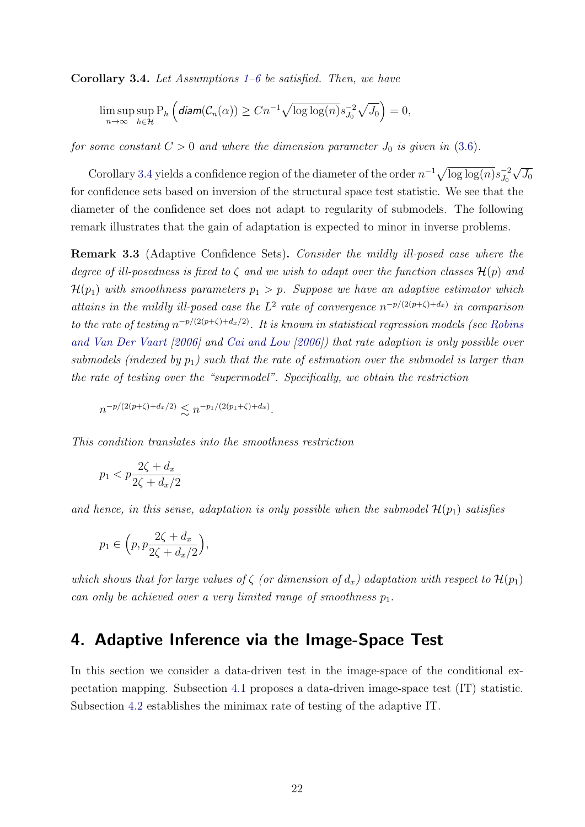<span id="page-22-1"></span>**Corollary 3.4.** Let Assumptions  $1-6$  $1-6$  be satisfied. Then, we have

$$
\limsup_{n\to\infty} \sup_{h\in\mathcal{H}} \mathrm{P}_h\left(\text{diam}(\mathcal{C}_n(\alpha)) \geq Cn^{-1}\sqrt{\log\log(n)}s_{J_0}^{-2}\sqrt{J_0}\right) = 0,
$$

for some constant  $C > 0$  and where the dimension parameter  $J_0$  is given in [\(3.6\)](#page-17-3).

Corollary [3.4](#page-22-1) yields a confidence region of the diameter of the order  $n^{-1}\sqrt{\log \log(n)}s_{J_0}^{-2}$  $J_0$ √  $J_0$ for confidence sets based on inversion of the structural space test statistic. We see that the diameter of the confidence set does not adapt to regularity of submodels. The following remark illustrates that the gain of adaptation is expected to minor in inverse problems.

Remark 3.3 (Adaptive Confidence Sets). Consider the mildly ill-posed case where the degree of ill-posedness is fixed to  $\zeta$  and we wish to adapt over the function classes  $\mathcal{H}(p)$  and  $\mathcal{H}(p_1)$  with smoothness parameters  $p_1 > p$ . Suppose we have an adaptive estimator which attains in the mildly ill-posed case the  $L^2$  rate of convergence  $n^{-p/(2(p+\zeta)+d_x)}$  in comparison to the rate of testing  $n^{-p/(2(p+\zeta)+d_x/2)}$ . It is known in statistical regression models (see [Robins](#page-36-8) [and Van Der Vaart](#page-36-8) [\[2006\]](#page-36-8) and [Cai and Low](#page-34-12) [\[2006\]](#page-34-12)) that rate adaption is only possible over submodels (indexed by  $p_1$ ) such that the rate of estimation over the submodel is larger than the rate of testing over the "supermodel". Specifically, we obtain the restriction

$$
n^{-p/(2(p+\zeta)+d_x/2)} \lesssim n^{-p_1/(2(p_1+\zeta)+d_x)}.
$$

This condition translates into the smoothness restriction

$$
p_1 < p \frac{2\zeta + d_x}{2\zeta + d_x/2}
$$

and hence, in this sense, adaptation is only possible when the submodel  $\mathcal{H}(p_1)$  satisfies

$$
p_1 \in \Big(p, p\frac{2\zeta + d_x}{2\zeta + d_x/2}\Big),
$$

which shows that for large values of  $\zeta$  (or dimension of  $d_x$ ) adaptation with respect to  $\mathcal{H}(p_1)$ can only be achieved over a very limited range of smoothness  $p_1$ .

### <span id="page-22-0"></span>4. Adaptive Inference via the Image-Space Test

In this section we consider a data-driven test in the image-space of the conditional expectation mapping. Subsection [4.1](#page-23-0) proposes a data-driven image-space test (IT) statistic. Subsection [4.2](#page-24-0) establishes the minimax rate of testing of the adaptive IT.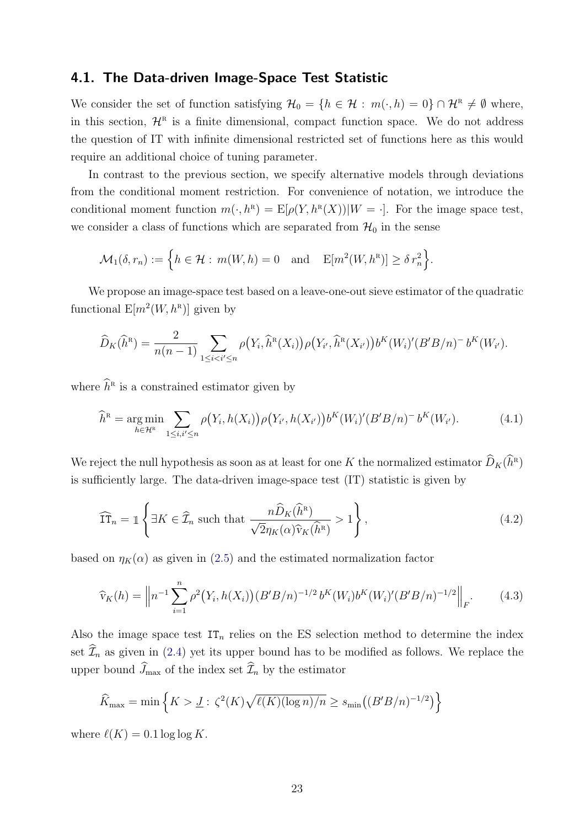#### <span id="page-23-0"></span>4.1. The Data-driven Image-Space Test Statistic

We consider the set of function satisfying  $\mathcal{H}_0 = \{h \in \mathcal{H} : m(\cdot,h) = 0\} \cap \mathcal{H}^{\text{R}} \neq \emptyset$  where, in this section,  $\mathcal{H}^R$  is a finite dimensional, compact function space. We do not address the question of IT with infinite dimensional restricted set of functions here as this would require an additional choice of tuning parameter.

In contrast to the previous section, we specify alternative models through deviations from the conditional moment restriction. For convenience of notation, we introduce the conditional moment function  $m(\cdot, h^{\mathbb{R}}) = \mathbb{E}[\rho(Y, h^{\mathbb{R}}(X)) | W = \cdot].$  For the image space test, we consider a class of functions which are separated from  $\mathcal{H}_0$  in the sense

$$
\mathcal{M}_1(\delta, r_n) := \left\{ h \in \mathcal{H} : m(W, h) = 0 \text{ and } E[m^2(W, h^R)] \geq \delta r_n^2 \right\}.
$$

We propose an image-space test based on a leave-one-out sieve estimator of the quadratic functional  $E[m^2(W, h^R)]$  given by

$$
\widehat{D}_{K}(\widehat{h}^{R}) = \frac{2}{n(n-1)} \sum_{1 \leq i < i' \leq n} \rho(Y_{i}, \widehat{h}^{R}(X_{i})) \rho(Y_{i'}, \widehat{h}^{R}(X_{i'})) b^{K}(W_{i})' (B'B/n)^{-} b^{K}(W_{i'}).
$$

where  $\widehat{h}^{\text{R}}$  is a constrained estimator given by

$$
\widehat{h}^{\mathcal{R}} = \underset{h \in \mathcal{H}^{\mathcal{R}}}{\arg \min} \sum_{1 \leq i, i' \leq n} \rho(Y_i, h(X_i)) \rho(Y_{i'}, h(X_{i'})) b^K(W_i)' (B'B/n)^{-} b^K(W_{i'}).
$$
(4.1)

We reject the null hypothesis as soon as at least for one K the normalized estimator  $\widehat{D}_K(\widehat{h}^{\scriptscriptstyle\mathrm{R}})$ is sufficiently large. The data-driven image-space test (IT) statistic is given by

<span id="page-23-1"></span>
$$
\widehat{\text{IT}}_n = \mathbb{1} \left\{ \exists K \in \widehat{\mathcal{I}}_n \text{ such that } \frac{n \widehat{D}_K(\widehat{h}^{\text{R}})}{\sqrt{2} \eta_K(\alpha) \widehat{v}_K(\widehat{h}^{\text{R}})} > 1 \right\},\tag{4.2}
$$

based on  $\eta_K(\alpha)$  as given in [\(2.5\)](#page-8-3) and the estimated normalization factor

$$
\widehat{v}_K(h) = \left\| n^{-1} \sum_{i=1}^n \rho^2 \big(Y_i, h(X_i)\big) (B'B/n)^{-1/2} b^K(W_i) b^K(W_i)' (B'B/n)^{-1/2} \right\|_F. \tag{4.3}
$$

Also the image space test  $IT_n$  relies on the ES selection method to determine the index set  $\widehat{\mathcal{I}}_n$  as given in [\(2.4\)](#page-8-2) yet its upper bound has to be modified as follows. We replace the upper bound  $\widehat{J}_{\max}$  of the index set  $\widehat{\mathcal{I}}_n$  by the estimator

$$
\widehat{K}_{\max} = \min \left\{ K > \underline{J} : \zeta^2(K) \sqrt{\ell(K) (\log n) / n} \ge s_{\min} \left( (B'B/n)^{-1/2} \right) \right\}
$$

where  $\ell(K) = 0.1 \log \log K$ .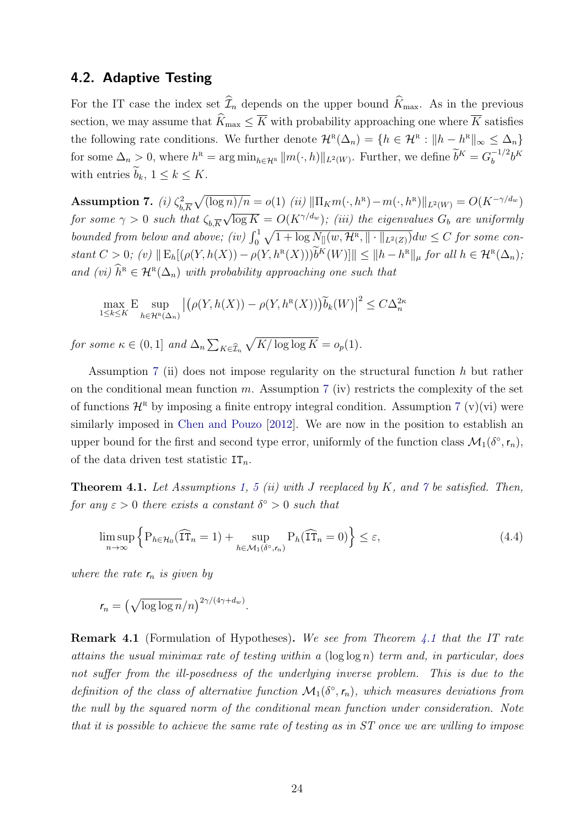#### <span id="page-24-0"></span>4.2. Adaptive Testing

For the IT case the index set  $\widehat{\mathcal{I}}_n$  depends on the upper bound  $\widehat{K}_{\text{max}}$ . As in the previous section, we may assume that  $\widehat{K}_{\max} \leq \overline{K}$  with probability approaching one where  $\overline{K}$  satisfies the following rate conditions. We further denote  $\mathcal{H}^R(\Delta_n) = \{h \in \mathcal{H}^R : ||h - h^R||_{\infty} \leq \Delta_n\}$ for some  $\Delta_n > 0$ , where  $h^R = \arg \min_{h \in \mathcal{H}^R} ||m(\cdot, h)||_{L^2(W)}$ . Further, we define  $\widetilde{b}^K = G_b^{-1/2}$  $b^{-1/2}b^K$ with entries  $b_k$ ,  $1 \leq k \leq K$ .

<span id="page-24-1"></span>Assumption 7. (i)  $\zeta_h^2$  $\frac{1}{b,K}\sqrt{(\log n)/n} = o(1)$  (ii)  $\|\Pi_K m(\cdot, h^R) - m(\cdot, h^R)\|_{L^2(W)} = O(K^{-\gamma/d_w})$ for some  $\gamma > 0$  such that  $\zeta_{b,\overline{K}}$  $\sqrt{\log K} = O(K^{\gamma/d_w})$ ; (iii) the eigenvalues  $G_b$  are uniformly bounded from below and above; (iv)  $\int_0^1 \sqrt{1 + \log N_{\parallel}(w, \mathcal{H}^R, \| \cdot \|_{L^2(Z)})} dw \leq C$  for some con $stant C > 0; (v) \|\mathbb{E}_h[(\rho(Y, h(X)) - \rho(Y, h^{\mathsf{R}}(X)))\widetilde{b}^K(W)]\| \leq \|h - h^{\mathsf{R}}\|_{\mu}$  for all  $h \in \mathcal{H}^{\mathsf{R}}(\Delta_n);$ and (vi)  $\widehat{h}^{\text{R}} \in \mathcal{H}^{\text{R}}(\Delta_n)$  with probability approaching one such that

$$
\max_{1 \le k \le K} \mathbb{E} \sup_{h \in \mathcal{H}^{\mathbb{R}}(\Delta_n)} \left| \left( \rho(Y, h(X)) - \rho(Y, h^{\mathbb{R}}(X)) \right) \widetilde{b}_k(W) \right|^2 \le C \Delta_n^{2\kappa}
$$

for some  $\kappa \in (0,1]$  and  $\Delta_n \sum_{K \in \widehat{\mathcal{I}}_n}$  $\sqrt{K/\log\log K} = o_p(1).$ 

Assumption [7](#page-24-1) (ii) does not impose regularity on the structural function h but rather on the conditional mean function m. Assumption [7](#page-24-1) (iv) restricts the complexity of the set of functions  $\mathcal{H}^R$  by imposing a finite entropy integral condition. Assumption [7](#page-24-1) (v)(vi) were similarly imposed in [Chen and Pouzo](#page-34-9) [\[2012\]](#page-34-9). We are now in the position to establish an upper bound for the first and second type error, uniformly of the function class  $\mathcal{M}_1(\delta^{\circ}, r_n)$ , of the data driven test statistic  $IT_n$ .

<span id="page-24-2"></span>**Theorem 4.1.** Let Assumptions [1,](#page-14-1) [5](#page-18-0) (ii) with J reeplaced by K, and  $\gamma$  be satisfied. Then, for any  $\varepsilon > 0$  there exists a constant  $\delta^{\circ} > 0$  such that

$$
\limsup_{n \to \infty} \left\{ P_{h \in \mathcal{H}_0}(\widehat{\mathrm{IT}}_n = 1) + \sup_{h \in \mathcal{M}_1(\delta^\circ, r_n)} P_h(\widehat{\mathrm{IT}}_n = 0) \right\} \le \varepsilon,\tag{4.4}
$$

where the rate  $r_n$  is given by

$$
r_n = \left(\sqrt{\log \log n}/n\right)^{2\gamma/(4\gamma+d_w)}.
$$

Remark 4.1 (Formulation of Hypotheses). We see from Theorem [4.1](#page-24-2) that the IT rate attains the usual minimax rate of testing within a  $(\log \log n)$  term and, in particular, does not suffer from the ill-posedness of the underlying inverse problem. This is due to the definition of the class of alternative function  $\mathcal{M}_1(\delta^{\circ}, r_n)$ , which measures deviations from the null by the squared norm of the conditional mean function under consideration. Note that it is possible to achieve the same rate of testing as in ST once we are willing to impose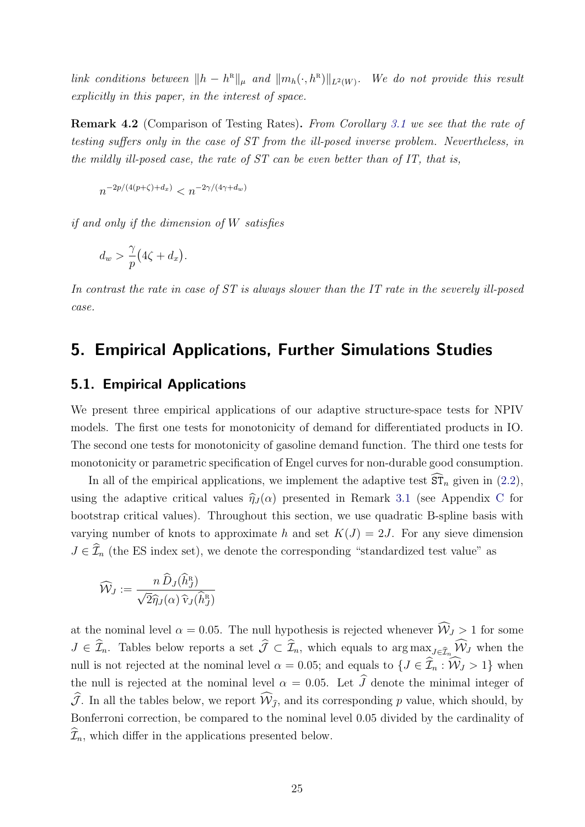link conditions between  $||h - h^{R}||_{\mu}$  and  $||m_h(\cdot, h^{R})||_{L^2(W)}$ . We do not provide this result explicitly in this paper, in the interest of space.

<span id="page-25-1"></span>Remark 4.2 (Comparison of Testing Rates). From Corollary [3.1](#page-16-3) we see that the rate of testing suffers only in the case of ST from the ill-posed inverse problem. Nevertheless, in the mildly ill-posed case, the rate of  $ST$  can be even better than of  $IT$ , that is,

$$
n^{-2p/(4(p+\zeta)+d_x)} < n^{-2\gamma/(4\gamma+d_w)}
$$

if and only if the dimension of W satisfies

$$
d_w > \frac{\gamma}{p} \big( 4\zeta + d_x \big).
$$

In contrast the rate in case of ST is always slower than the IT rate in the severely ill-posed case.

### <span id="page-25-0"></span>5. Empirical Applications, Further Simulations Studies

#### 5.1. Empirical Applications

We present three empirical applications of our adaptive structure-space tests for NPIV models. The first one tests for monotonicity of demand for differentiated products in IO. The second one tests for monotonicity of gasoline demand function. The third one tests for monotonicity or parametric specification of Engel curves for non-durable good consumption.

In all of the empirical applications, we implement the adaptive test  $ST_n$  given in [\(2.2\)](#page-8-1), using the adaptive critical values  $\hat{\eta}_J (\alpha)$  presented in Remark [3.1](#page-19-0) (see Appendix [C](#page-1-0) for bootstrap critical values). Throughout this section, we use quadratic B-spline basis with varying number of knots to approximate h and set  $K(J) = 2J$ . For any sieve dimension  $J \in \widehat{\mathcal{I}}_n$  (the ES index set), we denote the corresponding "standardized test value" as

$$
\widehat{\mathcal{W}}_J := \frac{n \,\widehat{D}_J(\widehat{h}_J^{\scriptscriptstyle\mathrm{R}})}{\sqrt{2} \widehat{\eta}_J(\alpha) \,\widehat{\mathrm{v}}_J(\widehat{h}_J^{\scriptscriptstyle\mathrm{R}})}
$$

at the nominal level  $\alpha = 0.05$ . The null hypothesis is rejected whenever  $\widehat{W}_J > 1$  for some  $J \in \widehat{\mathcal{I}}_n$ . Tables below reports a set  $\widehat{\mathcal{J}} \subset \widehat{\mathcal{I}}_n$ , which equals to  $\arg \max_{J \in \widehat{\mathcal{I}}_n} \widehat{\mathcal{W}}_J$  when the null is not rejected at the nominal level  $\alpha = 0.05$ ; and equals to  $\{J \in \hat{\mathcal{I}}_n : \hat{W}_J > 1\}$  when the null is rejected at the nominal level  $\alpha = 0.05$ . Let  $\widehat{J}$  denote the minimal integer of  $\widehat{J}$ . In all the tables below, we report  $\widehat{W}_{\widehat{J}}$ , and its corresponding p value, which should, by Bonferroni correction, be compared to the nominal level 0.05 divided by the cardinality of  $\widehat{\mathcal{I}}_n$ , which differ in the applications presented below.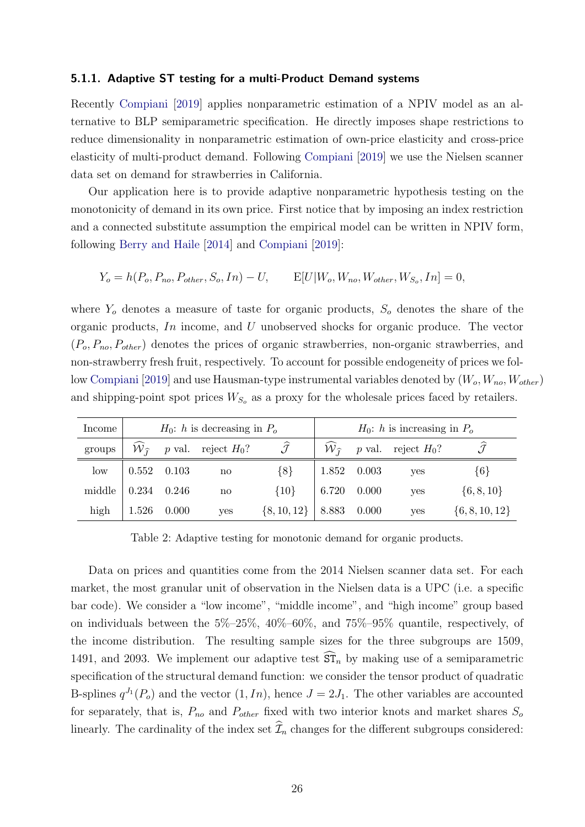#### 5.1.1. Adaptive ST testing for a multi-Product Demand systems

Recently [Compiani](#page-34-8) [\[2019\]](#page-34-8) applies nonparametric estimation of a NPIV model as an alternative to BLP semiparametric specification. He directly imposes shape restrictions to reduce dimensionality in nonparametric estimation of own-price elasticity and cross-price elasticity of multi-product demand. Following [Compiani](#page-34-8) [\[2019\]](#page-34-8) we use the Nielsen scanner data set on demand for strawberries in California.

Our application here is to provide adaptive nonparametric hypothesis testing on the monotonicity of demand in its own price. First notice that by imposing an index restriction and a connected substitute assumption the empirical model can be written in NPIV form, following [Berry and Haile](#page-33-4) [\[2014\]](#page-33-4) and [Compiani](#page-34-8) [\[2019\]](#page-34-8):

$$
Y_o = h(P_o, P_{no}, P_{other}, S_o, In) - U, \qquad E[U|W_o, W_{no}, W_{other}, W_{S_o}, In] = 0,
$$

where  $Y_o$  denotes a measure of taste for organic products,  $S_o$  denotes the share of the organic products, In income, and U unobserved shocks for organic produce. The vector  $(P_o, P_{no}, P_{other})$  denotes the prices of organic strawberries, non-organic strawberries, and non-strawberry fresh fruit, respectively. To account for possible endogeneity of prices we fol-low [Compiani](#page-34-8) [\[2019\]](#page-34-8) and use Hausman-type instrumental variables denoted by  $(W_o, W_{no}, W_{other})$ and shipping-point spot prices  $W_{S_o}$  as a proxy for the wholesale prices faced by retailers.

| Income          |                                               |               | $H_0$ : h is decreasing in $P_o$                                                    |                 | $H_0$ : h is increasing in $P_o$ |  |                                        |                    |  |
|-----------------|-----------------------------------------------|---------------|-------------------------------------------------------------------------------------|-----------------|----------------------------------|--|----------------------------------------|--------------------|--|
| groups          |                                               |               | $\widehat{W}_{\widehat{\tau}}$ <i>p</i> val. reject $H_0$ ? $\widehat{\mathcal{J}}$ |                 |                                  |  | $W_{\hat{\tau}}$ p val. reject $H_0$ ? |                    |  |
| $_{\text{low}}$ | $\begin{array}{ l} 0.552 & 0.103 \end{array}$ |               | no                                                                                  | ${8}$           | 1.852 0.003                      |  | yes                                    | $\{6\}$            |  |
| middle          |                                               | $0.234$ 0.246 | $\mathbf{n}\mathbf{o}$                                                              | ${10}$          | 6.720 0.000                      |  | yes                                    | $\{6, 8, 10\}$     |  |
| high            | 1.526 0.000                                   |               | yes                                                                                 | $\{8, 10, 12\}$ | $8.883$ 0.000                    |  | yes                                    | $\{6, 8, 10, 12\}$ |  |

<span id="page-26-0"></span>Table 2: Adaptive testing for monotonic demand for organic products.

Data on prices and quantities come from the 2014 Nielsen scanner data set. For each market, the most granular unit of observation in the Nielsen data is a UPC (i.e. a specific bar code). We consider a "low income", "middle income", and "high income" group based on individuals between the 5%–25%, 40%–60%, and 75%–95% quantile, respectively, of the income distribution. The resulting sample sizes for the three subgroups are 1509, 1491, and 2093. We implement our adaptive test  $\overline{\text{ST}}_n$  by making use of a semiparametric specification of the structural demand function: we consider the tensor product of quadratic B-splines  $q^{J_1}(P_o)$  and the vector  $(1, In)$ , hence  $J = 2J_1$ . The other variables are accounted for separately, that is,  $P_{no}$  and  $P_{other}$  fixed with two interior knots and market shares  $S_o$ linearly. The cardinality of the index set  $\widehat{\mathcal{I}}_n$  changes for the different subgroups considered: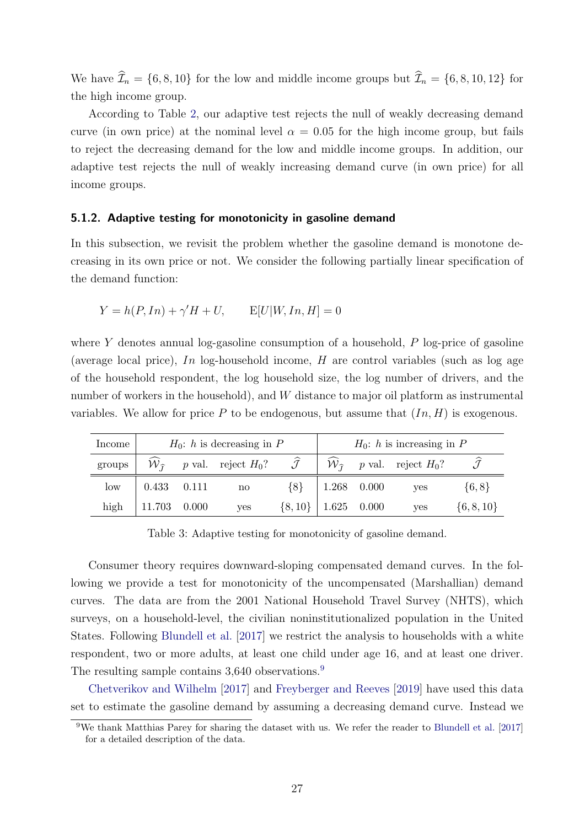We have  $\widehat{\mathcal{I}}_n = \{6, 8, 10\}$  for the low and middle income groups but  $\widehat{\mathcal{I}}_n = \{6, 8, 10, 12\}$  for the high income group.

According to Table [2,](#page-26-0) our adaptive test rejects the null of weakly decreasing demand curve (in own price) at the nominal level  $\alpha = 0.05$  for the high income group, but fails to reject the decreasing demand for the low and middle income groups. In addition, our adaptive test rejects the null of weakly increasing demand curve (in own price) for all income groups.

#### 5.1.2. Adaptive testing for monotonicity in gasoline demand

In this subsection, we revisit the problem whether the gasoline demand is monotone decreasing in its own price or not. We consider the following partially linear specification of the demand function:

$$
Y = h(P, In) + \gamma'H + U, \qquad \mathbb{E}[U|W, In, H] = 0
$$

where Y denotes annual log-gasoline consumption of a household,  $P$  log-price of gasoline (average local price), In log-household income,  $H$  are control variables (such as log age of the household respondent, the log household size, the log number of drivers, and the number of workers in the household), and W distance to major oil platform as instrumental variables. We allow for price P to be endogenous, but assume that  $(In, H)$  is exogenous.

| Income          |                                               | $H_0$ : h is decreasing in P                                                                                                                      |                           | $H_0$ : h is increasing in P |  |            |                |  |
|-----------------|-----------------------------------------------|---------------------------------------------------------------------------------------------------------------------------------------------------|---------------------------|------------------------------|--|------------|----------------|--|
| groups          |                                               | $\widehat{\mathcal{W}}_{\widehat{I}}$ p val. reject $H_0$ ? $\widehat{\mathcal{J}}$   $\widehat{\mathcal{W}}_{\widehat{I}}$ p val. reject $H_0$ ? |                           |                              |  |            |                |  |
| $_{\text{low}}$ | $\begin{array}{ c} 0.433 & 0.111 \end{array}$ | no                                                                                                                                                | ${8}$                     | 1.268 0.000                  |  | <b>ves</b> | $\{6, 8\}$     |  |
| high            | $11.703$ 0.000                                | yes                                                                                                                                               | $\{8, 10\}$   1.625 0.000 |                              |  | yes        | $\{6, 8, 10\}$ |  |

<span id="page-27-1"></span>Table 3: Adaptive testing for monotonicity of gasoline demand.

Consumer theory requires downward-sloping compensated demand curves. In the following we provide a test for monotonicity of the uncompensated (Marshallian) demand curves. The data are from the 2001 National Household Travel Survey (NHTS), which surveys, on a household-level, the civilian noninstitutionalized population in the United States. Following [Blundell et al.](#page-33-5) [\[2017\]](#page-33-5) we restrict the analysis to households with a white respondent, two or more adults, at least one child under age 16, and at least one driver. The resulting sample contains 3,640 observations.<sup>[9](#page-27-0)</sup>

[Chetverikov and Wilhelm](#page-34-7) [\[2017\]](#page-34-7) and [Freyberger and Reeves](#page-35-8) [\[2019\]](#page-35-8) have used this data set to estimate the gasoline demand by assuming a decreasing demand curve. Instead we

<span id="page-27-0"></span><sup>9</sup>We thank Matthias Parey for sharing the dataset with us. We refer the reader to [Blundell et al.](#page-33-5) [\[2017\]](#page-33-5) for a detailed description of the data.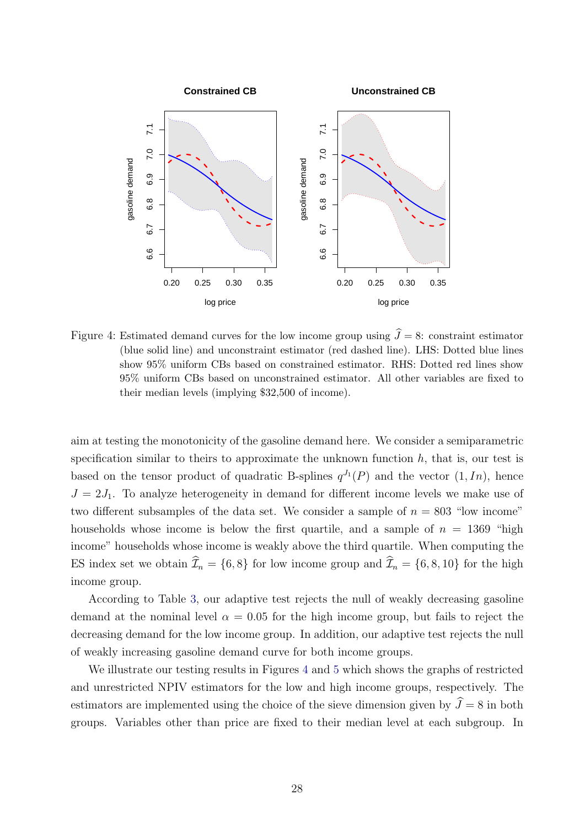

<span id="page-28-0"></span>Figure 4: Estimated demand curves for the low income group using  $\hat{J} = 8$ : constraint estimator (blue solid line) and unconstraint estimator (red dashed line). LHS: Dotted blue lines show 95% uniform CBs based on constrained estimator. RHS: Dotted red lines show 95% uniform CBs based on unconstrained estimator. All other variables are fixed to their median levels (implying \$32,500 of income).

aim at testing the monotonicity of the gasoline demand here. We consider a semiparametric specification similar to theirs to approximate the unknown function  $h$ , that is, our test is based on the tensor product of quadratic B-splines  $q^{J_1}(P)$  and the vector  $(1, In)$ , hence  $J = 2J_1$ . To analyze heterogeneity in demand for different income levels we make use of two different subsamples of the data set. We consider a sample of  $n = 803$  "low income" households whose income is below the first quartile, and a sample of  $n = 1369$  "high income" households whose income is weakly above the third quartile. When computing the ES index set we obtain  $\widehat{\mathcal{I}}_n = \{6, 8\}$  for low income group and  $\widehat{\mathcal{I}}_n = \{6, 8, 10\}$  for the high income group.

According to Table [3,](#page-27-1) our adaptive test rejects the null of weakly decreasing gasoline demand at the nominal level  $\alpha = 0.05$  for the high income group, but fails to reject the decreasing demand for the low income group. In addition, our adaptive test rejects the null of weakly increasing gasoline demand curve for both income groups.

We illustrate our testing results in Figures [4](#page-28-0) and [5](#page-29-0) which shows the graphs of restricted and unrestricted NPIV estimators for the low and high income groups, respectively. The estimators are implemented using the choice of the sieve dimension given by  $\hat{J} = 8$  in both groups. Variables other than price are fixed to their median level at each subgroup. In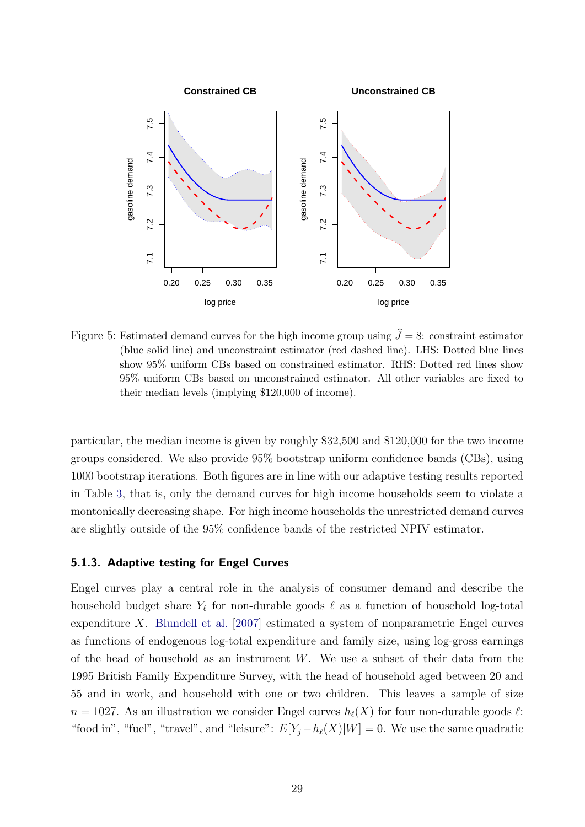

<span id="page-29-0"></span>Figure 5: Estimated demand curves for the high income group using  $\hat{J} = 8$ : constraint estimator (blue solid line) and unconstraint estimator (red dashed line). LHS: Dotted blue lines show 95% uniform CBs based on constrained estimator. RHS: Dotted red lines show 95% uniform CBs based on unconstrained estimator. All other variables are fixed to their median levels (implying \$120,000 of income).

particular, the median income is given by roughly \$32,500 and \$120,000 for the two income groups considered. We also provide 95% bootstrap uniform confidence bands (CBs), using 1000 bootstrap iterations. Both figures are in line with our adaptive testing results reported in Table [3,](#page-27-1) that is, only the demand curves for high income households seem to violate a montonically decreasing shape. For high income households the unrestricted demand curves are slightly outside of the 95% confidence bands of the restricted NPIV estimator.

#### 5.1.3. Adaptive testing for Engel Curves

Engel curves play a central role in the analysis of consumer demand and describe the household budget share  $Y_{\ell}$  for non-durable goods  $\ell$  as a function of household log-total expenditure X. [Blundell et al.](#page-33-2) [\[2007\]](#page-33-2) estimated a system of nonparametric Engel curves as functions of endogenous log-total expenditure and family size, using log-gross earnings of the head of household as an instrument  $W$ . We use a subset of their data from the 1995 British Family Expenditure Survey, with the head of household aged between 20 and 55 and in work, and household with one or two children. This leaves a sample of size  $n = 1027$ . As an illustration we consider Engel curves  $h_{\ell}(X)$  for four non-durable goods  $\ell$ : "food in", "fuel", "travel", and "leisure":  $E[Y_j - h_\ell(X)|W] = 0$ . We use the same quadratic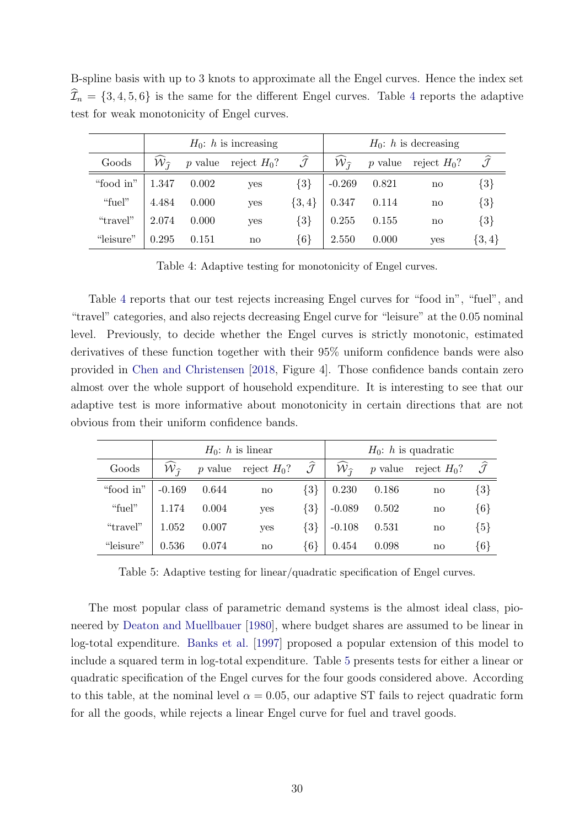B-spline basis with up to 3 knots to approximate all the Engel curves. Hence the index set  $\widehat{\mathcal{I}}_n = \{3, 4, 5, 6\}$  $\widehat{\mathcal{I}}_n = \{3, 4, 5, 6\}$  $\widehat{\mathcal{I}}_n = \{3, 4, 5, 6\}$  is the same for the different Engel curves. Table 4 reports the adaptive test for weak monotonicity of Engel curves.

|           |                             |       | $H_0$ : h is increasing |                         | $H_0$ : h is decreasing     |       |                        |                         |  |
|-----------|-----------------------------|-------|-------------------------|-------------------------|-----------------------------|-------|------------------------|-------------------------|--|
| Goods     | ${\cal W}_{\widehat{\tau}}$ |       | p value reject $H_0$ ?  | $\widehat{\mathcal{J}}$ | ${\cal W}_{\widehat{\tau}}$ |       | p value reject $H_0$ ? | $\widehat{\mathcal{J}}$ |  |
| "food in" | 1.347                       | 0.002 | yes                     | $\{3\}$                 | $-0.269$                    | 0.821 | $\mathbf{n}\mathbf{o}$ | $\{3\}$                 |  |
| "fuel"    | 4.484                       | 0.000 | yes                     | $\{3,4\}$               | 0.347                       | 0.114 | $\mathbf{n}\mathbf{o}$ | $\{3\}$                 |  |
| "travel"  | 2.074                       | 0.000 | yes                     | $\{3\}$                 | 0.255                       | 0.155 | $\mathbf{n}\mathbf{o}$ | ${3}$                   |  |
| "leisure" | 0.295                       | 0.151 | $\mathbf{n}\mathbf{o}$  | ${6}$                   | 2.550                       | 0.000 | yes                    | $\{3,4\}$               |  |

<span id="page-30-0"></span>Table 4: Adaptive testing for monotonicity of Engel curves.

Table [4](#page-30-0) reports that our test rejects increasing Engel curves for "food in", "fuel", and "travel" categories, and also rejects decreasing Engel curve for "leisure" at the 0.05 nominal level. Previously, to decide whether the Engel curves is strictly monotonic, estimated derivatives of these function together with their 95% uniform confidence bands were also provided in [Chen and Christensen](#page-34-3) [\[2018,](#page-34-3) Figure 4]. Those confidence bands contain zero almost over the whole support of household expenditure. It is interesting to see that our adaptive test is more informative about monotonicity in certain directions that are not obvious from their uniform confidence bands.

|           |                                       |       | $H_0$ : h is linear    |                         | $H_0$ : h is quadratic         |       |                        |                         |  |
|-----------|---------------------------------------|-------|------------------------|-------------------------|--------------------------------|-------|------------------------|-------------------------|--|
| Goods     | $\widehat{{\cal W}}_{\widehat{\tau}}$ |       | p value reject $H_0$ ? | $\widehat{\mathcal{J}}$ | $\widehat{W}_{\widehat{\tau}}$ |       | p value reject $H_0$ ? | $\widehat{\mathcal{J}}$ |  |
| "food in" | $-0.169$                              | 0.644 | $\mathbf{n}\mathbf{o}$ | $\{3\}$                 | 0.230                          | 0.186 | no                     | $\{3\}$                 |  |
| "fuel"    | 1.174                                 | 0.004 | yes                    | $\{3\}$                 | $-0.089$                       | 0.502 | no                     | $\{6\}$                 |  |
| "travel"  | 1.052                                 | 0.007 | yes                    | $\{3\}$                 | $-0.108$                       | 0.531 | no                     | ${5}$                   |  |
| "leisure" | 0.536                                 | 0.074 | $\mathbf{no}$          | ${6}$                   | 0.454                          | 0.098 | no                     | $\{6\}$                 |  |

<span id="page-30-1"></span>Table 5: Adaptive testing for linear/quadratic specification of Engel curves.

The most popular class of parametric demand systems is the almost ideal class, pioneered by [Deaton and Muellbauer](#page-35-14) [\[1980\]](#page-35-14), where budget shares are assumed to be linear in log-total expenditure. [Banks et al.](#page-33-6) [\[1997\]](#page-33-6) proposed a popular extension of this model to include a squared term in log-total expenditure. Table [5](#page-30-1) presents tests for either a linear or quadratic specification of the Engel curves for the four goods considered above. According to this table, at the nominal level  $\alpha = 0.05$ , our adaptive ST fails to reject quadratic form for all the goods, while rejects a linear Engel curve for fuel and travel goods.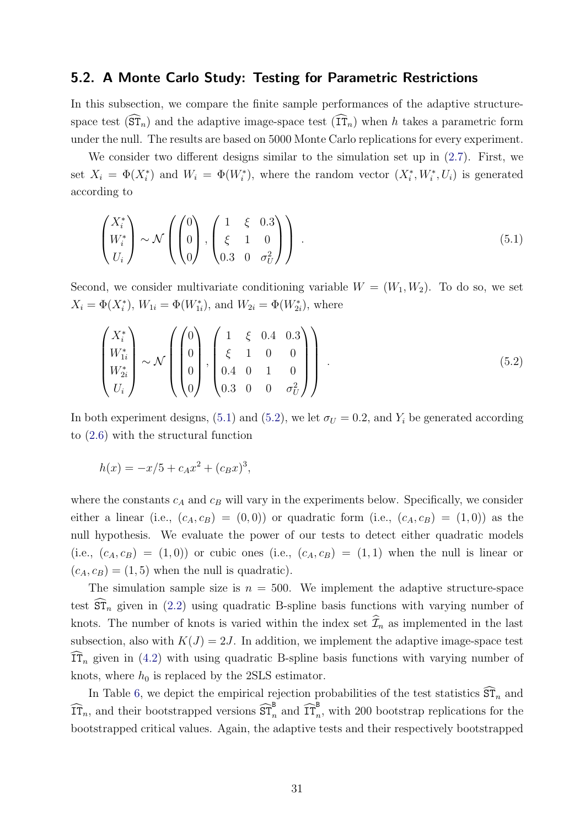#### 5.2. A Monte Carlo Study: Testing for Parametric Restrictions

In this subsection, we compare the finite sample performances of the adaptive structurespace test  $(\widehat{\mathrm{ST}}_n)$  and the adaptive image-space test  $(\widehat{\mathrm{IT}}_n)$  when h takes a parametric form under the null. The results are based on 5000 Monte Carlo replications for every experiment.

We consider two different designs similar to the simulation set up in [\(2.7\)](#page-9-2). First, we set  $X_i = \Phi(X_i^*)$  and  $W_i = \Phi(W_i^*)$ , where the random vector  $(X_i^*, W_i^*, U_i)$  is generated according to

<span id="page-31-0"></span>
$$
\begin{pmatrix} X_i^* \\ W_i^* \\ U_i \end{pmatrix} \sim \mathcal{N} \left( \begin{pmatrix} 0 \\ 0 \\ 0 \end{pmatrix}, \begin{pmatrix} 1 & \xi & 0.3 \\ \xi & 1 & 0 \\ 0.3 & 0 & \sigma_U^2 \end{pmatrix} \right) . \tag{5.1}
$$

Second, we consider multivariate conditioning variable  $W = (W_1, W_2)$ . To do so, we set  $X_i = \Phi(X_i^*), W_{1i} = \Phi(W_{1i}^*), \text{ and } W_{2i} = \Phi(W_{2i}^*), \text{ where}$ 

<span id="page-31-1"></span>
$$
\begin{pmatrix} X_i^* \\ W_{1i}^* \\ W_{2i}^* \\ U_i \end{pmatrix} \sim \mathcal{N} \left( \begin{pmatrix} 0 \\ 0 \\ 0 \\ 0 \end{pmatrix}, \begin{pmatrix} 1 & \xi & 0.4 & 0.3 \\ \xi & 1 & 0 & 0 \\ 0.4 & 0 & 1 & 0 \\ 0.3 & 0 & 0 & \sigma_U^2 \end{pmatrix} \right) . \tag{5.2}
$$

In both experiment designs, [\(5.1\)](#page-31-0) and [\(5.2\)](#page-31-1), we let  $\sigma_U = 0.2$ , and  $Y_i$  be generated according to [\(2.6\)](#page-9-1) with the structural function

$$
h(x) = -x/5 + c_A x^2 + (c_B x)^3,
$$

where the constants  $c_A$  and  $c_B$  will vary in the experiments below. Specifically, we consider either a linear (i.e.,  $(c_A, c_B) = (0, 0)$ ) or quadratic form (i.e.,  $(c_A, c_B) = (1, 0)$ ) as the null hypothesis. We evaluate the power of our tests to detect either quadratic models (i.e.,  $(c_A, c_B) = (1, 0)$ ) or cubic ones (i.e.,  $(c_A, c_B) = (1, 1)$ ) when the null is linear or  $(c_A, c_B) = (1, 5)$  when the null is quadratic).

The simulation sample size is  $n = 500$ . We implement the adaptive structure-space test  $\widehat{\text{ST}}_n$  given in [\(2.2\)](#page-8-1) using quadratic B-spline basis functions with varying number of knots. The number of knots is varied within the index set  $\widehat{\mathcal{I}}_n$  as implemented in the last subsection, also with  $K(J) = 2J$ . In addition, we implement the adaptive image-space test  $\widehat{\text{IT}}_n$  given in [\(4.2\)](#page-23-1) with using quadratic B-spline basis functions with varying number of knots, where  $h_0$  is replaced by the 2SLS estimator.

In Table [6,](#page-32-0) we depict the empirical rejection probabilities of the test statistics  $\widehat{\mathrm{ST}}_n$  and  $\widehat{\text{IT}}_n$ , and their bootstrapped versions  $\widehat{\text{ST}}_n^{\text{B}}$  and  $\widehat{\text{IT}}_n^{\text{B}}$ , with 200 bootstrap replications for the bootstrapped critical values. Again, the adaptive tests and their respectively bootstrapped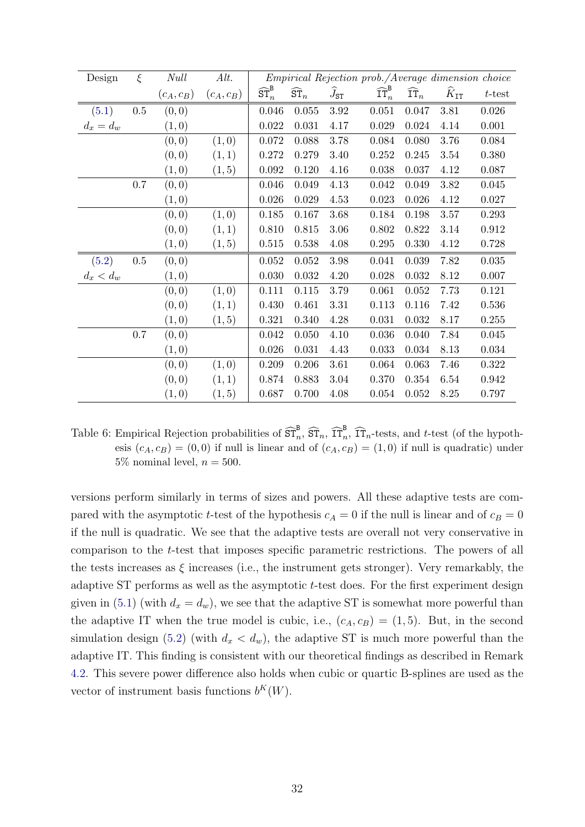| Design      | $\xi$   | <b>Null</b> | Alt.        |                                    |                           |                   | <i>Empirical Rejection prob./Average dimension choice</i> |                           |                       |             |
|-------------|---------|-------------|-------------|------------------------------------|---------------------------|-------------------|-----------------------------------------------------------|---------------------------|-----------------------|-------------|
|             |         | $(c_A,c_B)$ | $(c_A,c_B)$ | $\widehat{\text{ST}}^\texttt{B}_n$ | $\widehat{\texttt{ST}}_n$ | $J_{\mathtt{ST}}$ | $\widehat{\textrm{IT}}^\textrm{B}_n$                      | $\widehat{\mathtt{IT}}_n$ | $\hat{K}_{\text{IT}}$ | $t$ -test   |
| (5.1)       | $0.5\,$ | (0, 0)      |             | 0.046                              | 0.055                     | 3.92              | 0.051                                                     | 0.047                     | 3.81                  | $0.026\,$   |
| $d_x = d_w$ |         | (1,0)       |             | 0.022                              | 0.031                     | 4.17              | 0.029                                                     | 0.024                     | 4.14                  | $0.001\,$   |
|             |         | (0, 0)      | (1,0)       | $0.072\,$                          | 0.088                     | 3.78              | 0.084                                                     | 0.080                     | 3.76                  | 0.084       |
|             |         | (0, 0)      | (1,1)       | 0.272                              | 0.279                     | 3.40              | 0.252                                                     | 0.245                     | 3.54                  | 0.380       |
|             |         | (1,0)       | (1, 5)      | 0.092                              | 0.120                     | 4.16              | 0.038                                                     | 0.037                     | 4.12                  | 0.087       |
|             | $0.7\,$ | (0, 0)      |             | 0.046                              | 0.049                     | 4.13              | 0.042                                                     | 0.049                     | 3.82                  | 0.045       |
|             |         | (1,0)       |             | 0.026                              | 0.029                     | 4.53              | 0.023                                                     | 0.026                     | 4.12                  | 0.027       |
|             |         | (0, 0)      | (1,0)       | 0.185                              | 0.167                     | 3.68              | 0.184                                                     | 0.198                     | 3.57                  | 0.293       |
|             |         | (0, 0)      | (1, 1)      | 0.810                              | 0.815                     | 3.06              | 0.802                                                     | 0.822                     | 3.14                  | $\,0.912\,$ |
|             |         | (1,0)       | (1, 5)      | 0.515                              | 0.538                     | 4.08              | 0.295                                                     | 0.330                     | 4.12                  | 0.728       |
| (5.2)       | $0.5\,$ | (0, 0)      |             | 0.052                              | 0.052                     | $3.98\,$          | 0.041                                                     | 0.039                     | 7.82                  | 0.035       |
| $d_x < d_w$ |         | (1,0)       |             | 0.030                              | 0.032                     | 4.20              | 0.028                                                     | 0.032                     | 8.12                  | 0.007       |
|             |         | (0, 0)      | (1,0)       | 0.111                              | 0.115                     | 3.79              | 0.061                                                     | 0.052                     | 7.73                  | 0.121       |
|             |         | (0, 0)      | (1, 1)      | 0.430                              | 0.461                     | 3.31              | 0.113                                                     | 0.116                     | 7.42                  | 0.536       |
|             |         | (1,0)       | (1, 5)      | 0.321                              | 0.340                     | 4.28              | 0.031                                                     | 0.032                     | 8.17                  | 0.255       |
|             | $0.7\,$ | (0, 0)      |             | 0.042                              | 0.050                     | 4.10              | 0.036                                                     | 0.040                     | 7.84                  | 0.045       |
|             |         | (1,0)       |             | 0.026                              | 0.031                     | 4.43              | 0.033                                                     | 0.034                     | 8.13                  | 0.034       |
|             |         | (0, 0)      | (1,0)       | 0.209                              | $0.206\,$                 | 3.61              | 0.064                                                     | 0.063                     | 7.46                  | $0.322\,$   |
|             |         | (0,0)       | (1,1)       | 0.874                              | 0.883                     | 3.04              | 0.370                                                     | 0.354                     | 6.54                  | 0.942       |
|             |         | (1,0)       | (1, 5)      | 0.687                              | 0.700                     | 4.08              | 0.054                                                     | 0.052                     | 8.25                  | 0.797       |

<span id="page-32-0"></span>Table 6: Empirical Rejection probabilities of  $\widehat{\text{ST}}_n^B$ ,  $\widehat{\text{ST}}_n$ ,  $\widehat{\text{IT}}_n^B$ ,  $\widehat{\text{IT}}_n$ -tests, and t-test (of the hypothesis  $(c_A, c_B) = (0, 0)$  if null is linear and of  $(c_A, c_B) = (1, 0)$  if null is quadratic) under 5\% nominal level,  $n = 500$ .

versions perform similarly in terms of sizes and powers. All these adaptive tests are compared with the asymptotic t-test of the hypothesis  $c_A = 0$  if the null is linear and of  $c_B = 0$ if the null is quadratic. We see that the adaptive tests are overall not very conservative in comparison to the t-test that imposes specific parametric restrictions. The powers of all the tests increases as  $\xi$  increases (i.e., the instrument gets stronger). Very remarkably, the adaptive ST performs as well as the asymptotic  $t$ -test does. For the first experiment design given in [\(5.1\)](#page-31-0) (with  $d_x = d_w$ ), we see that the adaptive ST is somewhat more powerful than the adaptive IT when the true model is cubic, i.e.,  $(c_A, c_B) = (1, 5)$ . But, in the second simulation design [\(5.2\)](#page-31-1) (with  $d_x < d_w$ ), the adaptive ST is much more powerful than the adaptive IT. This finding is consistent with our theoretical findings as described in Remark [4.2.](#page-25-1) This severe power difference also holds when cubic or quartic B-splines are used as the vector of instrument basis functions  $b^K(W)$ .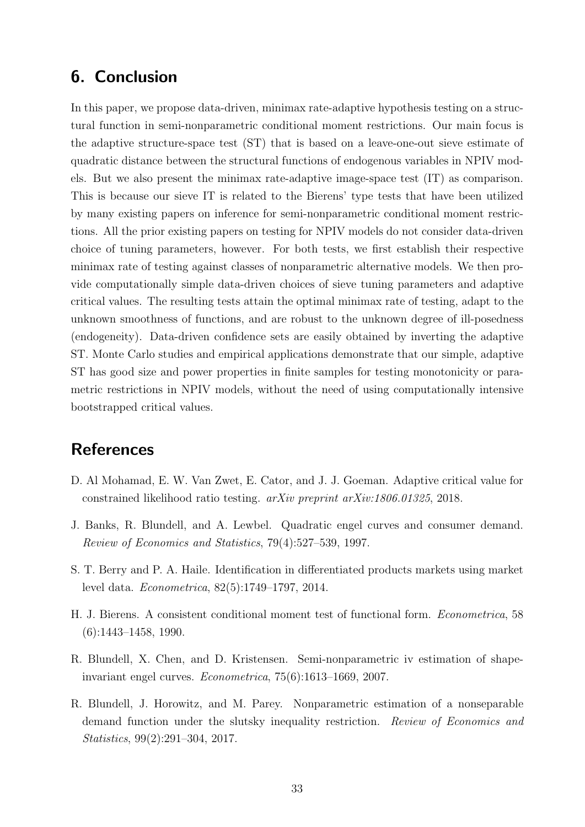### <span id="page-33-1"></span>6. Conclusion

In this paper, we propose data-driven, minimax rate-adaptive hypothesis testing on a structural function in semi-nonparametric conditional moment restrictions. Our main focus is the adaptive structure-space test (ST) that is based on a leave-one-out sieve estimate of quadratic distance between the structural functions of endogenous variables in NPIV models. But we also present the minimax rate-adaptive image-space test (IT) as comparison. This is because our sieve IT is related to the Bierens' type tests that have been utilized by many existing papers on inference for semi-nonparametric conditional moment restrictions. All the prior existing papers on testing for NPIV models do not consider data-driven choice of tuning parameters, however. For both tests, we first establish their respective minimax rate of testing against classes of nonparametric alternative models. We then provide computationally simple data-driven choices of sieve tuning parameters and adaptive critical values. The resulting tests attain the optimal minimax rate of testing, adapt to the unknown smoothness of functions, and are robust to the unknown degree of ill-posedness (endogeneity). Data-driven confidence sets are easily obtained by inverting the adaptive ST. Monte Carlo studies and empirical applications demonstrate that our simple, adaptive ST has good size and power properties in finite samples for testing monotonicity or parametric restrictions in NPIV models, without the need of using computationally intensive bootstrapped critical values.

### References

- <span id="page-33-3"></span>D. Al Mohamad, E. W. Van Zwet, E. Cator, and J. J. Goeman. Adaptive critical value for constrained likelihood ratio testing. arXiv preprint arXiv:1806.01325, 2018.
- <span id="page-33-6"></span>J. Banks, R. Blundell, and A. Lewbel. Quadratic engel curves and consumer demand. Review of Economics and Statistics, 79(4):527–539, 1997.
- <span id="page-33-4"></span>S. T. Berry and P. A. Haile. Identification in differentiated products markets using market level data. Econometrica, 82(5):1749–1797, 2014.
- <span id="page-33-0"></span>H. J. Bierens. A consistent conditional moment test of functional form. Econometrica, 58 (6):1443–1458, 1990.
- <span id="page-33-2"></span>R. Blundell, X. Chen, and D. Kristensen. Semi-nonparametric iv estimation of shapeinvariant engel curves. Econometrica, 75(6):1613–1669, 2007.
- <span id="page-33-5"></span>R. Blundell, J. Horowitz, and M. Parey. Nonparametric estimation of a nonseparable demand function under the slutsky inequality restriction. Review of Economics and Statistics, 99(2):291–304, 2017.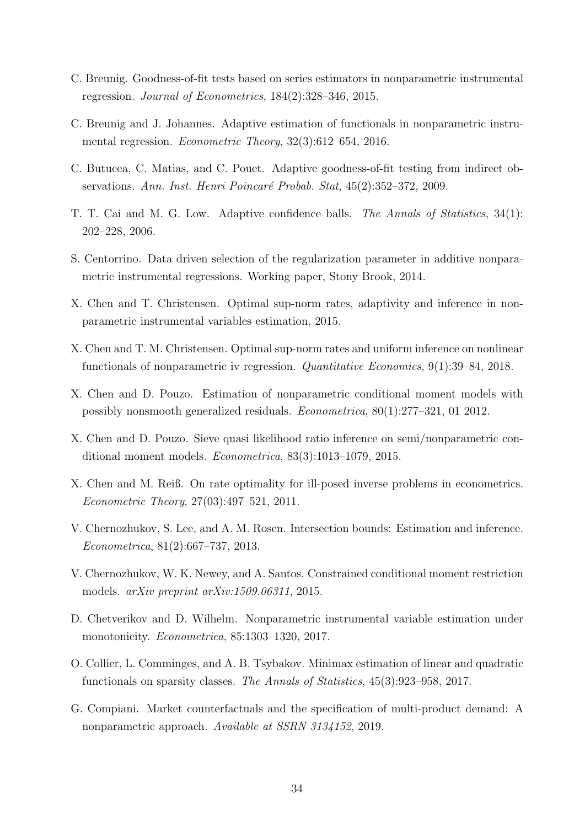- <span id="page-34-4"></span>C. Breunig. Goodness-of-fit tests based on series estimators in nonparametric instrumental regression. Journal of Econometrics, 184(2):328–346, 2015.
- <span id="page-34-2"></span>C. Breunig and J. Johannes. Adaptive estimation of functionals in nonparametric instrumental regression. Econometric Theory, 32(3):612–654, 2016.
- <span id="page-34-10"></span>C. Butucea, C. Matias, and C. Pouet. Adaptive goodness-of-fit testing from indirect observations. Ann. Inst. Henri Poincaré Probab. Stat, 45(2):352–372, 2009.
- <span id="page-34-12"></span>T. T. Cai and M. G. Low. Adaptive confidence balls. The Annals of Statistics, 34(1): 202–228, 2006.
- <span id="page-34-0"></span>S. Centorrino. Data driven selection of the regularization parameter in additive nonparametric instrumental regressions. Working paper, Stony Brook, 2014.
- <span id="page-34-1"></span>X. Chen and T. Christensen. Optimal sup-norm rates, adaptivity and inference in nonparametric instrumental variables estimation, 2015.
- <span id="page-34-3"></span>X. Chen and T. M. Christensen. Optimal sup-norm rates and uniform inference on nonlinear functionals of nonparametric iv regression. Quantitative Economics, 9(1):39–84, 2018.
- <span id="page-34-9"></span>X. Chen and D. Pouzo. Estimation of nonparametric conditional moment models with possibly nonsmooth generalized residuals. Econometrica, 80(1):277–321, 01 2012.
- <span id="page-34-6"></span>X. Chen and D. Pouzo. Sieve quasi likelihood ratio inference on semi/nonparametric conditional moment models. Econometrica, 83(3):1013–1079, 2015.
- <span id="page-34-13"></span>X. Chen and M. Reiß. On rate optimality for ill-posed inverse problems in econometrics. Econometric Theory, 27(03):497–521, 2011.
- <span id="page-34-11"></span>V. Chernozhukov, S. Lee, and A. M. Rosen. Intersection bounds: Estimation and inference. Econometrica, 81(2):667–737, 2013.
- <span id="page-34-5"></span>V. Chernozhukov, W. K. Newey, and A. Santos. Constrained conditional moment restriction models. arXiv preprint arXiv:1509.06311, 2015.
- <span id="page-34-7"></span>D. Chetverikov and D. Wilhelm. Nonparametric instrumental variable estimation under monotonicity. *Econometrica*, 85:1303-1320, 2017.
- <span id="page-34-14"></span>O. Collier, L. Comminges, and A. B. Tsybakov. Minimax estimation of linear and quadratic functionals on sparsity classes. The Annals of Statistics, 45(3):923–958, 2017.
- <span id="page-34-8"></span>G. Compiani. Market counterfactuals and the specification of multi-product demand: A nonparametric approach. Available at SSRN 3134152, 2019.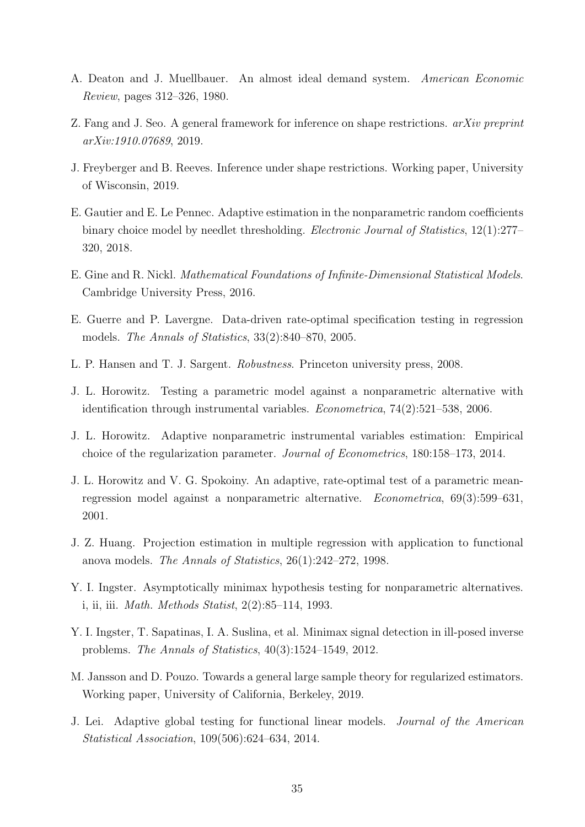- <span id="page-35-14"></span>A. Deaton and J. Muellbauer. An almost ideal demand system. American Economic Review, pages 312–326, 1980.
- <span id="page-35-13"></span>Z. Fang and J. Seo. A general framework for inference on shape restrictions. arXiv preprint arXiv:1910.07689, 2019.
- <span id="page-35-8"></span>J. Freyberger and B. Reeves. Inference under shape restrictions. Working paper, University of Wisconsin, 2019.
- <span id="page-35-2"></span>E. Gautier and E. Le Pennec. Adaptive estimation in the nonparametric random coefficients binary choice model by needlet thresholding. *Electronic Journal of Statistics*, 12(1):277– 320, 2018.
- <span id="page-35-0"></span>E. Gine and R. Nickl. Mathematical Foundations of Infinite-Dimensional Statistical Models. Cambridge University Press, 2016.
- <span id="page-35-6"></span>E. Guerre and P. Lavergne. Data-driven rate-optimal specification testing in regression models. The Annals of Statistics, 33(2):840–870, 2005.
- <span id="page-35-9"></span>L. P. Hansen and T. J. Sargent. Robustness. Princeton university press, 2008.
- <span id="page-35-7"></span>J. L. Horowitz. Testing a parametric model against a nonparametric alternative with identification through instrumental variables. Econometrica, 74(2):521–538, 2006.
- <span id="page-35-1"></span>J. L. Horowitz. Adaptive nonparametric instrumental variables estimation: Empirical choice of the regularization parameter. Journal of Econometrics, 180:158–173, 2014.
- <span id="page-35-5"></span>J. L. Horowitz and V. G. Spokoiny. An adaptive, rate-optimal test of a parametric meanregression model against a nonparametric alternative. Econometrica, 69(3):599–631, 2001.
- <span id="page-35-10"></span>J. Z. Huang. Projection estimation in multiple regression with application to functional anova models. The Annals of Statistics, 26(1):242–272, 1998.
- <span id="page-35-4"></span>Y. I. Ingster. Asymptotically minimax hypothesis testing for nonparametric alternatives. i, ii, iii. Math. Methods Statist, 2(2):85–114, 1993.
- <span id="page-35-12"></span>Y. I. Ingster, T. Sapatinas, I. A. Suslina, et al. Minimax signal detection in ill-posed inverse problems. The Annals of Statistics, 40(3):1524–1549, 2012.
- <span id="page-35-3"></span>M. Jansson and D. Pouzo. Towards a general large sample theory for regularized estimators. Working paper, University of California, Berkeley, 2019.
- <span id="page-35-11"></span>J. Lei. Adaptive global testing for functional linear models. Journal of the American Statistical Association, 109(506):624–634, 2014.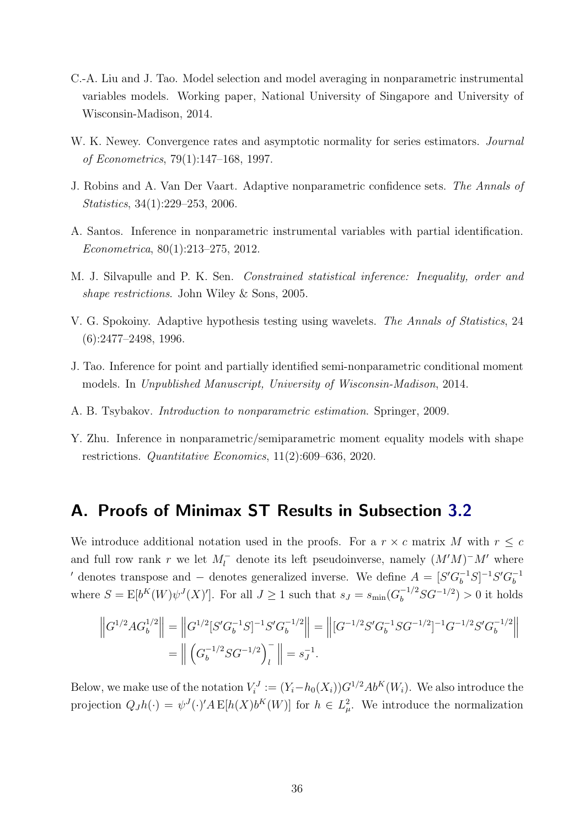- <span id="page-36-0"></span>C.-A. Liu and J. Tao. Model selection and model averaging in nonparametric instrumental variables models. Working paper, National University of Singapore and University of Wisconsin-Madison, 2014.
- <span id="page-36-6"></span>W. K. Newey. Convergence rates and asymptotic normality for series estimators. *Journal* of Econometrics, 79(1):147–168, 1997.
- <span id="page-36-8"></span>J. Robins and A. Van Der Vaart. Adaptive nonparametric confidence sets. The Annals of Statistics, 34(1):229–253, 2006.
- <span id="page-36-2"></span>A. Santos. Inference in nonparametric instrumental variables with partial identification. Econometrica, 80(1):213–275, 2012.
- <span id="page-36-7"></span>M. J. Silvapulle and P. K. Sen. Constrained statistical inference: Inequality, order and shape restrictions. John Wiley & Sons, 2005.
- <span id="page-36-1"></span>V. G. Spokoiny. Adaptive hypothesis testing using wavelets. The Annals of Statistics, 24 (6):2477–2498, 1996.
- <span id="page-36-3"></span>J. Tao. Inference for point and partially identified semi-nonparametric conditional moment models. In Unpublished Manuscript, University of Wisconsin-Madison, 2014.
- <span id="page-36-9"></span>A. B. Tsybakov. Introduction to nonparametric estimation. Springer, 2009.
- <span id="page-36-4"></span>Y. Zhu. Inference in nonparametric/semiparametric moment equality models with shape restrictions. Quantitative Economics, 11(2):609–636, 2020.

### <span id="page-36-5"></span>A. Proofs of Minimax ST Results in Subsection [3.2](#page-15-0)

We introduce additional notation used in the proofs. For a  $r \times c$  matrix M with  $r \leq c$ and full row rank r we let  $M_l^-$  denote its left pseudoinverse, namely  $(M'M)^-M'$  where ' denotes transpose and – denotes generalized inverse. We define  $A = [S'G_b^{-1}S]^{-1}S'G_b^{-1}$ b where  $S = \mathbb{E}[b^K(W)\psi^J(X)']$ . For all  $J \ge 1$  such that  $s_J = s_{\min}(G_b^{-1/2}SG^{-1/2}) > 0$  it holds

$$
\left\| G^{1/2} A G_b^{1/2} \right\| = \left\| G^{1/2} [S' G_b^{-1} S]^{-1} S' G_b^{-1/2} \right\| = \left\| [G^{-1/2} S' G_b^{-1} S G^{-1/2}]^{-1} G^{-1/2} S' G_b^{-1/2} \right\|
$$
  
= 
$$
\left\| \left( G_b^{-1/2} S G^{-1/2} \right)_l^{-} \right\| = s_J^{-1}.
$$

Below, we make use of the notation  $V_i^J := (Y_i - h_0(X_i))G^{1/2}Ab^K(W_i)$ . We also introduce the projection  $Q_J h(\cdot) = \psi^J(\cdot) A \, \mathbb{E}[h(X)b^K(W)]$  for  $h \in L^2_\mu$ . We introduce the normalization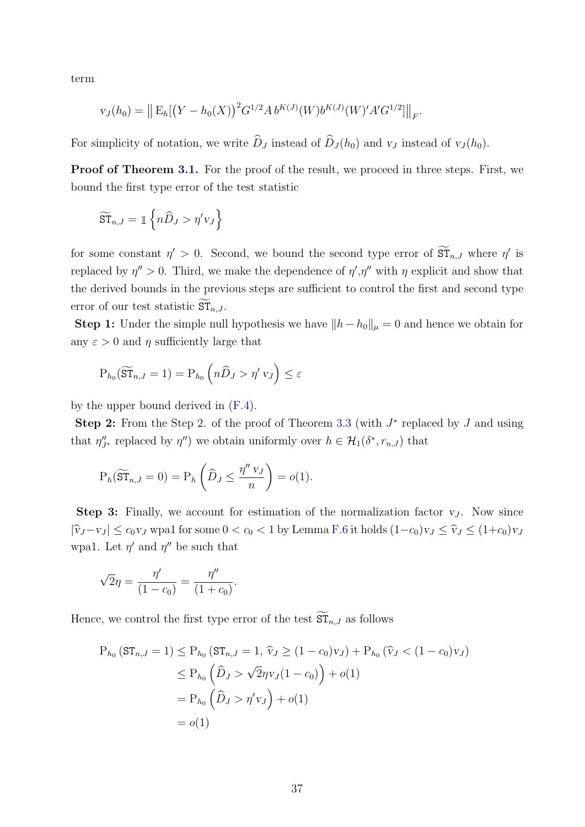term

$$
v_J(h_0) = || E_h[ (Y - h_0(X))^2 G^{1/2} A b^{K(J)}(W) b^{K(J)}(W)' A' G^{1/2}] ||_F.
$$

For simplicity of notation, we write  $\widehat{D}_J$  instead of  $\widehat{D}_J (h_0)$  and  $v_J$  instead of  $v_J (h_0)$ .

Proof of Theorem [3.1.](#page-16-0) For the proof of the result, we proceed in three steps. First, we bound the first type error of the test statistic

$$
\widetilde{\mathrm{ST}}_{n,J} = \mathbb{1} \left\{ n \widehat{D}_J > \eta' v_J \right\}
$$

for some constant  $\eta' > 0$ . Second, we bound the second type error of  $\widetilde{\mathrm{ST}}_{n,J}$  where  $\eta'$  is replaced by  $\eta'' > 0$ . Third, we make the dependence of  $\eta', \eta''$  with  $\eta$  explicit and show that the derived bounds in the previous steps are sufficient to control the first and second type error of our test statistic  $\widetilde{\mathrm{ST}}_{n,J}$ .

**Step 1:** Under the simple null hypothesis we have  $||h - h_0||_{\mu} = 0$  and hence we obtain for any  $\varepsilon > 0$  and  $\eta$  sufficiently large that

$$
P_{h_0}(\widetilde{ST}_{n,J}=1) = P_{h_0}\left(n\widehat{D}_J > \eta' v_J\right) \leq \varepsilon
$$

by the upper bound derived in [\(F.4\)](#page-1-0).

Step 2: From the Step 2. of the proof of Theorem [3.3](#page-18-1) (with  $J^*$  replaced by  $J$  and using that  $\eta_{J^*}'$  replaced by  $\eta''$ ) we obtain uniformly over  $h \in \mathcal{H}_1(\delta^*, r_{n,J})$  that

$$
P_h(\widetilde{ST}_{n,J}=0) = P_h\left(\widehat{D}_J \le \frac{\eta''\,v_J}{n}\right) = o(1).
$$

**Step 3:** Finally, we account for estimation of the normalization factor  $v_J$ . Now since  $|\hat{v}_J-v_J| \leq c_0v_J$  wpa1 for some  $0 < c_0 < 1$  by Lemma [F.6](#page-1-0) it holds  $(1-c_0)v_J \leq \hat{v}_J \leq (1+c_0)v_J$ wpa1. Let  $\eta'$  and  $\eta''$  be such that

$$
\sqrt{2}\eta = \frac{\eta'}{(1 - c_0)} = \frac{\eta''}{(1 + c_0)}.
$$

Hence, we control the first type error of the test  $\overline{\text{ST}}_{n,J}$  as follows

$$
P_{h_0} (ST_{n,J} = 1) \le P_{h_0} (ST_{n,J} = 1, \hat{v}_J \ge (1 - c_0)v_J) + P_{h_0} (\hat{v}_J < (1 - c_0)v_J)
$$
  
\n
$$
\le P_{h_0} (\hat{D}_J > \sqrt{2}\eta v_J(1 - c_0)) + o(1)
$$
  
\n
$$
= P_{h_0} (\hat{D}_J > \eta' v_J) + o(1)
$$
  
\n
$$
= o(1)
$$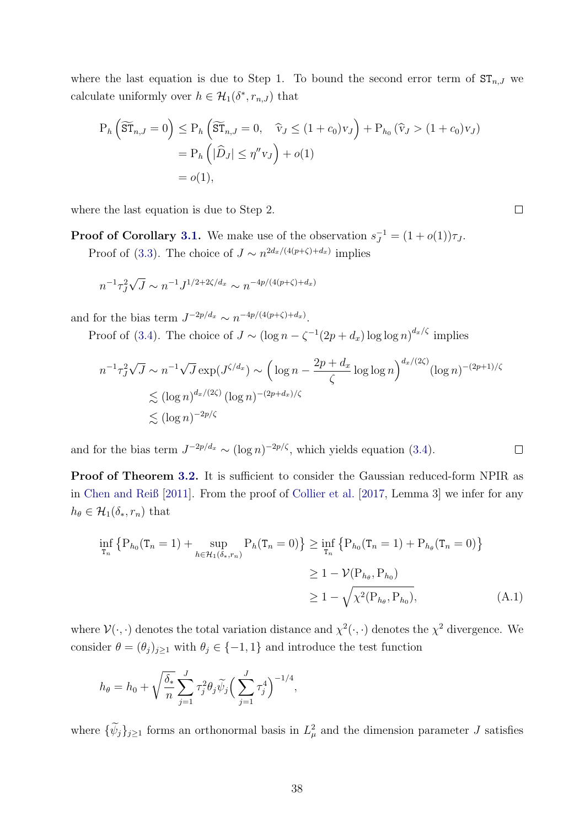where the last equation is due to Step 1. To bound the second error term of  $ST_{n,J}$  we calculate uniformly over  $h \in \mathcal{H}_1(\delta^*, r_{n,J})$  that

$$
P_h\left(\widetilde{\mathrm{ST}}_{n,J}=0\right) \le P_h\left(\widetilde{\mathrm{ST}}_{n,J}=0, \quad \widehat{v}_J \le (1+c_0)v_J\right) + P_{h_0}\left(\widehat{v}_J > (1+c_0)v_J\right)
$$
  
=  $P_h\left(|\widehat{D}_J| \le \eta''v_J\right) + o(1)$   
=  $o(1)$ ,

 $\Box$ 

<span id="page-38-0"></span> $\Box$ 

where the last equation is due to Step 2.

**Proof of Corollary [3.1.](#page-16-3)** We make use of the observation  $s_J^{-1} = (1 + o(1))\tau_J$ . Proof of [\(3.3\)](#page-16-4). The choice of  $J \sim n^{2d_x/(4(p+\zeta)+d_x)}$  implies

$$
n^{-1} \tau_J^2 \sqrt{J} \sim n^{-1} J^{1/2 + 2\zeta/d_x} \sim n^{-4p/(4(p+\zeta) + d_x)}
$$

and for the bias term  $J^{-2p/d_x} \sim n^{-4p/(4(p+\zeta)+d_x)}$ .

Proof of [\(3.4\)](#page-17-4). The choice of  $J \sim (\log n - \zeta^{-1}(2p + d_x) \log \log n)^{d_x/\zeta}$  implies

$$
n^{-1}\tau_J^2\sqrt{J} \sim n^{-1}\sqrt{J} \exp(J^{\zeta/d_x}) \sim \left(\log n - \frac{2p + d_x}{\zeta} \log \log n\right)^{d_x/(2\zeta)} (\log n)^{-(2p+1)/\zeta}
$$
  
\$\lesssim (\log n)^{d\_x/(2\zeta)} (\log n)^{-(2p+d\_x)/\zeta}\$  
\$\lesssim (\log n)^{-2p/\zeta}\$

and for the bias term  $J^{-2p/d_x} \sim (\log n)^{-2p/\zeta}$ , which yields equation [\(3.4\)](#page-17-4).

Proof of Theorem [3.2.](#page-17-2) It is sufficient to consider the Gaussian reduced-form NPIR as in [Chen and Reiß](#page-34-13) [\[2011\]](#page-34-13). From the proof of [Collier et al.](#page-34-14) [\[2017,](#page-34-14) Lemma 3] we infer for any  $h_{\theta} \in \mathcal{H}_1(\delta_*, r_n)$  that

$$
\inf_{\mathbf{T}_n} \left\{ P_{h_0}(\mathbf{T}_n = 1) + \sup_{h \in \mathcal{H}_1(\delta_*, r_n)} P_h(\mathbf{T}_n = 0) \right\} \ge \inf_{\mathbf{T}_n} \left\{ P_{h_0}(\mathbf{T}_n = 1) + P_{h_\theta}(\mathbf{T}_n = 0) \right\}
$$
\n
$$
\ge 1 - \mathcal{V}(P_{h_\theta}, P_{h_0})
$$
\n
$$
\ge 1 - \sqrt{\chi^2(P_{h_\theta}, P_{h_0})}, \tag{A.1}
$$

where  $\mathcal{V}(\cdot,\cdot)$  denotes the total variation distance and  $\chi^2(\cdot,\cdot)$  denotes the  $\chi^2$  divergence. We consider  $\theta = (\theta_j)_{j\geq 1}$  with  $\theta_j \in \{-1, 1\}$  and introduce the test function

$$
h_{\theta} = h_0 + \sqrt{\frac{\delta_*}{n}} \sum_{j=1}^{J} \tau_j^2 \theta_j \widetilde{\psi}_j \Big( \sum_{j=1}^{J} \tau_j^4 \Big)^{-1/4},
$$

where  $\{\tilde{\psi}_j\}_{j\geq 1}$  forms an orthonormal basis in  $L^2_{\mu}$  and the dimension parameter J satisfies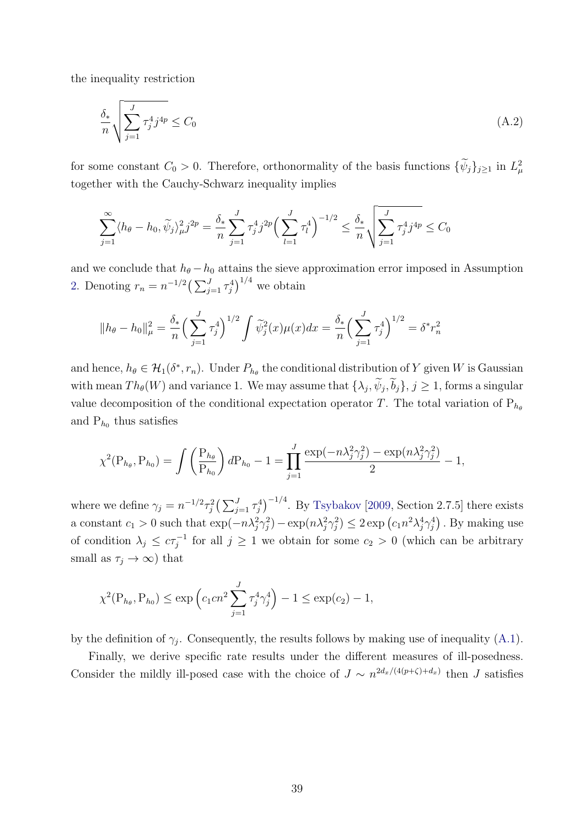the inequality restriction

<span id="page-39-0"></span>
$$
\frac{\delta_*}{n} \sqrt{\sum_{j=1}^J \tau_j^4 j^{4p}} \le C_0 \tag{A.2}
$$

for some constant  $C_0 > 0$ . Therefore, orthonormality of the basis functions  $\{\psi_j\}_{j\geq 1}$  in  $L^2_{\mu}$ together with the Cauchy-Schwarz inequality implies

$$
\sum_{j=1}^{\infty} \langle h_{\theta} - h_0, \widetilde{\psi}_j \rangle_{\mu}^2 j^{2p} = \frac{\delta_*}{n} \sum_{j=1}^J \tau_j^4 j^{2p} \Big( \sum_{l=1}^J \tau_l^4 \Big)^{-1/2} \le \frac{\delta_*}{n} \sqrt{\sum_{j=1}^J \tau_j^4 j^{4p}} \le C_0
$$

and we conclude that  $h_{\theta} - h_0$  attains the sieve approximation error imposed in Assumption [2.](#page-14-2) Denoting  $r_n = n^{-1/2} \left( \sum_{j=1}^J \tau_j^4 \right)^{1/4}$  we obtain

$$
||h_{\theta} - h_0||_{\mu}^2 = \frac{\delta_*}{n} \left(\sum_{j=1}^J \tau_j^4\right)^{1/2} \int \widetilde{\psi}_j^2(x) \mu(x) dx = \frac{\delta_*}{n} \left(\sum_{j=1}^J \tau_j^4\right)^{1/2} = \delta^* r_n^2
$$

and hence,  $h_{\theta} \in H_1(\delta^*, r_n)$ . Under  $P_{h_{\theta}}$  the conditional distribution of Y given W is Gaussian with mean  $Th_{\theta}(W)$  and variance 1. We may assume that  $\{\lambda_j, \psi_j, b_j\}, j \geq 1$ , forms a singular value decomposition of the conditional expectation operator T. The total variation of  $P_{h_{\theta}}$ and  $P_{h_0}$  thus satisfies

$$
\chi^2(\mathbf{P}_{h_{\theta}}, \mathbf{P}_{h_0}) = \int \left(\frac{\mathbf{P}_{h_{\theta}}}{\mathbf{P}_{h_0}}\right) d\mathbf{P}_{h_0} - 1 = \prod_{j=1}^J \frac{\exp(-n\lambda_j^2 \gamma_j^2) - \exp(n\lambda_j^2 \gamma_j^2)}{2} - 1,
$$

where we define  $\gamma_j = n^{-1/2} \tau_j^2 \left( \sum_{j=1}^J \tau_j^4 \right)^{-1/4}$ . By [Tsybakov](#page-36-9) [\[2009,](#page-36-9) Section 2.7.5] there exists a constant  $c_1 > 0$  such that  $\exp(-n\lambda_j^2\gamma_j^2) - \exp(n\lambda_j^2\gamma_j^2) \leq 2 \exp(c_1n^2\lambda_j^4\gamma_j^4)$ . By making use of condition  $\lambda_j \leq c\tau_j^{-1}$  for all  $j \geq 1$  we obtain for some  $c_2 > 0$  (which can be arbitrary small as  $\tau_j \to \infty$ ) that

$$
\chi^2(P_{h_{\theta}}, P_{h_0}) \le \exp\left(c_1 c n^2 \sum_{j=1}^J \tau_j^4 \gamma_j^4\right) - 1 \le \exp(c_2) - 1,
$$

by the definition of  $\gamma_j$ . Consequently, the results follows by making use of inequality [\(A.1\)](#page-38-0).

Finally, we derive specific rate results under the different measures of ill-posedness. Consider the mildly ill-posed case with the choice of  $J \sim n^{2d_x/(4(p+\zeta)+d_x)}$  then J satisfies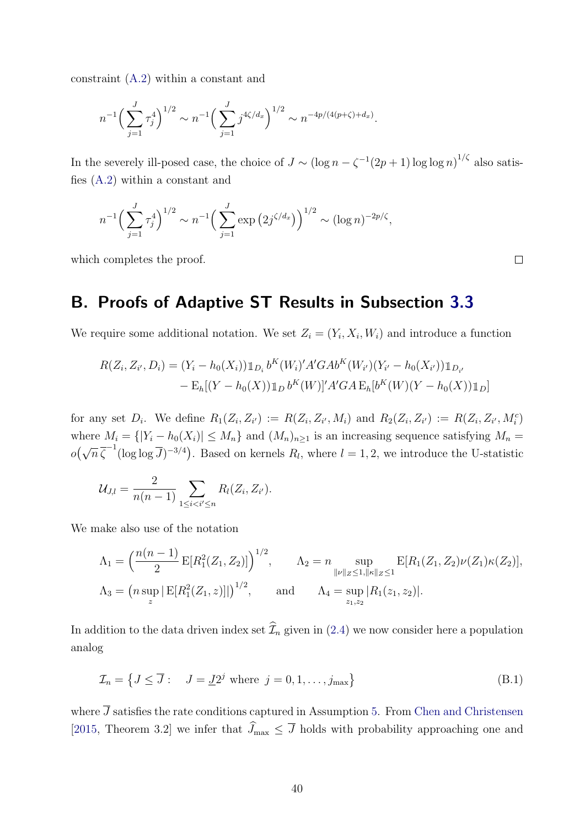constraint [\(A.2\)](#page-39-0) within a constant and

$$
n^{-1} \Big(\sum_{j=1}^{J} \tau_j^4\Big)^{1/2} \sim n^{-1} \Big(\sum_{j=1}^{J} j^{4\zeta/d_x}\Big)^{1/2} \sim n^{-4p/(4(p+\zeta)+d_x)}.
$$

In the severely ill-posed case, the choice of  $J \sim (\log n - \zeta^{-1}(2p+1) \log \log n)^{1/\zeta}$  also satisfies [\(A.2\)](#page-39-0) within a constant and

$$
n^{-1} \Big( \sum_{j=1}^{J} \tau_j^4 \Big)^{1/2} \sim n^{-1} \Big( \sum_{j=1}^{J} \exp \left( 2j^{\zeta/d_x} \right) \Big)^{1/2} \sim (\log n)^{-2p/\zeta},
$$

which completes the proof.

 $\Box$ 

### <span id="page-40-0"></span>B. Proofs of Adaptive ST Results in Subsection [3.3](#page-17-0)

We require some additional notation. We set  $Z_i = (Y_i, X_i, W_i)$  and introduce a function

$$
R(Z_i, Z_{i'}, D_i) = (Y_i - h_0(X_i)) \mathbb{1}_{D_i} b^K(W_i)' A' G A b^K(W_{i'}) (Y_{i'} - h_0(X_{i'})) \mathbb{1}_{D_{i'}}
$$
  
- 
$$
E_h[(Y - h_0(X)) \mathbb{1}_D b^K(W)]' A' G A E_h[b^K(W)(Y - h_0(X)) \mathbb{1}_D]
$$

for any set  $D_i$ . We define  $R_1(Z_i, Z_{i'}) := R(Z_i, Z_{i'}, M_i)$  and  $R_2(Z_i, Z_{i'}) := R(Z_i, Z_{i'}, M_i^c)$ where  $M_i = \{ |Y_i - h_0(X_i)| \leq M_n \}$  and  $(M_n)_{n \geq 1}$  is an increasing sequence satisfying  $M_n =$  $o(\sqrt{n}\,\overline{\zeta}^{-1}(\log\log\overline{J})^{-3/4})$ . Based on kernels  $R_l$ , where  $l = 1, 2$ , we introduce the U-statistic

$$
\mathcal{U}_{J,l} = \frac{2}{n(n-1)} \sum_{1 \leq i < i' \leq n} R_l(Z_i, Z_{i'}).
$$

We make also use of the notation

$$
\Lambda_1 = \left(\frac{n(n-1)}{2} \mathbb{E}[R_1^2(Z_1, Z_2)]\right)^{1/2}, \qquad \Lambda_2 = n \sup_{\|\nu\|_Z \le 1, \|\kappa\|_Z \le 1} \mathbb{E}[R_1(Z_1, Z_2)\nu(Z_1)\kappa(Z_2)],
$$
  

$$
\Lambda_3 = \left(n \sup_z |\mathbb{E}[R_1^2(Z_1, z)]|\right)^{1/2}, \qquad \text{and} \qquad \Lambda_4 = \sup_{z_1, z_2} |R_1(z_1, z_2)|.
$$

In addition to the data driven index set  $\widehat{\mathcal{I}}_n$  given in [\(2.4\)](#page-8-2) we now consider here a population analog

$$
\mathcal{I}_n = \left\{ J \le \overline{J} : \quad J = \underline{J}2^j \text{ where } j = 0, 1, \dots, j_{\text{max}} \right\} \tag{B.1}
$$

where  $\overline{J}$  satisfies the rate conditions captured in Assumption [5.](#page-18-0) From [Chen and Christensen](#page-34-1) [\[2015,](#page-34-1) Theorem 3.2] we infer that  $\widehat{J}_{\text{max}} \leq \overline{J}$  holds with probability approaching one and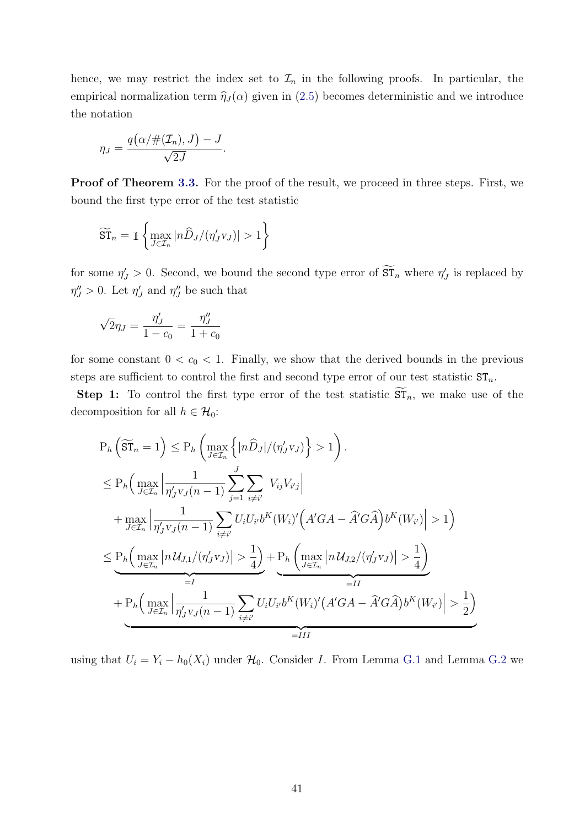hence, we may restrict the index set to  $\mathcal{I}_n$  in the following proofs. In particular, the empirical normalization term  $\hat{\eta}_J (\alpha)$  given in [\(2.5\)](#page-8-3) becomes deterministic and we introduce the notation

$$
\eta_J = \frac{q\big(\alpha/\#(\mathcal{I}_n), J\big) - J}{\sqrt{2J}}.
$$

Proof of Theorem [3.3.](#page-18-1) For the proof of the result, we proceed in three steps. First, we bound the first type error of the test statistic

$$
\widetilde{\mathrm{ST}}_n = \mathbb{1}\left\{\max_{J\in\mathcal{I}_n} |n\widehat{D}_J/(n'_Jv_J)| > 1\right\}
$$

for some  $\eta'_J > 0$ . Second, we bound the second type error of  $\overline{ST}_n$  where  $\eta'_J$  is replaced by  $\eta''_J > 0$ . Let  $\eta'_J$  and  $\eta''_J$  be such that

$$
\sqrt{2}\eta_J = \frac{\eta_J'}{1 - c_0} = \frac{\eta_J''}{1 + c_0}
$$

for some constant  $0 < c_0 < 1$ . Finally, we show that the derived bounds in the previous steps are sufficient to control the first and second type error of our test statistic  $ST_n$ .

**Step 1:** To control the first type error of the test statistic  $ST_n$ , we make use of the decomposition for all  $h \in \mathcal{H}_0$ :

$$
P_h\left(\widetilde{\mathrm{ST}}_n = 1\right) \le P_h\left(\max_{J \in \mathcal{I}_n} \left\{ |n\widehat{D}_J| / (\eta'_J v_J) \right\} > 1 \right).
$$
  
\n
$$
\le P_h\left(\max_{J \in \mathcal{I}_n} \left| \frac{1}{\eta'_J v_J (n-1)} \sum_{j=1}^J \sum_{i \neq i'} V_{ij} V_{ij} \right|
$$
  
\n
$$
+ \max_{J \in \mathcal{I}_n} \left| \frac{1}{\eta'_J v_J (n-1)} \sum_{i \neq i'} U_i U_{i'} b^K(W_i)' \left( A' G A - \widehat{A}' G \widehat{A} \right) b^K(W_{i'}) \right| > 1 \right)
$$
  
\n
$$
\le P_h\left(\max_{J \in \mathcal{I}_n} \left| n U_{J,1} / (\eta'_J v_J) \right| > \frac{1}{4} \right) + P_h\left(\max_{J \in \mathcal{I}_n} \left| n U_{J,2} / (\eta'_J v_J) \right| > \frac{1}{4} \right)
$$
  
\n
$$
+ P_h\left(\max_{J \in \mathcal{I}_n} \left| \frac{1}{\eta'_J v_J (n-1)} \sum_{i \neq i'} U_i U_{i'} b^K(W_i)' \left( A' G A - \widehat{A}' G \widehat{A} \right) b^K(W_{i'}) \right| > \frac{1}{2} \right)
$$
  
\n
$$
= II
$$

using that  $U_i = Y_i - h_0(X_i)$  under  $\mathcal{H}_0$ . Consider I. From Lemma [G.1](#page-1-0) and Lemma [G.2](#page-1-0) we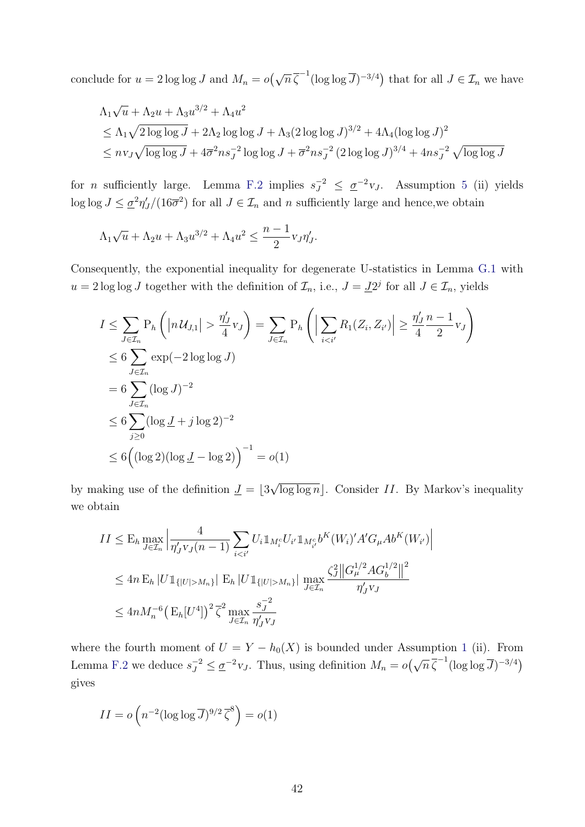conclude for  $u = 2 \log \log J$  and  $M_n = o(\sqrt{n} \overline{\zeta}^{-1} (\log \log \overline{J})^{-3/4})$  that for all  $J \in \mathcal{I}_n$  we have

$$
\Lambda_1 \sqrt{u} + \Lambda_2 u + \Lambda_3 u^{3/2} + \Lambda_4 u^2
$$
  
\n
$$
\leq \Lambda_1 \sqrt{2 \log \log J} + 2\Lambda_2 \log \log J + \Lambda_3 (2 \log \log J)^{3/2} + 4\Lambda_4 (\log \log J)^2
$$
  
\n
$$
\leq n v_J \sqrt{\log \log J} + 4\overline{\sigma}^2 n s_J^{-2} \log \log J + \overline{\sigma}^2 n s_J^{-2} (2 \log \log J)^{3/4} + 4n s_J^{-2} \sqrt{\log \log J}
$$

for *n* sufficiently large. Lemma [F.2](#page-1-0) implies  $s_J^{-2} \leq \underline{\sigma}^{-2}v_J$ . Assumption [5](#page-18-0) (ii) yields  $\log \log J \leq \underline{\sigma}^2 \eta'_J/(16\overline{\sigma}^2)$  for all  $J \in \mathcal{I}_n$  and n sufficiently large and hence, we obtain

$$
\Lambda_1\sqrt{u} + \Lambda_2 u + \Lambda_3 u^{3/2} + \Lambda_4 u^2 \le \frac{n-1}{2} v_J \eta'_J.
$$

Consequently, the exponential inequality for degenerate U-statistics in Lemma [G.1](#page-1-0) with  $u = 2 \log \log J$  together with the definition of  $\mathcal{I}_n$ , i.e.,  $J = \underline{J}2^j$  for all  $J \in \mathcal{I}_n$ , yields

$$
I \leq \sum_{J \in \mathcal{I}_n} P_h \left( |n \mathcal{U}_{J,1}| > \frac{\eta'_J}{4} v_J \right) = \sum_{J \in \mathcal{I}_n} P_h \left( \left| \sum_{i < i'} R_1(Z_i, Z_{i'}) \right| \geq \frac{\eta'_J}{4} \frac{n-1}{2} v_J \right)
$$
  
\n
$$
\leq 6 \sum_{J \in \mathcal{I}_n} \exp(-2 \log \log J)
$$
  
\n
$$
= 6 \sum_{J \in \mathcal{I}_n} (\log J)^{-2}
$$
  
\n
$$
\leq 6 \sum_{j \geq 0} (\log 2 + j \log 2)^{-2}
$$
  
\n
$$
\leq 6 \left( (\log 2)(\log \underline{J} - \log 2) \right)^{-1} = o(1)
$$

by making use of the definition  $\underline{J} = |3$ √  $\overline{\log \log n}$ . Consider II. By Markov's inequality we obtain

$$
II \leq E_h \max_{J \in \mathcal{I}_n} \left| \frac{4}{\eta_J' v_J (n-1)} \sum_{i < i'} U_i \mathbb{1}_{M_i^c} U_{i'} \mathbb{1}_{M_{i'}^c} b^K(W_i)' A' G_\mu A b^K(W_{i'}) \right|
$$
  
\n
$$
\leq 4n E_h |U \mathbb{1}_{\{|U| > M_n\}} | E_h |U \mathbb{1}_{\{|U| > M_n\}} | \max_{J \in \mathcal{I}_n} \frac{\zeta_J^2 ||G_\mu^{1/2} A G_b^{1/2}||^2}{\eta_J' v_J}
$$
  
\n
$$
\leq 4n M_n^{-6} \left( E_h [U^4] \right)^2 \overline{\zeta}^2 \max_{J \in \mathcal{I}_n} \frac{s_J^{-2}}{\eta_J' v_J}
$$

where the fourth moment of  $U = Y - h_0(X)$  is bounded under Assumption [1](#page-14-1) (ii). From Lemma [F.2](#page-1-0) we deduce  $s_J^{-2} \leq \underline{\sigma}^{-2} v_J$ . Thus, using definition  $M_n = o(\sqrt{n} \overline{\zeta}^{-1} (\log \log \overline{J})^{-3/4})$ gives

$$
II = o\left(n^{-2}(\log \log \overline{J})^{9/2}\overline{\zeta}^{8}\right) = o(1)
$$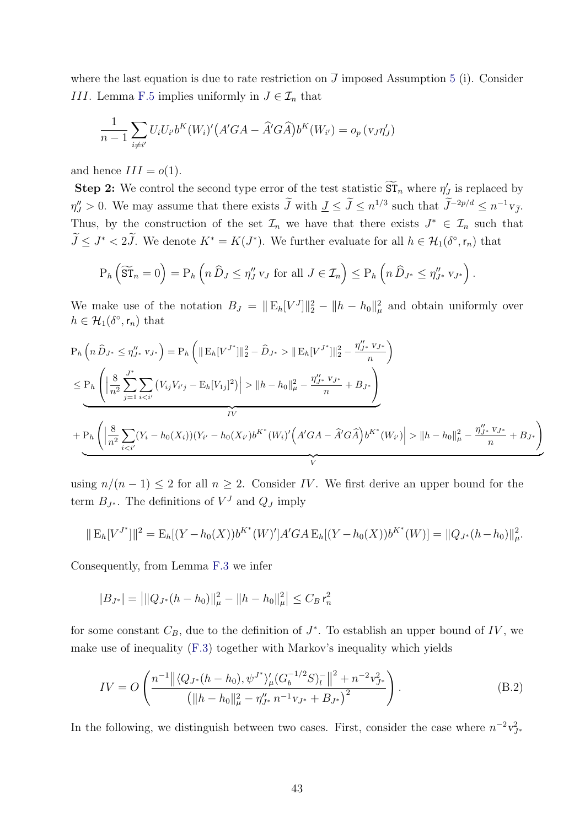where the last equation is due to rate restriction on  $\overline{J}$  imposed Assumption [5](#page-18-0) (i). Consider III. Lemma [F.5](#page-1-0) implies uniformly in  $J \in \mathcal{I}_n$  that

$$
\frac{1}{n-1}\sum_{i\neq i'}U_iU_{i'}b^K(W_i)'(A'GA - \widehat{A}'G\widehat{A})b^K(W_{i'}) = o_p(v_J\eta'_J)
$$

and hence  $III = o(1)$ .

**Step 2:** We control the second type error of the test statistic  $\widetilde{\text{ST}}_n$  where  $\eta'_J$  is replaced by  $\eta''_J > 0$ . We may assume that there exists  $\tilde{J}$  with  $\underline{J} \leq \tilde{J} \leq n^{1/3}$  such that  $\tilde{J}^{-2p/d} \leq n^{-1}v_{\tilde{J}}$ . Thus, by the construction of the set  $\mathcal{I}_n$  we have that there exists  $J^* \in \mathcal{I}_n$  such that  $\tilde{J} \leq J^* < 2\tilde{J}$ . We denote  $K^* = K(J^*)$ . We further evaluate for all  $h \in \mathcal{H}_1(\delta^{\circ}, r_n)$  that

$$
P_h\left(\widetilde{\mathrm{ST}}_n=0\right)=P_h\left(n\,\widehat{D}_J\leq \eta''_J\,v_J\text{ for all }J\in\mathcal{I}_n\right)\leq P_h\left(n\,\widehat{D}_{J^*}\leq \eta''_{J^*}\,v_{J^*}\right).
$$

We make use of the notation  $B_J = ||E_h[V^J]||_2^2 - ||h - h_0||_{\mu}^2$  and obtain uniformly over  $h \in \mathcal{H}_1(\delta^\circ, \mathsf{r}_n)$  that

$$
P_h\left(n\,\hat{D}_{J^*} \leq \eta_{J^*}'' \,v_{J^*}\right) = P_h\left(\|\mathbf{E}_h[V^{J^*}]\|_2^2 - \hat{D}_{J^*} > \|\mathbf{E}_h[V^{J^*}]\|_2^2 - \frac{\eta_{J^*}'' \,v_{J^*}}{n}\right)
$$
\n
$$
\leq P_h\left(\left|\frac{8}{n^2}\sum_{j=1}^{J^*}\sum_{i \|h - h_0\|_{\mu}^2 - \frac{\eta_{J^*}'' \,v_{J^*}}{n} + B_{J^*}\right)
$$
\n
$$
IV
$$
\n
$$
+ P_h\left(\left|\frac{8}{n^2}\sum_{i \|h - h_0\|_{\mu}^2 - \frac{\eta_{J^*}'' \,v_{J^*}}{n} + B_{J^*}\right)
$$

using  $n/(n-1) \leq 2$  for all  $n \geq 2$ . Consider IV. We first derive an upper bound for the term  $B_{J^*}$ . The definitions of  $V^J$  and  $Q_J$  imply

$$
\| \mathcal{E}_h[V^{J^*}] \|^2 = \mathcal{E}_h[(Y - h_0(X))b^{K^*}(W)']A'GA \mathcal{E}_h[(Y - h_0(X))b^{K^*}(W)] = \|Q_{J^*}(h - h_0)\|_{\mu}^2.
$$

Consequently, from Lemma [F.3](#page-1-0) we infer

$$
|B_{J^*}| = \left| ||Q_{J^*}(h - h_0)||_{\mu}^2 - ||h - h_0||_{\mu}^2 \right| \le C_B r_n^2
$$

for some constant  $C_B$ , due to the definition of  $J^*$ . To establish an upper bound of  $IV$ , we make use of inequality [\(F.3\)](#page-8-3) together with Markov's inequality which yields

<span id="page-43-0"></span>
$$
IV = O\left(\frac{n^{-1} \left\| \left\langle Q_{J^*}(h - h_0), \psi^{J^*} \right\rangle_{\mu} \left( G_b^{-1/2} S \right)_l^- \right\|^2 + n^{-2} v_{J^*}^2}{\left( \|h - h_0\|_{\mu}^2 - \eta_{J^*}'' n^{-1} v_{J^*} + B_{J^*} \right)^2} \right).
$$
\n(B.2)

In the following, we distinguish between two cases. First, consider the case where  $n^{-2}v_{J^*}^2$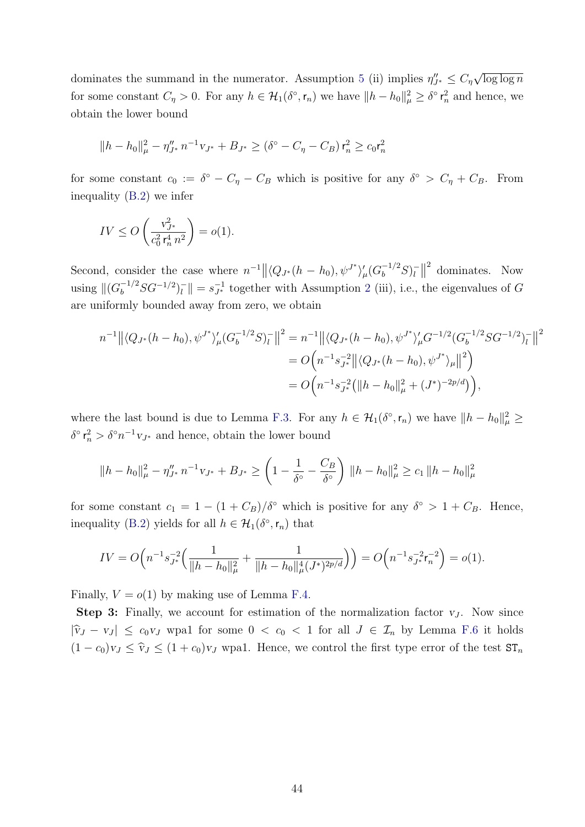dominates the summand in the numerator. Assumption [5](#page-18-0) (ii) implies  $\eta_{J^*}'' \leq C_{\eta}$ √  $\overline{\log\log n}$ for some constant  $C_{\eta} > 0$ . For any  $h \in \mathcal{H}_{1}(\delta^{\circ}, \mathsf{r}_{n})$  we have  $||h - h_{0}||_{\mu}^{2} \geq \delta^{\circ} \mathsf{r}_{n}^{2}$  and hence, we obtain the lower bound

$$
||h - h_0||_{\mu}^2 - \eta_{J^*}'' n^{-1} v_{J^*} + B_{J^*} \ge (\delta^\circ - C_\eta - C_B) r_n^2 \ge c_0 r_n^2
$$

for some constant  $c_0 := \delta^{\circ} - C_{\eta} - C_B$  which is positive for any  $\delta^{\circ} > C_{\eta} + C_B$ . From inequality [\(B.2\)](#page-43-0) we infer

$$
IV \le O\left(\frac{v_{J^*}^2}{c_0^2 r_n^4 n^2}\right) = o(1).
$$

Second, consider the case where  $n^{-1} || \langle Q_{J^*}(h - h_0), \psi^{J^*} \rangle_{\mu}' (G_b^{-1/2} S)_l^{-1}$  $\frac{1}{l}$ 2 dominates. Now using  $\|(G_b^{-1/2}SG^{-1/2})_l^{-1}$  $\|u\|_{l} = s_{J^*}^{-1}$  together with Assumption [2](#page-14-2) (iii), i.e., the eigenvalues of G are uniformly bounded away from zero, we obtain

$$
n^{-1} \left\| \langle Q_{J^*}(h-h_0), \psi^{J^*} \rangle_{\mu}' (G_b^{-1/2} S)_{l}^- \right\|^2 = n^{-1} \left\| \langle Q_{J^*}(h-h_0), \psi^{J^*} \rangle_{\mu}' G^{-1/2} (G_b^{-1/2} S G^{-1/2})_{l}^- \right\|^2
$$
  
=  $O\left(n^{-1} s_{J^*}^{-2} \left\| \langle Q_{J^*}(h-h_0), \psi^{J^*} \rangle_{\mu} \right\|^2\right)$   
=  $O\left(n^{-1} s_{J^*}^{-2} \left( \|h-h_0\|_{\mu}^2 + (J^*)^{-2p/d} \right) \right),$ 

where the last bound is due to Lemma [F.3.](#page-1-0) For any  $h \in \mathcal{H}_1(\delta^{\circ}, \mathsf{r}_n)$  we have  $||h - h_0||^2_{\mu} \geq$  $\delta^{\circ}$   $\mathsf{r}_n^2 > \delta^{\circ} n^{-1} \mathsf{v}_{J^*}$  and hence, obtain the lower bound

$$
||h - h_0||_{\mu}^2 - \eta_{J^*}'' n^{-1} v_{J^*} + B_{J^*} \ge \left(1 - \frac{1}{\delta^{\circ}} - \frac{C_B}{\delta^{\circ}}\right) ||h - h_0||_{\mu}^2 \ge c_1 ||h - h_0||_{\mu}^2
$$

for some constant  $c_1 = 1 - (1 + C_B)/\delta^{\circ}$  which is positive for any  $\delta^{\circ} > 1 + C_B$ . Hence, inequality [\(B.2\)](#page-43-0) yields for all  $h \in \mathcal{H}_1(\delta^{\circ}, r_n)$  that

$$
IV = O\Big(n^{-1} s_{J^*}^{-2} \Big(\frac{1}{\|h - h_0\|_{\mu}^2} + \frac{1}{\|h - h_0\|_{\mu}^4 (J^*)^{2p/d}}\Big)\Big) = O\Big(n^{-1} s_{J^*}^{-2} r_n^{-2}\Big) = o(1).
$$

Finally,  $V = o(1)$  by making use of Lemma [F.4.](#page-1-0)

**Step 3:** Finally, we account for estimation of the normalization factor  $v_j$ . Now since  $|\hat{v}_J - v_J| \leq c_0 v_J$  wpa1 for some  $0 < c_0 < 1$  for all  $J \in \mathcal{I}_n$  by Lemma [F.6](#page-1-0) it holds  $(1 - c_0)v_J \leq \hat{v}_J \leq (1 + c_0)v_J$  wpa1. Hence, we control the first type error of the test  $ST_n$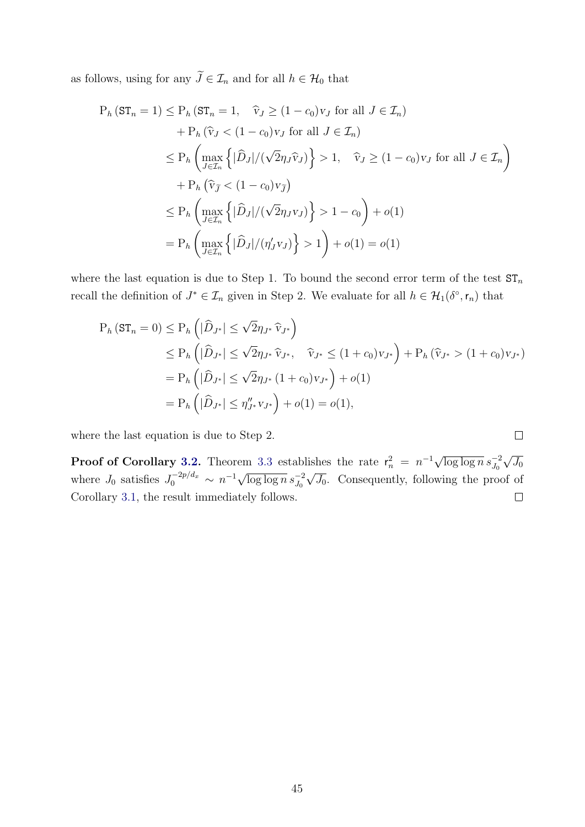as follows, using for any  $\widetilde{J}\in\mathcal{I}_n$  and for all  $h\in\mathcal{H}_0$  that

$$
P_h (ST_n = 1) \le P_h (ST_n = 1, \quad \hat{v}_J \ge (1 - c_0)v_J \text{ for all } J \in \mathcal{I}_n)
$$
  
+ 
$$
P_h (\hat{v}_J < (1 - c_0)v_J \text{ for all } J \in \mathcal{I}_n)
$$
  

$$
\le P_h \left( \max_{J \in \mathcal{I}_n} \left\{ |\hat{D}_J| / (\sqrt{2}\eta_J \hat{v}_J) \right\} > 1, \quad \hat{v}_J \ge (1 - c_0)v_J \text{ for all } J \in \mathcal{I}_n \right\}
$$
  
+ 
$$
P_h (\hat{v}_J < (1 - c_0)v_J)
$$
  

$$
\le P_h \left( \max_{J \in \mathcal{I}_n} \left\{ |\hat{D}_J| / (\sqrt{2}\eta_J v_J) \right\} > 1 - c_0 \right) + o(1)
$$
  

$$
= P_h \left( \max_{J \in \mathcal{I}_n} \left\{ |\hat{D}_J| / (\eta_J' v_J) \right\} > 1 \right) + o(1) = o(1)
$$

where the last equation is due to Step 1. To bound the second error term of the test  $ST_n$ recall the definition of  $J^* \in \mathcal{I}_n$  given in Step 2. We evaluate for all  $h \in \mathcal{H}_1(\delta^{\circ}, r_n)$  that

$$
P_h (ST_n = 0) \le P_h \left( |\hat{D}_{J^*}| \le \sqrt{2} \eta_{J^*} \hat{v}_{J^*} \right)
$$
  
\n
$$
\le P_h \left( |\hat{D}_{J^*}| \le \sqrt{2} \eta_{J^*} \hat{v}_{J^*}, \quad \hat{v}_{J^*} \le (1 + c_0) v_{J^*} \right) + P_h (\hat{v}_{J^*} > (1 + c_0) v_{J^*})
$$
  
\n
$$
= P_h \left( |\hat{D}_{J^*}| \le \sqrt{2} \eta_{J^*} (1 + c_0) v_{J^*} \right) + o(1)
$$
  
\n
$$
= P_h \left( |\hat{D}_{J^*}| \le \eta_{J^*}'' v_{J^*} \right) + o(1) = o(1),
$$

 $\Box$ 

where the last equation is due to Step 2.

**Proof of Corollary [3.2.](#page-18-3)** Theorem [3.3](#page-18-1) establishes the rate  $r_n^2 = n^{-1} \sqrt{\log \log n} s_{J_0}^{-2}$ √  $J_0$ where  $J_0$  satisfies  $J_0^{-2p/d_x} \sim n^{-1} \sqrt{\log \log n} s_{J_0}^{-2}$ √  $\overline{J_0}$ . Consequently, following the proof of Corollary [3.1,](#page-16-3) the result immediately follows.  $\Box$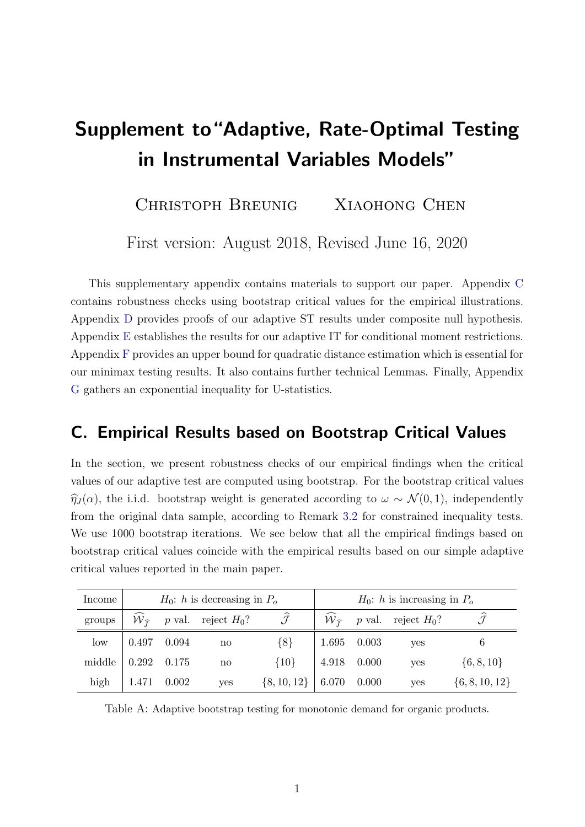# <span id="page-46-2"></span>Supplement to"Adaptive, Rate-Optimal Testing in Instrumental Variables Models"

CHRISTOPH BREUNIG XIAOHONG CHEN

First version: August 2018, Revised June 16, 2020

This supplementary appendix contains materials to support our paper. Appendix [C](#page-46-0) contains robustness checks using bootstrap critical values for the empirical illustrations. Appendix [D](#page-48-0) provides proofs of our adaptive ST results under composite null hypothesis. Appendix [E](#page-54-0) establishes the results for our adaptive IT for conditional moment restrictions. Appendix [F](#page-57-0) provides an upper bound for quadratic distance estimation which is essential for our minimax testing results. It also contains further technical Lemmas. Finally, Appendix [G](#page-67-0) gathers an exponential inequality for U-statistics.

### <span id="page-46-0"></span>C. Empirical Results based on Bootstrap Critical Values

In the section, we present robustness checks of our empirical findings when the critical values of our adaptive test are computed using bootstrap. For the bootstrap critical values  $\hat{\eta}_J(\alpha)$ , the i.i.d. bootstrap weight is generated according to  $\omega \sim \mathcal{N}(0, 1)$ , independently from the original data sample, according to Remark 3.2 for constrained inequality tests. We use 1000 bootstrap iterations. We see below that all the empirical findings based on bootstrap critical values coincide with the empirical results based on our simple adaptive critical values reported in the main paper.

| Income |                             |             | $H_0$ : h is decreasing in $P_o$ |                         | $H_0$ : h is increasing in $P_o$ |  |                              |                    |  |
|--------|-----------------------------|-------------|----------------------------------|-------------------------|----------------------------------|--|------------------------------|--------------------|--|
| groups | ${\cal W}_{\widehat{\tau}}$ |             | <i>p</i> val. reject $H_0$ ?     | $\widehat{\mathcal{J}}$ | $\mathcal{W}_{\widehat{\tau}}$   |  | <i>p</i> val. reject $H_0$ ? |                    |  |
| low    | $0.497$ 0.094               |             | $\mathbf{n}\mathbf{o}$           | ${8}$                   | 1.695 0.003                      |  | yes                          |                    |  |
| middle | $0.292$ $0.175$             |             | no                               | $\{10\}$                | 4.918 0.000                      |  | yes                          | $\{6, 8, 10\}$     |  |
| high   |                             | 1.471 0.002 | yes                              | $\{8, 10, 12\}$         | $6.070$ 0.000                    |  | yes                          | $\{6, 8, 10, 12\}$ |  |

<span id="page-46-1"></span>Table A: Adaptive bootstrap testing for monotonic demand for organic products.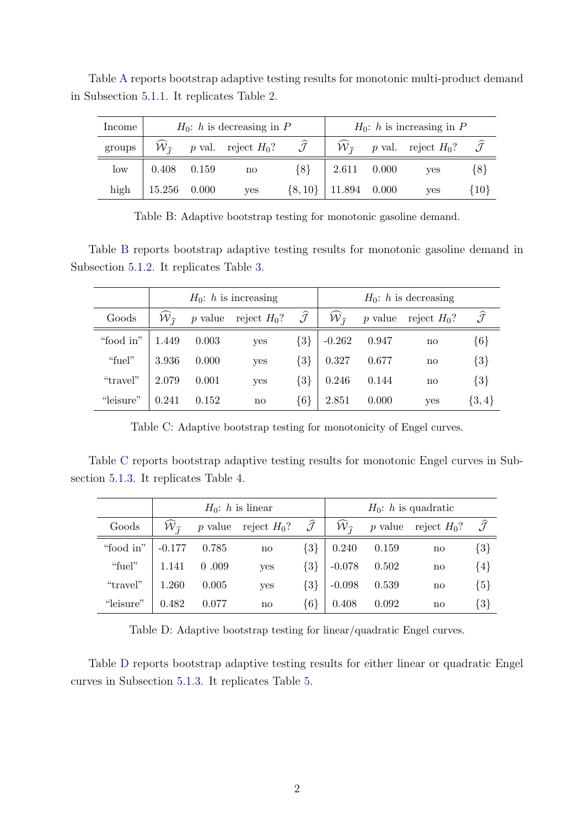| Income |                | $H_0$ : h is decreasing in P                               |       | $H_0$ : h is increasing in P |  |                                                                           |         |  |
|--------|----------------|------------------------------------------------------------|-------|------------------------------|--|---------------------------------------------------------------------------|---------|--|
| groups |                | $W_{\hat{\tau}}$ p val. reject $H_0$ ? $\hat{\mathcal{J}}$ |       |                              |  | $\mathcal{W}_{\widehat{I}}$ p val. reject $H_0$ ? $\widehat{\mathcal{J}}$ |         |  |
| low    | $0.408$ 0.159  | $\mathbf{n}$                                               | ${8}$ | 2.611 0.000                  |  | yes                                                                       | $\{8\}$ |  |
| high   | $15.256$ 0.000 | yes                                                        |       | $\{8, 10\}$   11.894 0.000   |  | yes                                                                       | {10}    |  |

Table [A](#page-46-1) reports bootstrap adaptive testing results for monotonic multi-product demand in Subsection [5.1.1.](#page-46-2) It replicates Table [2.](#page-46-2)

<span id="page-47-0"></span>Table B: Adaptive bootstrap testing for monotonic gasoline demand.

Table [B](#page-47-0) reports bootstrap adaptive testing results for monotonic gasoline demand in Subsection [5.1.2.](#page-46-2) It replicates Table [3.](#page-46-2)

|           |                             |           | $H_0$ : h is increasing |                         | $H_0$ : h is decreasing     |           |                |                         |  |  |
|-----------|-----------------------------|-----------|-------------------------|-------------------------|-----------------------------|-----------|----------------|-------------------------|--|--|
| Goods     | ${\cal W}_{\widehat{\tau}}$ | $p$ value | reject $H_0$ ?          | $\widehat{\mathcal{J}}$ | ${\cal W}_{\widehat{\tau}}$ | $p$ value | reject $H_0$ ? | $\widehat{\mathcal{J}}$ |  |  |
| "food in" | 1.449                       | 0.003     | yes                     | $\{3\}$                 | $-0.262$                    | 0.947     | no             | $\{6\}$                 |  |  |
| "fuel"    | 3.936                       | 0.000     | yes                     | $\{3\}$                 | 0.327                       | 0.677     | no             | $\{3\}$                 |  |  |
| "travel"  | 2.079                       | 0.001     | yes                     | ${3}$                   | 0.246                       | 0.144     | no             | $\{3\}$                 |  |  |
| "leisure" | 0.241                       | 0.152     | $\mathbf{n}$            | ${6}$                   | 2.851                       | 0.000     | yes            | $\{3,4\}$               |  |  |

<span id="page-47-1"></span>Table C: Adaptive bootstrap testing for monotonicity of Engel curves.

Table [C](#page-47-1) reports bootstrap adaptive testing results for monotonic Engel curves in Subsection [5.1.3.](#page-46-2) It replicates Table [4.](#page-46-2)

|           |                             |       | $H_0$ : h is linear    |                         | $H_0$ : h is quadratic         |       |                        |                         |  |
|-----------|-----------------------------|-------|------------------------|-------------------------|--------------------------------|-------|------------------------|-------------------------|--|
| Goods     | ${\cal W}_{\widehat{\tau}}$ |       | p value reject $H_0$ ? | $\widehat{\mathcal{J}}$ | $\mathcal{W}_{\widehat{\tau}}$ |       | p value reject $H_0$ ? | $\widehat{\mathcal{J}}$ |  |
| "food in" | $-0.177$                    | 0.785 | no                     | $\{3\}$                 | 0.240                          | 0.159 | no                     | ${3}$                   |  |
| "fuel"    | 1.141                       | 0.009 | yes                    | $\{3\}$                 | $-0.078$                       | 0.502 | no                     | ${4}$                   |  |
| "travel"  | 1.260                       | 0.005 | <b>ves</b>             | $\{3\}$                 | $-0.098$                       | 0.539 | no                     | ${5}$                   |  |
| "leisure" | 0.482                       | 0.077 | $\mathbf{n}$           | $\{6\}$                 | 0.408                          | 0.092 | no                     | ${3}$                   |  |

<span id="page-47-2"></span>Table D: Adaptive bootstrap testing for linear/quadratic Engel curves.

Table [D](#page-47-2) reports bootstrap adaptive testing results for either linear or quadratic Engel curves in Subsection [5.1.3.](#page-46-2) It replicates Table [5.](#page-46-2)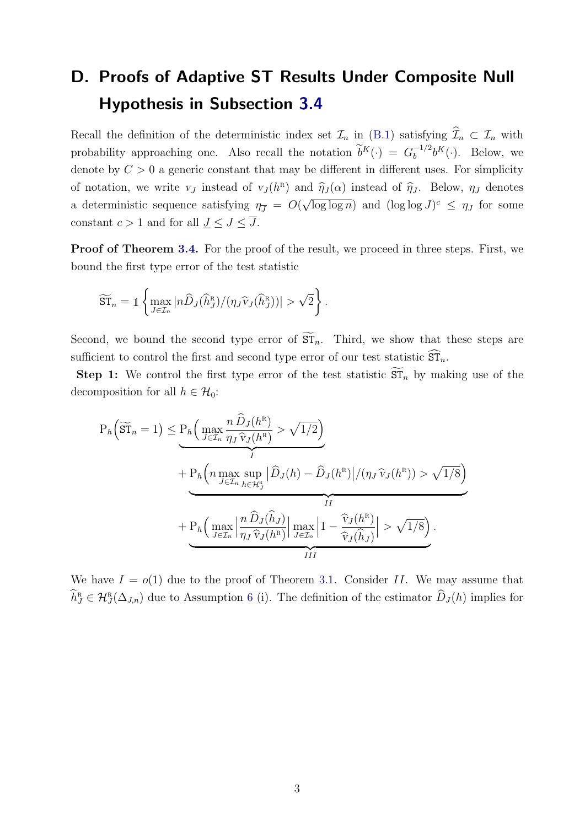## <span id="page-48-0"></span>D. Proofs of Adaptive ST Results Under Composite Null Hypothesis in Subsection [3.4](#page-46-2)

Recall the definition of the deterministic index set  $\mathcal{I}_n$  in [\(B.1\)](#page-46-2) satisfying  $\widehat{\mathcal{I}}_n \subset \mathcal{I}_n$  with probability approaching one. Also recall the notation  $\tilde{b}^K(\cdot) = G_b^{-1/2}$  $b_b^{-1/2}b^K(\cdot)$ . Below, we denote by  $C > 0$  a generic constant that may be different in different uses. For simplicity of notation, we write  $v_J$  instead of  $v_J(h^R)$  and  $\hat{\eta}_J(\alpha)$  instead of  $\hat{\eta}_J$ . Below,  $\eta_J$  denotes a deterministic sequence satisfying  $\eta_{\overline{J}} = O(r)$ √  $\overline{\log \log n}$  and  $(\log \log J)^c \leq \eta_J$  for some constant  $c > 1$  and for all  $\underline{J} \leq J \leq \overline{J}$ .

Proof of Theorem [3.4.](#page-46-2) For the proof of the result, we proceed in three steps. First, we bound the first type error of the test statistic

$$
\widetilde{\mathrm{ST}}_n = \mathbb{1} \left\{ \max_{J \in \mathcal{I}_n} |n \widehat{D}_J(\widehat{h}_J^{\scriptscriptstyle\mathrm{R}})/(\eta_J \widehat{v}_J(\widehat{h}_J^{\scriptscriptstyle\mathrm{R}}))| > \sqrt{2} \right\}.
$$

Second, we bound the second type error of  $\widetilde{\rm ST}_n$ . Third, we show that these steps are sufficient to control the first and second type error of our test statistic  $\widehat{\mathrm{ST}}_n$ .

**Step 1:** We control the first type error of the test statistic  $\widetilde{\text{ST}}_n$  by making use of the decomposition for all  $h \in \mathcal{H}_0$ :

$$
P_h\left(\widetilde{ST}_n = 1\right) \leq \underbrace{P_h\left(\max_{J \in \mathcal{I}_n} \frac{n \widehat{D}_J(h^R)}{\eta_J \widehat{v}_J(h^R)} > \sqrt{1/2}\right)}_{I} + P_h\left(n \max_{J \in \mathcal{I}_n} \sup_{h \in \mathcal{H}_J^R} \left| \widehat{D}_J(h) - \widehat{D}_J(h^R) \right| / (\eta_J \widehat{v}_J(h^R)) > \sqrt{1/8}\right)}_{II} + \underbrace{P_h\left(\max_{J \in \mathcal{I}_n} \left|\frac{n \widehat{D}_J(\widehat{h}_J)}{\eta_J \widehat{v}_J(h^R)}\right|\max_{J \in \mathcal{I}_n} \left|1 - \frac{\widehat{v}_J(h^R)}{\widehat{v}_J(\widehat{h}_J)}\right| > \sqrt{1/8}\right)}_{III}.
$$

We have  $I = o(1)$  due to the proof of Theorem [3.1.](#page-46-2) Consider II. We may assume that  $\widehat{h}_J^{\text{\tiny R}} \in \mathcal{H}_J^{\text{\tiny R}}(\Delta_{J,n})$  due to Assumption [6](#page-46-2) (i). The definition of the estimator  $\widehat{D}_J(h)$  implies for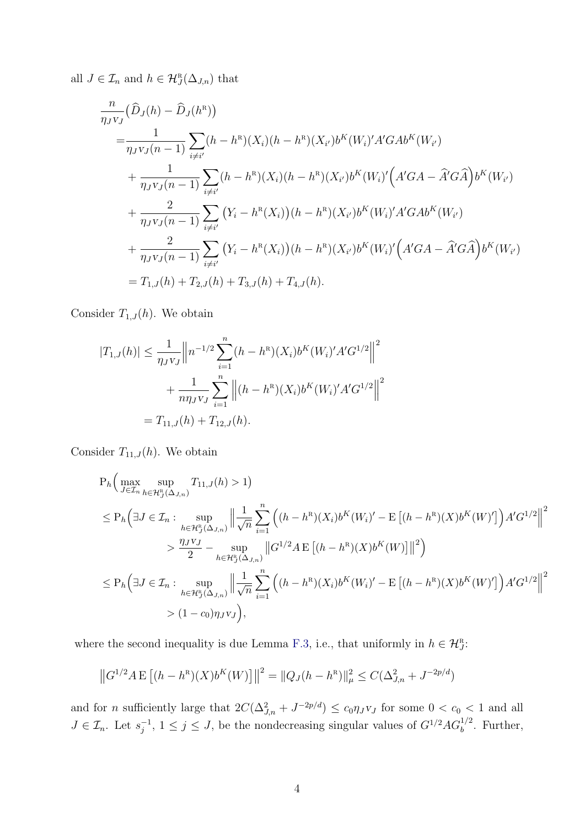all  $J \in \mathcal{I}_n$  and  $h \in \mathcal{H}_J^{\mathbb{R}}(\Delta_{J,n})$  that

$$
\frac{n}{\eta_{J}v_{J}}(\hat{D}_{J}(h) - \hat{D}_{J}(h^{R}))
$$
\n
$$
= \frac{1}{\eta_{J}v_{J}(n-1)} \sum_{i \neq i'} (h - h^{R})(X_{i})(h - h^{R})(X_{i'})b^{K}(W_{i})'A'GAb^{K}(W_{i'})
$$
\n
$$
+ \frac{1}{\eta_{J}v_{J}(n-1)} \sum_{i \neq i'} (h - h^{R})(X_{i})(h - h^{R})(X_{i'})b^{K}(W_{i})' (A'GA - \hat{A}'G\hat{A})b^{K}(W_{i'})
$$
\n
$$
+ \frac{2}{\eta_{J}v_{J}(n-1)} \sum_{i \neq i'} (Y_{i} - h^{R}(X_{i}))(h - h^{R})(X_{i'})b^{K}(W_{i})'A'GAb^{K}(W_{i'})
$$
\n
$$
+ \frac{2}{\eta_{J}v_{J}(n-1)} \sum_{i \neq i'} (Y_{i} - h^{R}(X_{i}))(h - h^{R})(X_{i'})b^{K}(W_{i})' (A'GA - \hat{A}'G\hat{A})b^{K}(W_{i'})
$$
\n
$$
= T_{1,J}(h) + T_{2,J}(h) + T_{3,J}(h) + T_{4,J}(h).
$$

Consider  $T_{1,J}(h)$ . We obtain

$$
|T_{1,J}(h)| \leq \frac{1}{\eta_{J}v_{J}} \left\| n^{-1/2} \sum_{i=1}^{n} (h - h^{R})(X_{i}) b^{K}(W_{i})' A' G^{1/2} \right\|^{2}
$$

$$
+ \frac{1}{n\eta_{J}v_{J}} \sum_{i=1}^{n} \left\| (h - h^{R})(X_{i}) b^{K}(W_{i})' A' G^{1/2} \right\|^{2}
$$

$$
= T_{11,J}(h) + T_{12,J}(h).
$$

Consider  $T_{11,J}(h)$ . We obtain

$$
P_h\Big(\max_{J\in\mathcal{I}_n} \sup_{h\in\mathcal{H}_J^R(\Delta_{J,n})} T_{11,J}(h) > 1\Big)
$$
  
\n
$$
\leq P_h\Big(\exists J \in\mathcal{I}_n : \sup_{h\in\mathcal{H}_J^R(\Delta_{J,n})} \Big\|\frac{1}{\sqrt{n}} \sum_{i=1}^n \Big((h-h^R)(X_i)b^K(W_i)' - \mathbb{E}\left[(h-h^R)(X)b^K(W')'\right]\Big)A'G^{1/2}\Big\|^2
$$
  
\n
$$
> \frac{\eta_J v_J}{2} - \sup_{h\in\mathcal{H}_J^R(\Delta_{J,n})} \left\|G^{1/2}A\mathbb{E}\left[(h-h^R)(X)b^K(W)\right]\right\|^2\Big)
$$
  
\n
$$
\leq P_h\Big(\exists J \in\mathcal{I}_n : \sup_{h\in\mathcal{H}_J^R(\Delta_{J,n})} \Big\|\frac{1}{\sqrt{n}} \sum_{i=1}^n \Big((h-h^R)(X_i)b^K(W_i)' - \mathbb{E}\left[(h-h^R)(X)b^K(W)'\right]\Big)A'G^{1/2}\Big\|^2
$$
  
\n
$$
> (1-c_0)\eta_J v_J\Big),
$$

where the second inequality is due Lemma [F.3,](#page-61-0) i.e., that uniformly in  $h \in \mathcal{H}_J^{\mathbb{R}}$ .

$$
||G^{1/2}A E [(h - h^{R})(X)b^{K}(W)]||^{2} = ||Q_{J}(h - h^{R})||_{\mu}^{2} \leq C(\Delta_{J,n}^{2} + J^{-2p/d})
$$

and for *n* sufficiently large that  $2C(\Delta_{J,n}^2 + J^{-2p/d}) \leq c_0 \eta_J v_J$  for some  $0 < c_0 < 1$  and all  $J \in \mathcal{I}_n$ . Let  $s_i^{-1}$  $j^{-1}$ ,  $1 \leq j \leq J$ , be the nondecreasing singular values of  $G^{1/2}AG_b^{1/2}$ . Further,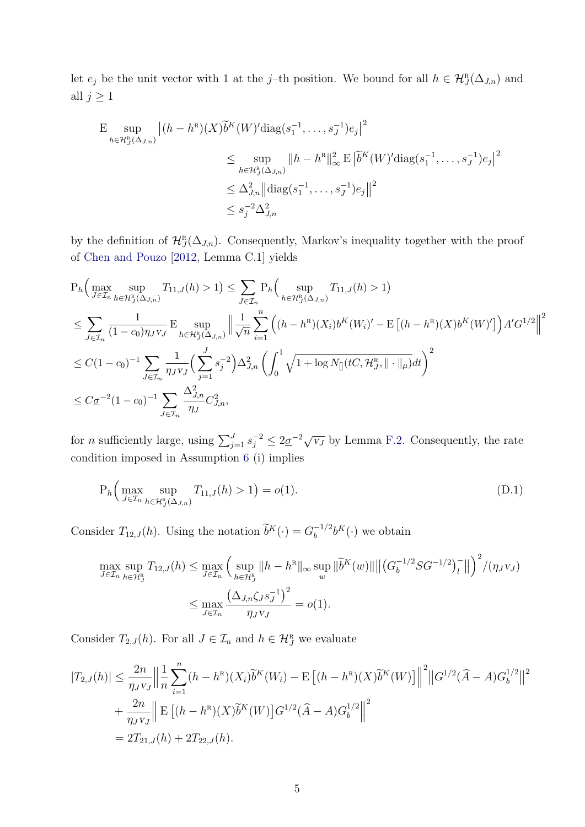let  $e_j$  be the unit vector with 1 at the j-th position. We bound for all  $h \in \mathcal{H}_J^R(\Delta_{J,n})$  and all  $j \geq 1$ 

$$
\begin{split} \mathcal{E} \sup_{h \in \mathcal{H}_{J}^{R}(\Delta_{J,n})} |(h - h^{R})(X)\widetilde{b}^{K}(W)' \text{diag}(s_{1}^{-1}, \dots, s_{J}^{-1}) e_{j}|^{2} \\ &\leq \sup_{h \in \mathcal{H}_{J}^{R}(\Delta_{J,n})} ||h - h^{R}||_{\infty}^{2} \mathcal{E} |\widetilde{b}^{K}(W)' \text{diag}(s_{1}^{-1}, \dots, s_{J}^{-1}) e_{j}|^{2} \\ &\leq \Delta_{J,n}^{2} || \text{diag}(s_{1}^{-1}, \dots, s_{J}^{-1}) e_{j} ||^{2} \\ &\leq s_{j}^{-2} \Delta_{J,n}^{2} \end{split}
$$

by the definition of  $\mathcal{H}^R_J(\Delta_{J,n})$ . Consequently, Markov's inequality together with the proof of [Chen and Pouzo](#page-69-0) [\[2012,](#page-69-0) Lemma C.1] yields

$$
P_h\Big(\max_{J\in\mathcal{I}_n}\sup_{h\in\mathcal{H}_J^{\text{R}}(\Delta_{J,n})}T_{11,J}(h) > 1\Big) \leq \sum_{J\in\mathcal{I}_n} P_h\Big(\sup_{h\in\mathcal{H}_J^{\text{R}}(\Delta_{J,n})}T_{11,J}(h) > 1\Big)
$$
  

$$
\leq \sum_{J\in\mathcal{I}_n}\frac{1}{(1-c_0)\eta_J v_J} \mathbb{E}\sup_{h\in\mathcal{H}_J^{\text{R}}(\Delta_{J,n})} \Big\|\frac{1}{\sqrt{n}} \sum_{i=1}^n \Big((h-h^{\text{R}})(X_i)b^K(W_i)' - \mathbb{E}\left[(h-h^{\text{R}})(X)b^K(W')'\right]\Big)A'G^{1/2}\Big\|^2
$$
  

$$
\leq C(1-c_0)^{-1} \sum_{J\in\mathcal{I}_n}\frac{1}{\eta_J v_J} \Big(\sum_{j=1}^J s_j^{-2}\Big)\Delta_{J,n}^2 \Big(\int_0^1 \sqrt{1 + \log N_{[]}(tC, \mathcal{H}_J^{\text{R}}, \|\cdot\|_{\mu})}dt\Big)^2
$$
  

$$
\leq C\underline{\sigma}^{-2}(1-c_0)^{-1} \sum_{J\in\mathcal{I}_n}\frac{\Delta_{J,n}^2}{\eta_J}C_{J,n}^2,
$$

for *n* sufficiently large, using  $\sum_{j=1}^{J} s_j^{-2} \leq 2 \underline{\sigma}^{-2} \sqrt{v_j}$  by Lemma [F.2.](#page-61-1) Consequently, the rate condition imposed in Assumption [6](#page-46-2) (i) implies

<span id="page-50-0"></span>
$$
P_h\Big(\max_{J\in\mathcal{I}_n}\sup_{h\in\mathcal{H}_J^R(\Delta_{J,n})}T_{11,J}(h)>1\Big)=o(1).
$$
\n(D.1)

Consider  $T_{12,J}(h)$ . Using the notation  $\widetilde{b}^K(\cdot) = G_b^{-1/2}$  $b^{-1/2}b^{K}(\cdot)$  we obtain

$$
\max_{J \in \mathcal{I}_n} \sup_{h \in \mathcal{H}_J^{\text{R}}} T_{12,J}(h) \le \max_{J \in \mathcal{I}_n} \left( \sup_{h \in \mathcal{H}_J^{\text{R}}} \|h - h^{\text{R}}\|_{\infty} \sup_w \|\tilde{b}^K(w)\| \left( |G_b^{-1/2}SG^{-1/2})_l^- \right\| \right)^2 / (\eta_J v_J)
$$
  

$$
\le \max_{J \in \mathcal{I}_n} \frac{\left(\Delta_{J,n} \zeta_J s_J^{-1}\right)^2}{\eta_J v_J} = o(1).
$$

Consider  $T_{2,J}(h)$ . For all  $J \in \mathcal{I}_n$  and  $h \in \mathcal{H}_J^R$  we evaluate

$$
|T_{2,J}(h)| \leq \frac{2n}{\eta_J v_J} \Big\| \frac{1}{n} \sum_{i=1}^n (h - h^R)(X_i) \widetilde{b}^K(W_i) - \mathbb{E} \left[ (h - h^R)(X) \widetilde{b}^K(W) \right] \Big\|^2 \|G^{1/2}(\widehat{A} - A) G_b^{1/2}\|^2
$$
  
+ 
$$
\frac{2n}{\eta_J v_J} \Big\| \mathbb{E} \left[ (h - h^R)(X) \widetilde{b}^K(W) \right] G^{1/2}(\widehat{A} - A) G_b^{1/2} \Big\|^2
$$
  
= 
$$
2T_{21,J}(h) + 2T_{22,J}(h).
$$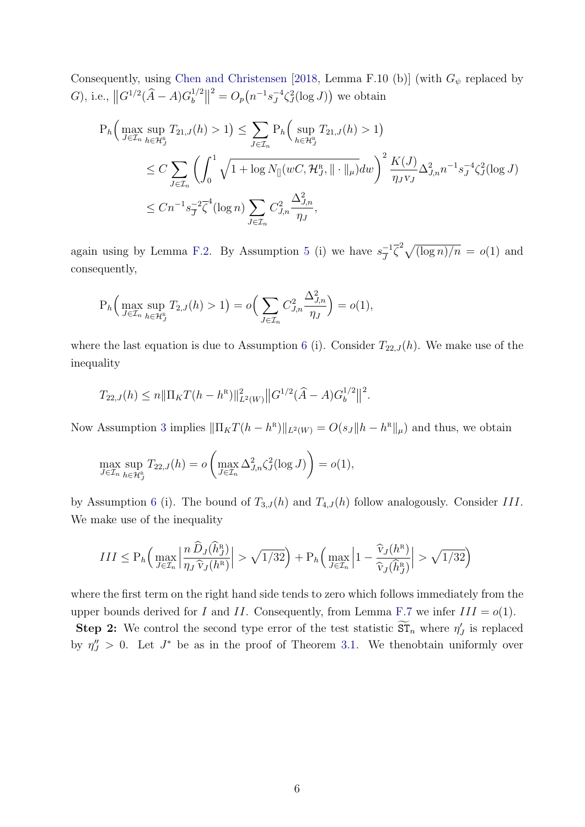Consequently, using [Chen and Christensen](#page-69-1) [\[2018,](#page-69-1) Lemma F.10 (b)] (with  $G_{\psi}$  replaced by G), i.e.,  $||G^{1/2}(\hat{A} - A)G_b^{1/2}$  $\binom{1/2}{b}$  $2^2 = O_p(n^{-1}s_J^{-4})$  $J^4\zeta_J^2(\log J)$  we obtain

$$
P_h\Big(\max_{J\in\mathcal{I}_n} \sup_{h\in\mathcal{H}_J^n} T_{21,J}(h) > 1\Big) \le \sum_{J\in\mathcal{I}_n} P_h\Big(\sup_{h\in\mathcal{H}_J^n} T_{21,J}(h) > 1\Big) \n\le C \sum_{J\in\mathcal{I}_n} \left(\int_0^1 \sqrt{1 + \log N_{\parallel}(wC, \mathcal{H}_J^n, \|\cdot\|_{\mu})} dw\right)^2 \frac{K(J)}{\eta_J v_J} \Delta_{J,n}^2 n^{-1} s_J^{-4} \zeta_J^2(\log J) \n\le C n^{-1} s_J^{-2} \overline{\zeta}^4(\log n) \sum_{J\in\mathcal{I}_n} C_{J,n}^2 \frac{\Delta_{J,n}^2}{\eta_J},
$$

again using by Lemma [F.2.](#page-61-1) By Assumption [5](#page-46-2) (i) we have  $s_{\overline{1}}^{-1}$  $\overline{J}^{-1}\overline{\zeta}^2\sqrt{(\log n)/n} = o(1)$  and consequently,

$$
P_h\Big(\max_{J\in\mathcal{I}_n}\sup_{h\in\mathcal{H}_J^R}T_{2,J}(h)>1\Big)=o\Big(\sum_{J\in\mathcal{I}_n}C_{J,n}^2\frac{\Delta_{J,n}^2}{\eta_J}\Big)=o(1),
$$

where the last equation is due to Assumption [6](#page-46-2) (i). Consider  $T_{22,J}(h)$ . We make use of the inequality

$$
T_{22,J}(h) \leq n \|\Pi_K T(h - h^R)\|_{L^2(W)}^2 \|G^{1/2}(\widehat{A} - A)G_b^{1/2}\|^2.
$$

Now Assumption [3](#page-46-2) implies  $\|\Pi_K T(h - h^R)\|_{L^2(W)} = O(s_J \|h - h^R\|_{\mu})$  and thus, we obtain

$$
\max_{J \in \mathcal{I}_n} \sup_{h \in \mathcal{H}_J^{\text{R}}} T_{22,J}(h) = o\left(\max_{J \in \mathcal{I}_n} \Delta_{J,n}^2 \zeta_J^2(\log J)\right) = o(1),
$$

by Assumption [6](#page-46-2) (i). The bound of  $T_{3,J}(h)$  and  $T_{4,J}(h)$  follow analogously. Consider III. We make use of the inequality

$$
III \le P_h \Big( \max_{J \in \mathcal{I}_n} \Big| \frac{n \,\widehat{D}_J(\widehat{h}_J^R)}{\eta_J \,\widehat{v}_J(h^R)} \Big| > \sqrt{1/32} \Big) + P_h \Big( \max_{J \in \mathcal{I}_n} \Big| 1 - \frac{\widehat{v}_J(h^R)}{\widehat{v}_J(\widehat{h}_J^R)} \Big| > \sqrt{1/32} \Big)
$$

where the first term on the right hand side tends to zero which follows immediately from the upper bounds derived for I and II. Consequently, from Lemma [F.7](#page-66-0) we infer  $III = o(1)$ .

Step 2: We control the second type error of the test statistic  $ST_n$  where  $\eta'_J$  is replaced by  $\eta''_J > 0$ . Let  $J^*$  be as in the proof of Theorem [3.1.](#page-46-2) We thenobtain uniformly over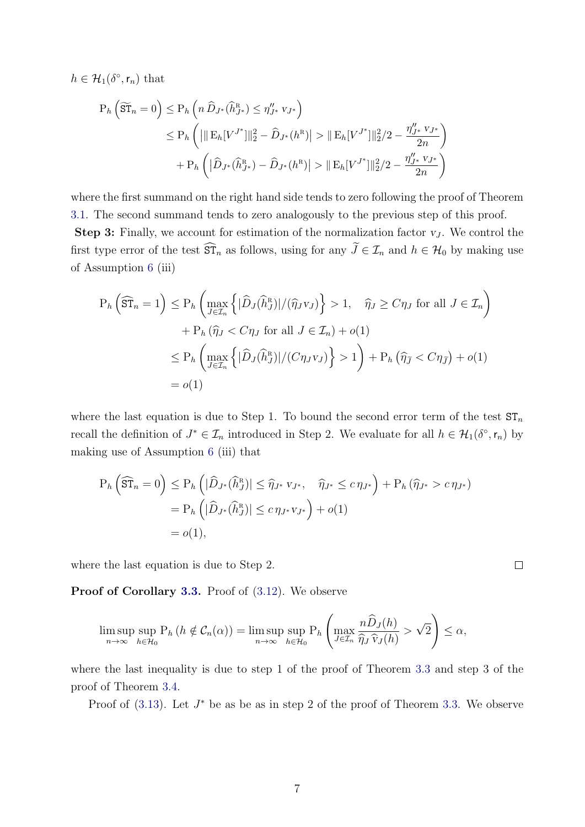$h \in \mathcal{H}_1(\delta^\circ, \mathsf{r}_n)$  that

$$
P_h\left(\widetilde{\mathrm{ST}}_n = 0\right) \le P_h\left(n\,\widehat{D}_{J^*}(\widehat{h}_{J^*}^{\mathrm{R}}) \le \eta_{J^*}'' \, v_{J^*}\right)
$$
  
\n
$$
\le P_h\left(||\mathrm{E}_h[V^{J^*}]\|_2^2 - \widehat{D}_{J^*}(h^{\mathrm{R}})| > ||\mathrm{E}_h[V^{J^*}]\|_2^2/2 - \frac{\eta_{J^*}'' \, v_{J^*}}{2n}\right)
$$
  
\n
$$
+ P_h\left(|\widehat{D}_{J^*}(\widehat{h}_{J^*}^{\mathrm{R}}) - \widehat{D}_{J^*}(h^{\mathrm{R}})| > ||\mathrm{E}_h[V^{J^*}]\|_2^2/2 - \frac{\eta_{J^*}'' \, v_{J^*}}{2n}\right)
$$

where the first summand on the right hand side tends to zero following the proof of Theorem [3.1.](#page-46-2) The second summand tends to zero analogously to the previous step of this proof.

**Step 3:** Finally, we account for estimation of the normalization factor  $v_J$ . We control the first type error of the test  $\widehat{\mathrm{ST}}_n$  as follows, using for any  $\widetilde{J} \in \mathcal{I}_n$  and  $h \in \mathcal{H}_0$  by making use of Assumption [6](#page-46-2) (iii)

$$
P_h\left(\widehat{\mathrm{ST}}_n = 1\right) \le P_h\left(\max_{J \in \mathcal{I}_n} \left\{|\widehat{D}_J(\widehat{h}_J^R)|/(\widehat{\eta}_J v_J)\right\} > 1, \quad \widehat{\eta}_J \ge C\eta_J \text{ for all } J \in \mathcal{I}_n\right) + P_h(\widehat{\eta}_J < C\eta_J \text{ for all } J \in \mathcal{I}_n) + o(1) \le P_h\left(\max_{J \in \mathcal{I}_n} \left\{|\widehat{D}_J(\widehat{h}_J^R)|/(C\eta_J v_J)\right\} > 1\right) + P_h(\widehat{\eta}_J < C\eta_{\widehat{J}}) + o(1) = o(1)
$$

where the last equation is due to Step 1. To bound the second error term of the test  $ST_n$ recall the definition of  $J^* \in \mathcal{I}_n$  introduced in Step 2. We evaluate for all  $h \in \mathcal{H}_1(\delta^{\circ}, \mathsf{r}_n)$  by making use of Assumption [6](#page-46-2) (iii) that

$$
P_h\left(\widehat{\mathrm{ST}}_n = 0\right) \le P_h\left(|\widehat{D}_{J^*}(\widehat{h}_J^R)| \le \widehat{\eta}_{J^*} v_{J^*}, \quad \widehat{\eta}_{J^*} \le c \eta_{J^*}\right) + P_h\left(\widehat{\eta}_{J^*} > c \eta_{J^*}\right)
$$
  
=  $P_h\left(|\widehat{D}_{J^*}(\widehat{h}_J^R)| \le c \eta_{J^*} v_{J^*}\right) + o(1)$   
=  $o(1)$ ,

where the last equation is due to Step 2.

Proof of Corollary [3.3.](#page-46-2) Proof of  $(3.12)$ . We observe

$$
\limsup_{n\to\infty} \sup_{h\in\mathcal{H}_0} P_h\left(h \notin \mathcal{C}_n(\alpha)\right) = \limsup_{n\to\infty} \sup_{h\in\mathcal{H}_0} P_h\left(\max_{J\in\mathcal{I}_n} \frac{n\widehat{D}_J(h)}{\widehat{\eta}_J\widehat{v}_J(h)} > \sqrt{2}\right) \leq \alpha,
$$

where the last inequality is due to step 1 of the proof of Theorem [3.3](#page-46-2) and step 3 of the proof of Theorem [3.4.](#page-46-2)

Proof of  $(3.13)$ . Let  $J^*$  be as be as in step 2 of the proof of Theorem [3.3.](#page-46-2) We observe

 $\Box$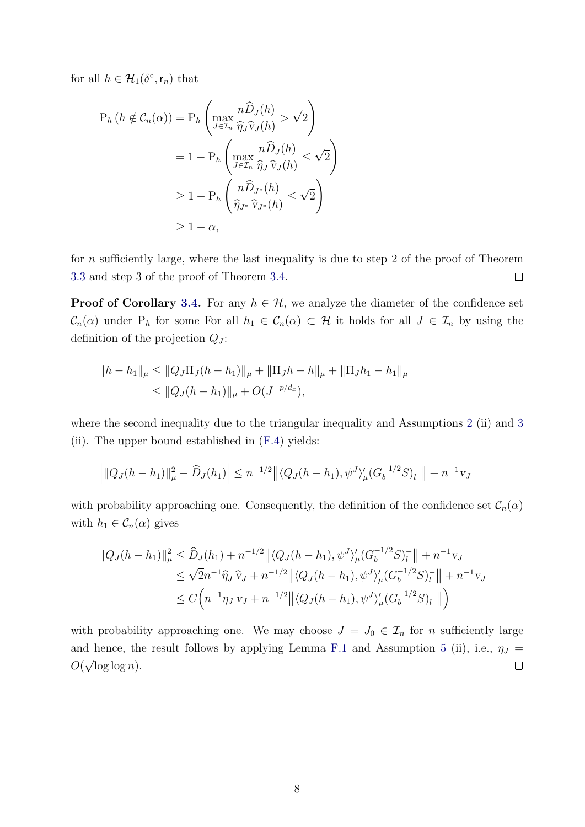for all  $h \in \mathcal{H}_1(\delta^{\circ}, \mathsf{r}_n)$  that

$$
P_h(h \notin C_n(\alpha)) = P_h \left( \max_{J \in \mathcal{I}_n} \frac{n \widehat{D}_J(h)}{\widehat{\eta}_J \widehat{v}_J(h)} > \sqrt{2} \right)
$$
  
=  $1 - P_h \left( \max_{J \in \mathcal{I}_n} \frac{n \widehat{D}_J(h)}{\widehat{\eta}_J \widehat{v}_J(h)} \le \sqrt{2} \right)$   
 $\ge 1 - P_h \left( \frac{n \widehat{D}_{J^*}(h)}{\widehat{\eta}_{J^*} \widehat{v}_{J^*}(h)} \le \sqrt{2} \right)$   
 $\ge 1 - \alpha,$ 

for  $n$  sufficiently large, where the last inequality is due to step 2 of the proof of Theorem [3.3](#page-46-2) and step 3 of the proof of Theorem [3.4.](#page-46-2)  $\Box$ 

**Proof of Corollary [3.4.](#page-46-2)** For any  $h \in \mathcal{H}$ , we analyze the diameter of the confidence set  $\mathcal{C}_n(\alpha)$  under P<sub>h</sub> for some For all  $h_1 \in \mathcal{C}_n(\alpha) \subset \mathcal{H}$  it holds for all  $J \in \mathcal{I}_n$  by using the definition of the projection  $Q_J$ :

$$
||h - h_1||_{\mu} \le ||Q_J \Pi_J (h - h_1)||_{\mu} + ||\Pi_J h - h||_{\mu} + ||\Pi_J h_1 - h_1||_{\mu}
$$
  
\n
$$
\le ||Q_J (h - h_1)||_{\mu} + O(J^{-p/d_x}),
$$

where the second inequality due to the triangular inequality and Assumptions [2](#page-46-2) (ii) and [3](#page-46-2) (ii). The upper bound established in [\(F.4\)](#page-60-0) yields:

$$
\left| \|Q_J(h-h_1)\|_{\mu}^2 - \widehat{D}_J(h_1) \right| \leq n^{-1/2} \left| \left| \langle Q_J(h-h_1), \psi^J \rangle_{\mu}' (G_b^{-1/2} S)_l^- \right| \right| + n^{-1} v_J
$$

with probability approaching one. Consequently, the definition of the confidence set  $\mathcal{C}_n(\alpha)$ with  $h_1 \in C_n(\alpha)$  gives

$$
||Q_{J}(h - h_{1})||_{\mu}^{2} \leq \widehat{D}_{J}(h_{1}) + n^{-1/2} ||\langle Q_{J}(h - h_{1}), \psi^{J}\rangle_{\mu}' (G_{b}^{-1/2}S)_{l}^{-}|| + n^{-1}v_{J}
$$
  
\n
$$
\leq \sqrt{2}n^{-1}\widehat{\eta}_{J}\widehat{v}_{J} + n^{-1/2} ||\langle Q_{J}(h - h_{1}), \psi^{J}\rangle_{\mu}' (G_{b}^{-1/2}S)_{l}^{-}|| + n^{-1}v_{J}
$$
  
\n
$$
\leq C\Big(n^{-1}\eta_{J}v_{J} + n^{-1/2} ||\langle Q_{J}(h - h_{1}), \psi^{J}\rangle_{\mu}' (G_{b}^{-1/2}S)_{l}^{-}||\Big)
$$

with probability approaching one. We may choose  $J = J_0 \in \mathcal{I}_n$  for n sufficiently large and hence, the result follows by applying Lemma [F.1](#page-60-1) and Assumption [5](#page-46-2) (ii), i.e.,  $\eta_J = \Omega(\sqrt{1-\mu})$  $\Box$  $O(\sqrt{\log \log n})$ .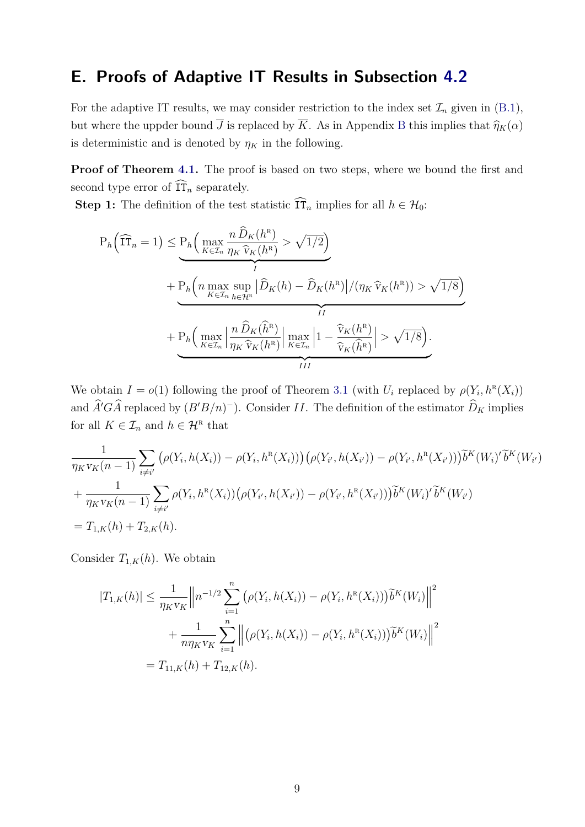### <span id="page-54-0"></span>E. Proofs of Adaptive IT Results in Subsection [4.2](#page-46-2)

For the adaptive IT results, we may consider restriction to the index set  $\mathcal{I}_n$  given in [\(B.1\)](#page-46-2), but where the uppder bound  $\overline{J}$  is replaced by  $\overline{K}$ . As in Appendix [B](#page-46-2) this implies that  $\widehat{\eta}_K(\alpha)$ is deterministic and is denoted by  $\eta_K$  in the following.

Proof of Theorem [4.1.](#page-46-2) The proof is based on two steps, where we bound the first and second type error of  $\widehat{\text{IT}}_n$  separately.

**Step 1:** The definition of the test statistic  $\widehat{\text{IT}}_n$  implies for all  $h \in \mathcal{H}_0$ :

$$
P_h\left(\widehat{\mathrm{IT}}_n = 1\right) \leq \underbrace{P_h\left(\max_{K \in \mathcal{I}_n} \frac{n \widehat{D}_K(h^{\mathrm{R}})}{\eta_K \widehat{v}_K(h^{\mathrm{R}})} > \sqrt{1/2}\right)}_{I} + \underbrace{P_h\left(n \max_{K \in \mathcal{I}_n} \sup_{h \in \mathcal{H}^{\mathrm{R}}}\left|\widehat{D}_K(h) - \widehat{D}_K(h^{\mathrm{R}})\right| / (\eta_K \widehat{v}_K(h^{\mathrm{R}})) > \sqrt{1/8}\right)}_{II} + \underbrace{P_h\left(\max_{K \in \mathcal{I}_n} \left|\frac{n \widehat{D}_K(\widehat{h}^{\mathrm{R}})}{\eta_K \widehat{v}_K(h^{\mathrm{R}})}\right|\max_{K \in \mathcal{I}_n} \left|1 - \frac{\widehat{v}_K(h^{\mathrm{R}})}{\widehat{v}_K(\widehat{h}^{\mathrm{R}})}\right| > \sqrt{1/8}\right)}_{III}.
$$

We obtain  $I = o(1)$  following the proof of Theorem [3.1](#page-46-2) (with  $U_i$  replaced by  $\rho(Y_i, h^R(X_i))$ and  $\hat{A}^{\prime}G\hat{A}$  replaced by  $(B^{\prime}B/n)^{-}$ ). Consider II. The definition of the estimator  $\hat{D}_{K}$  implies for all  $K \in \mathcal{I}_n$  and  $h \in \mathcal{H}^{\mathbb{R}}$  that

$$
\frac{1}{\eta_K v_K(n-1)} \sum_{i \neq i'} \left( \rho(Y_i, h(X_i)) - \rho(Y_i, h^R(X_i)) \right) \left( \rho(Y_{i'}, h(X_{i'})) - \rho(Y_{i'}, h^R(X_{i'})) \right) \widetilde{b}^K(W_i)' \widetilde{b}^K(W_{i'})
$$
\n
$$
+ \frac{1}{\eta_K v_K(n-1)} \sum_{i \neq i'} \rho(Y_i, h^R(X_i)) \left( \rho(Y_{i'}, h(X_{i'})) - \rho(Y_{i'}, h^R(X_{i'})) \right) \widetilde{b}^K(W_i)' \widetilde{b}^K(W_{i'})
$$
\n
$$
= T_{1,K}(h) + T_{2,K}(h).
$$

Consider  $T_{1,K}(h)$ . We obtain

$$
|T_{1,K}(h)| \leq \frac{1}{\eta_K v_K} \left\| n^{-1/2} \sum_{i=1}^n \left( \rho(Y_i, h(X_i)) - \rho(Y_i, h^R(X_i)) \right) \tilde{b}^K(W_i) \right\|^2
$$
  
+ 
$$
\frac{1}{n \eta_K v_K} \sum_{i=1}^n \left\| \left( \rho(Y_i, h(X_i)) - \rho(Y_i, h^R(X_i)) \right) \tilde{b}^K(W_i) \right\|^2
$$
  
=  $T_{11,K}(h) + T_{12,K}(h).$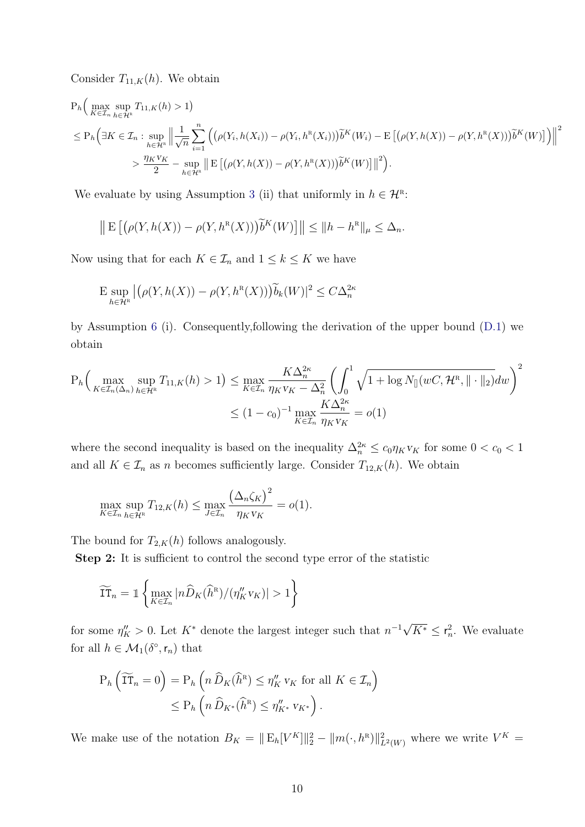Consider  $T_{11,K}(h)$ . We obtain

$$
P_h\Big(\max_{K\in\mathcal{I}_n}\sup_{h\in\mathcal{H}^R}T_{11,K}(h) > 1\Big)
$$
  
\n
$$
\leq P_h\Big(\exists K\in\mathcal{I}_n:\sup_{h\in\mathcal{H}^R}\Big|\Big|\frac{1}{\sqrt{n}}\sum_{i=1}^n\Big(\big(\rho(Y_i,h(X_i))-\rho(Y_i,h^R(X_i))\big)\tilde{b}^K(W_i)-\mathbb{E}\big[\big(\rho(Y,h(X))-\rho(Y,h^R(X))\big)\tilde{b}^K(W)\big]\Big)\Big|\Big|^2
$$
  
\n
$$
> \frac{\eta_K v_K}{2}-\sup_{h\in\mathcal{H}^R}\Big|\mathbb{E}\big[\big(\rho(Y,h(X))-\rho(Y,h^R(X))\big)\tilde{b}^K(W)\big]\Big|\Big|^2\Big).
$$

We evaluate by using Assumption [3](#page-46-2) (ii) that uniformly in  $h \in \mathcal{H}^n$ :

$$
\left\| \mathbf{E} \left[ \left( \rho(Y, h(X)) - \rho(Y, h^{\mathbf{R}}(X)) \right) \widetilde{b}^{K}(W) \right] \right\| \leq \| h - h^{\mathbf{R}} \|_{\mu} \leq \Delta_{n}.
$$

Now using that for each  $K \in \mathcal{I}_n$  and  $1 \leq k \leq K$  we have

$$
\mathbb{E} \sup_{h \in \mathcal{H}^{\mathbb{R}}} \left| \left( \rho(Y, h(X)) - \rho(Y, h^{\mathbb{R}}(X)) \right) \widetilde{b}_{k}(W) \right|^{2} \leq C \Delta_{n}^{2\kappa}
$$

by Assumption [6](#page-46-2) (i). Consequently,following the derivation of the upper bound [\(D.1\)](#page-50-0) we obtain

$$
P_h\Big(\max_{K\in\mathcal{I}_n(\Delta_n)}\sup_{h\in\mathcal{H}^R}T_{11,K}(h)>1\Big)\leq \max_{K\in\mathcal{I}_n}\frac{K\Delta_n^{2\kappa}}{\eta_Kv_K-\Delta_n^2}\left(\int_0^1\sqrt{1+\log N_{[]}(wC,\mathcal{H}^R,\|\cdot\|_2)}dw\right)^2
$$

$$
\leq (1-c_0)^{-1}\max_{K\in\mathcal{I}_n}\frac{K\Delta_n^{2\kappa}}{\eta_Kv_K}=o(1)
$$

where the second inequality is based on the inequality  $\Delta_n^{2k} \leq c_0 \eta_K v_K$  for some  $0 < c_0 < 1$ and all  $K \in \mathcal{I}_n$  as n becomes sufficiently large. Consider  $T_{12,K}(h)$ . We obtain

$$
\max_{K \in \mathcal{I}_n} \sup_{h \in \mathcal{H}^{\mathbb{R}}} T_{12,K}(h) \le \max_{J \in \mathcal{I}_n} \frac{\left(\Delta_n \zeta_K\right)^2}{\eta_K v_K} = o(1).
$$

The bound for  $T_{2,K}(h)$  follows analogously.

Step 2: It is sufficient to control the second type error of the statistic

$$
\widetilde{\text{IT}}_n = \mathbb{1}\left\{\max_{K \in \mathcal{I}_n} |n\widehat{D}_K(\widehat{h}^{\text{R}})/(\eta''_K v_K)| > 1\right\}
$$

for some  $\eta_K'' > 0$ . Let  $K^*$  denote the largest integer such that  $n^{-1}\sqrt{ }$  $\overline{K^*} \leq r_n^2$ . We evaluate for all  $h \in \mathcal{M}_1(\delta^\circ, \mathsf{r}_n)$  that

$$
P_h\left(\widetilde{\mathrm{IT}}_n = 0\right) = P_h\left(n\,\widehat{D}_K(\widehat{h}^R) \le \eta_K''\,v_K \text{ for all } K \in \mathcal{I}_n\right)
$$

$$
\le P_h\left(n\,\widehat{D}_{K^*}(\widehat{h}^R) \le \eta_{K^*}''\,v_{K^*}\right).
$$

We make use of the notation  $B_K = ||E_h[V^K]||_2^2 - ||m(\cdot, h^R)||_{L^2(W)}^2$  where we write  $V^K =$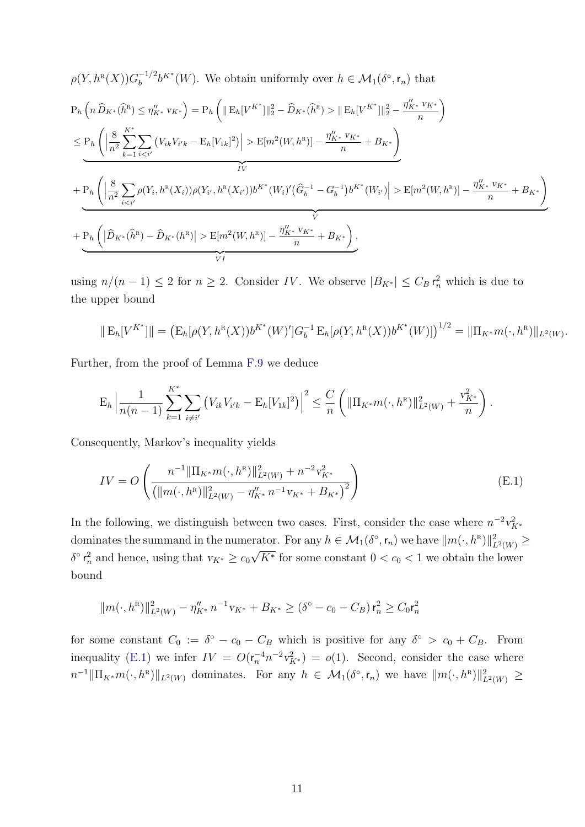$$
\rho(Y, h^{R}(X))G_{b}^{-1/2}b^{K^{*}}(W). \text{ We obtain uniformly over } h \in \mathcal{M}_{1}(\delta^{\circ}, \mathbf{r}_{n}) \text{ that}
$$
\n
$$
P_{h}\left(n\,\widehat{D}_{K^{*}}(\widehat{h}^{R}) \leq \eta_{K^{*}}''v_{K^{*}}\right) = P_{h}\left(\|\mathbf{E}_{h}[V^{K^{*}}]\|_{2}^{2} - \widehat{D}_{K^{*}}(\widehat{h}^{R}) > \|\mathbf{E}_{h}[V^{K^{*}}]\|_{2}^{2} - \frac{\eta_{K^{*}}''v_{K^{*}}}{n}\right)
$$
\n
$$
\leq P_{h}\left(\left|\frac{8}{n^{2}}\sum_{k=1}^{K^{*}}\sum_{i="" +="" -="" \frac{\eta_{k^{*}}''v_{k^{*}}}{n}="" \mathbf{e}[m^{2}(w,="" \mathbf{e}_{h}[v_{1k}]^{2}\right)\right|="" b_{k^{*}}\right)<="" h^{r})]="" math="">\n
$$
+ P_{h}\left(\left|\frac{8}{n^{2}}\sum_{i="" +="" -="" \frac{\eta_{k^{*}}''v_{k^{*}}}{n}="" \mathbf{e}[m^{2}(w,="" b_{k^{*}}\right)<="" g_{b}^{-1}\right)b^{k^{*}}(w_{i'})\right|="" h^{r}(x_{i'}))b^{k^{*}}(w_{i})'\left(\widehat{g}_{b}^{-1}="" h^{r}(x_{i}))\rho(y_{i'},="" h^{r})]="" math="">\n
$$
+ P_{h}\left(\left|\widehat{D}_{K^{*}}(\widehat{h}^{R}) - \widehat{D}_{K^{*}}(h^{R})\right| > \mathbf{E}[m^{2}(W, h^{R})] - \frac{\eta_{K^{*}}''v_{K^{*}}}{n} + B_{K^{*}}\right),
$$
$$
$$

using  $n/(n-1) \leq 2$  for  $n \geq 2$ . Consider IV. We observe  $|B_{K^*}| \leq C_B r_n^2$  which is due to the upper bound

$$
\| \mathcal{E}_h[V^{K^*}] \| = \left( \mathcal{E}_h[\rho(Y, h^{\mathcal{R}}(X)) b^{K^*}(W)'] G_b^{-1} \mathcal{E}_h[\rho(Y, h^{\mathcal{R}}(X)) b^{K^*}(W)] \right)^{1/2} = \| \Pi_{K^*} m(\cdot, h^{\mathcal{R}}) \|_{L^2(W)}.
$$

Further, from the proof of Lemma [F.9](#page-67-1) we deduce

$$
E_h \left| \frac{1}{n(n-1)} \sum_{k=1}^{K^*} \sum_{i \neq i'} \left( V_{ik} V_{i'k} - E_h[V_{1k}]^2 \right) \right|^2 \leq \frac{C}{n} \left( \| \Pi_{K^*} m(\cdot, h^R) \|_{L^2(W)}^2 + \frac{v_{K^*}^2}{n} \right).
$$

Consequently, Markov's inequality yields

<span id="page-56-0"></span>
$$
IV = O\left(\frac{n^{-1} \|\Pi_{K^*} m(\cdot, h^R)\|_{L^2(W)}^2 + n^{-2} v_{K^*}^2}{\left(\|m(\cdot, h^R)\|_{L^2(W)}^2 - \eta_{K^*}'' n^{-1} v_{K^*} + B_{K^*}\right)^2}\right)
$$
(E.1)

In the following, we distinguish between two cases. First, consider the case where  $n^{-2}v_{K^*}^2$ dominates the summand in the numerator. For any  $h \in \mathcal{M}_1(\delta^\circ, \mathsf{r}_n)$  we have  $||m(\cdot, h^R)||_{L^2(W)}^2 \geq$  $\delta^{\circ}$   $\mathsf{r}_n^2$  and hence, using that  $v_{K^*} \geq c_0 \sqrt{K^*}$  for some constant  $0 < c_0 < 1$  we obtain the lower bound

$$
||m(\cdot,h^{R})||_{L^{2}(W)}^{2} - \eta_{K^{*}}'' n^{-1} v_{K^{*}} + B_{K^{*}} \geq (\delta^{\circ} - c_{0} - C_{B}) r_{n}^{2} \geq C_{0} r_{n}^{2}
$$

for some constant  $C_0 := \delta^{\circ} - c_0 - C_B$  which is positive for any  $\delta^{\circ} > c_0 + C_B$ . From inequality [\(E.1\)](#page-56-0) we infer  $IV = O(r_n^{-4}n^{-2}v_{K^*}^2) = o(1)$ . Second, consider the case where  $n^{-1} \|\Pi_{K^*} m(\cdot, h^R)\|_{L^2(W)}$  dominates. For any  $h \in \mathcal{M}_1(\delta^\circ, \mathsf{r}_n)$  we have  $\|m(\cdot, h^R)\|_{L^2(W)}^2 \geq$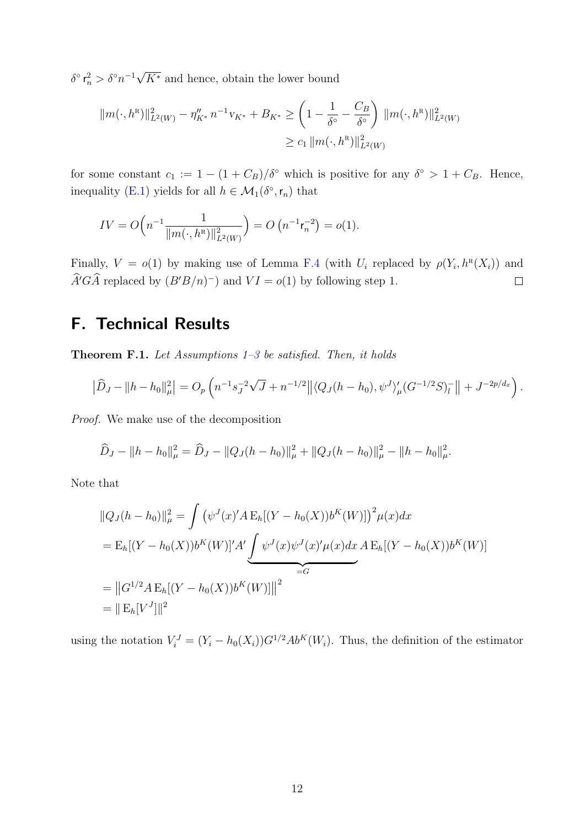δ°  $\mathsf{r}_n^2 > \delta$ °  $n^{-1}\sqrt{2}$  $K^*$  and hence, obtain the lower bound

$$
||m(\cdot,h^R)||_{L^2(W)}^2 - \eta_{K^*}'' n^{-1} v_{K^*} + B_{K^*} \ge \left(1 - \frac{1}{\delta^{\circ}} - \frac{C_B}{\delta^{\circ}}\right) ||m(\cdot,h^R)||_{L^2(W)}^2
$$
  

$$
\ge c_1 ||m(\cdot,h^R)||_{L^2(W)}^2
$$

for some constant  $c_1 := 1 - (1 + C_B)/\delta^{\circ}$  which is positive for any  $\delta^{\circ} > 1 + C_B$ . Hence, inequality [\(E.1\)](#page-56-0) yields for all  $h \in \mathcal{M}_1(\delta^{\circ}, r_n)$  that

$$
IV = O\left(n^{-1} \frac{1}{\|m(\cdot, h^R)\|_{L^2(W)}^2}\right) = O\left(n^{-1} \mathsf{r}_n^{-2}\right) = o(1).
$$

Finally,  $V = o(1)$  by making use of Lemma [F.4](#page-62-0) (with  $U_i$  replaced by  $\rho(Y_i, h^R(X_i))$  and  $\widehat{A}'G\widehat{A}$  replaced by  $(B'B/n)^{-}$  and  $VI = o(1)$  by following step 1.  $\Box$ 

### <span id="page-57-0"></span>F. Technical Results

<span id="page-57-1"></span>**Theorem F.1.** Let Assumptions  $1-3$  be satisfied. Then, it holds

$$
\left|\widehat{D}_J - \|h - h_0\|_{\mu}^2\right| = O_p\left(n^{-1}s_J^{-2}\sqrt{J} + n^{-1/2}\right|\left| \langle Q_J(h - h_0), \psi^J \rangle_{\mu}'(G^{-1/2}S)_l^- \right| + J^{-2p/d_x}\right).
$$

Proof. We make use of the decomposition

$$
\widehat{D}_J - ||h - h_0||_{\mu}^2 = \widehat{D}_J - ||Q_J(h - h_0)||_{\mu}^2 + ||Q_J(h - h_0)||_{\mu}^2 - ||h - h_0||_{\mu}^2.
$$

Note that

$$
||Q_{J}(h - h_{0})||_{\mu}^{2} = \int (\psi^{J}(x)^{'} A E_{h}[(Y - h_{0}(X))b^{K}(W)])^{2} \mu(x) dx
$$
  
=  $E_{h}[(Y - h_{0}(X))b^{K}(W)]^{'} A' \underbrace{\int \psi^{J}(x)\psi^{J}(x)^{\prime}\mu(x) dx A E_{h}[(Y - h_{0}(X))b^{K}(W)]}$   
=  $||G^{1/2} A E_{h}[(Y - h_{0}(X))b^{K}(W)]||^{2}$   
=  $||E_{h}[V^{J}]||^{2}$ 

using the notation  $V_i^J = (Y_i - h_0(X_i))G^{1/2}Ab^K(W_i)$ . Thus, the definition of the estimator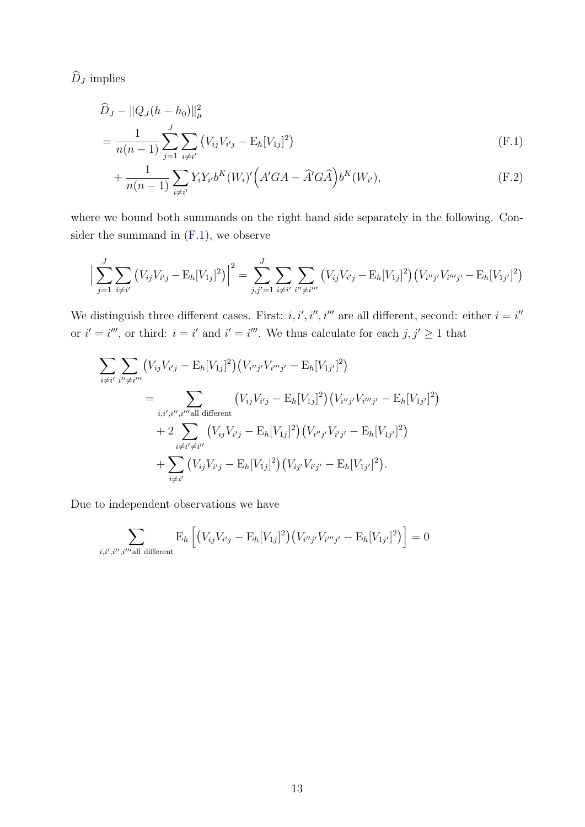$\widehat D_J$  implies

$$
\widehat{D}_J - ||Q_J(h - h_0)||_{\mu}^2
$$
\n
$$
= \frac{1}{n(n-1)} \sum_{j=1}^J \sum_{i \neq i'} \left( V_{ij} V_{i'j} - \mathbf{E}_h[V_{1j}]^2 \right)
$$
\n(F.1)

<span id="page-58-1"></span><span id="page-58-0"></span>
$$
+\frac{1}{n(n-1)}\sum_{i\neq i'}Y_iY_{i'}b^K(W_i)'(A'GA - \widehat{A}'G\widehat{A})b^K(W_{i'}),
$$
\n(F.2)

where we bound both summands on the right hand side separately in the following. Consider the summand in [\(F.1\)](#page-58-0), we observe

$$
\Big|\sum_{j=1}^{J} \sum_{i \neq i'} \left( V_{ij} V_{i'j} - \mathbb{E}_h[V_{1j}]^2 \right) \Big|^2 = \sum_{j,j'=1}^{J} \sum_{i \neq i'} \sum_{i'' \neq i'''} \left( V_{ij} V_{i'j} - \mathbb{E}_h[V_{1j}]^2 \right) \left( V_{i''j'} V_{i'''j'} - \mathbb{E}_h[V_{1j'}]^2 \right)
$$

We distinguish three different cases. First: i, i', i'', i''' are all different, second: either  $i = i'$ or  $i' = i'''$ , or third:  $i = i'$  and  $i' = i'''$ . We thus calculate for each  $j, j' \geq 1$  that

$$
\sum_{i \neq i'} \sum_{i'' \neq i'''} (V_{ij}V_{i'j} - \mathbb{E}_h[V_{1j}]^2) (V_{i''j'}V_{i'''j'} - \mathbb{E}_h[V_{1j'}]^2)
$$
\n
$$
= \sum_{i,i',i'',i'' \text{all different}} (V_{ij}V_{i'j} - \mathbb{E}_h[V_{1j}]^2) (V_{i''j'}V_{i'''j'} - \mathbb{E}_h[V_{1j'}]^2)
$$
\n
$$
+ 2 \sum_{i \neq i' \neq i''} (V_{ij}V_{i'j} - \mathbb{E}_h[V_{1j}]^2) (V_{i''j'}V_{i'j'} - \mathbb{E}_h[V_{1j'}]^2)
$$
\n
$$
+ \sum_{i \neq i'} (V_{ij}V_{i'j} - \mathbb{E}_h[V_{1j}]^2) (V_{ij'}V_{i'j'} - \mathbb{E}_h[V_{1j'}]^2).
$$

Due to independent observations we have

$$
\sum_{i,i',i'',i''\text{all different}} \mathbf{E}_h \left[ \left( V_{ij} V_{i'j} - \mathbf{E}_h [V_{1j}]^2 \right) \left( V_{i''j'} V_{i'''j'} - \mathbf{E}_h [V_{1j'}]^2 \right) \right] = 0
$$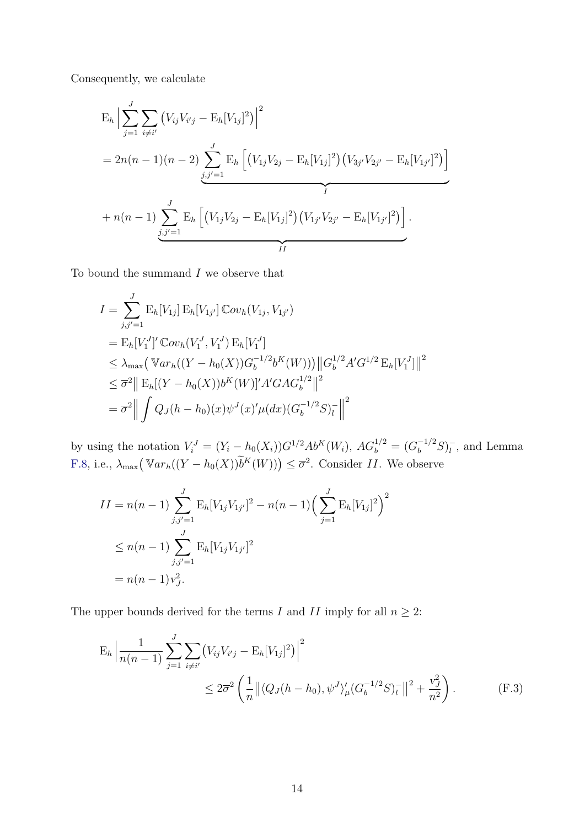Consequently, we calculate

$$
E_h \Big| \sum_{j=1}^{J} \sum_{i \neq i'} (V_{ij} V_{i'j} - E_h[V_{1j}]^2) \Big|^2
$$
  
=  $2n(n-1)(n-2) \sum_{j,j'=1}^{J} E_h \Big[ (V_{1j} V_{2j} - E_h[V_{1j}]^2) (V_{3j'} V_{2j'} - E_h[V_{1j'}]^2) \Big]$   
+  $n(n-1) \sum_{j,j'=1}^{J} E_h \Big[ (V_{1j} V_{2j} - E_h[V_{1j}]^2) (V_{1j'} V_{2j'} - E_h[V_{1j'}]^2) \Big].$ 

To bound the summand  $I$  we observe that

$$
I = \sum_{j,j'=1}^{J} \mathbb{E}_{h}[V_{1j}] \mathbb{E}_{h}[V_{1j'}] \mathbb{C}ov_{h}(V_{1j}, V_{1j'})
$$
  
\n
$$
= \mathbb{E}_{h}[V_{1}^{J}]' \mathbb{C}ov_{h}(V_{1}^{J}, V_{1}^{J}) \mathbb{E}_{h}[V_{1}^{J}]
$$
  
\n
$$
\leq \lambda_{\max} (\mathbb{V}ar_{h}((Y - h_{0}(X))G_{b}^{-1/2}b^{K}(W))) ||G_{b}^{1/2}A'G^{1/2} \mathbb{E}_{h}[V_{1}^{J}]||^{2}
$$
  
\n
$$
\leq \overline{\sigma}^{2} || \mathbb{E}_{h}[(Y - h_{0}(X))b^{K}(W)]'A'GAG_{b}^{1/2} ||^{2}
$$
  
\n
$$
= \overline{\sigma}^{2} || \int Q_{J}(h - h_{0})(x)\psi^{J}(x')'\mu(dx)(G_{b}^{-1/2}S)_{I}^{-} ||^{2}
$$

by using the notation  $V_i^J = (Y_i - h_0(X_i))G^{1/2}Ab^K(W_i)$ ,  $AG_b^{1/2} = (G_b^{-1/2}S)_l^{-1}$  $\overline{l}$ , and Lemma [F.8,](#page-66-1) i.e.,  $\lambda_{\max}(\mathbb{V}ar_h((Y - h_0(X))\tilde{b}^K(W))) \leq \overline{\sigma}^2$ . Consider II. We observe

$$
II = n(n - 1) \sum_{j,j'=1}^{J} E_h[V_{1j}V_{1j'}]^2 - n(n - 1) \left(\sum_{j=1}^{J} E_h[V_{1j}]^2\right)^2
$$
  
\n
$$
\leq n(n - 1) \sum_{j,j'=1}^{J} E_h[V_{1j}V_{1j'}]^2
$$
  
\n
$$
= n(n - 1)v_J^2.
$$

The upper bounds derived for the terms I and II imply for all  $n \geq 2$ :

$$
E_h \left| \frac{1}{n(n-1)} \sum_{j=1}^J \sum_{i \neq i'} \left( V_{ij} V_{i'j} - E_h[V_{1j}]^2 \right) \right|^2
$$
  
 
$$
\leq 2\overline{\sigma}^2 \left( \frac{1}{n} \left\| \langle Q_J(h - h_0), \psi^J \rangle_{\mu} (G_b^{-1/2} S)_l^- \right\|^2 + \frac{v_J^2}{n^2} \right). \tag{F.3}
$$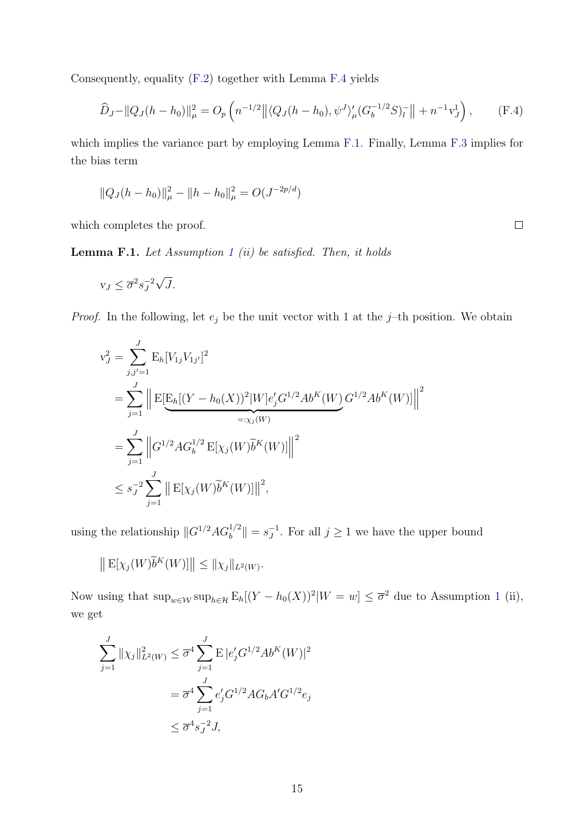Consequently, equality [\(F.2\)](#page-58-1) together with Lemma [F.4](#page-62-0) yields

$$
\widehat{D}_J - ||Q_J(h - h_0)||^2_{\mu} = O_p\left(n^{-1/2} \left| \langle Q_J(h - h_0), \psi^J \rangle_{\mu}' (G_b^{-1/2} S)_l^- \right| \right| + n^{-1} v_J^1\right), \tag{F.4}
$$

which implies the variance part by employing Lemma [F.1.](#page-60-1) Finally, Lemma [F.3](#page-61-0) implies for the bias term

$$
||Q_J(h - h_0)||_{\mu}^2 - ||h - h_0||_{\mu}^2 = O(J^{-2p/d})
$$

which completes the proof.

<span id="page-60-1"></span>**Lemma F.[1](#page-46-2).** Let Assumption 1 (ii) be satisfied. Then, it holds

$$
v_J \le \overline{\sigma}^2 s_J^{-2} \sqrt{J}.
$$

*Proof.* In the following, let  $e_j$  be the unit vector with 1 at the j-th position. We obtain

$$
v_J^2 = \sum_{j,j'=1}^J \mathbb{E}_h[V_{1j}V_{1j'}]^2
$$
  
= 
$$
\sum_{j=1}^J \left\| \mathbb{E}[\mathbb{E}_h[(Y - h_0(X))^2 | W] e_j' G^{1/2} A b^K(W) G^{1/2} A b^K(W)] \right\|^2
$$
  
= 
$$
\sum_{j=1}^J \left\| G^{1/2} A G_b^{1/2} \mathbb{E}[\chi_j(W) \widetilde{b}^K(W)] \right\|^2
$$
  

$$
\leq s_J^{-2} \sum_{j=1}^J \left\| \mathbb{E}[\chi_j(W) \widetilde{b}^K(W)] \right\|^2,
$$

using the relationship  $||G^{1/2}AG_b^{1/2}|| = s_J^{-1}$  $J^{\text{-}1}$ . For all  $j \geq 1$  we have the upper bound

$$
\left\| \mathbf{E}[\chi_j(W)\widetilde{b}^K(W)] \right\| \leq \|\chi_j\|_{L^2(W)}.
$$

Now using that  $\sup_{w \in \mathcal{W}} \sup_{h \in \mathcal{H}} E_h[(Y - h_0(X))^2 | W = w] \leq \overline{\sigma}^2$  due to Assumption [1](#page-46-2) (ii), we get

$$
\sum_{j=1}^{J} ||\chi_j||_{L^2(W)}^2 \leq \overline{\sigma}^4 \sum_{j=1}^{J} E |e'_j G^{1/2} Ab^K(W)|^2
$$
  
=  $\overline{\sigma}^4 \sum_{j=1}^{J} e'_j G^{1/2} AG_b A' G^{1/2} e_j$   
 $\leq \overline{\sigma}^4 s_J^{-2} J,$ 

<span id="page-60-0"></span> $\Box$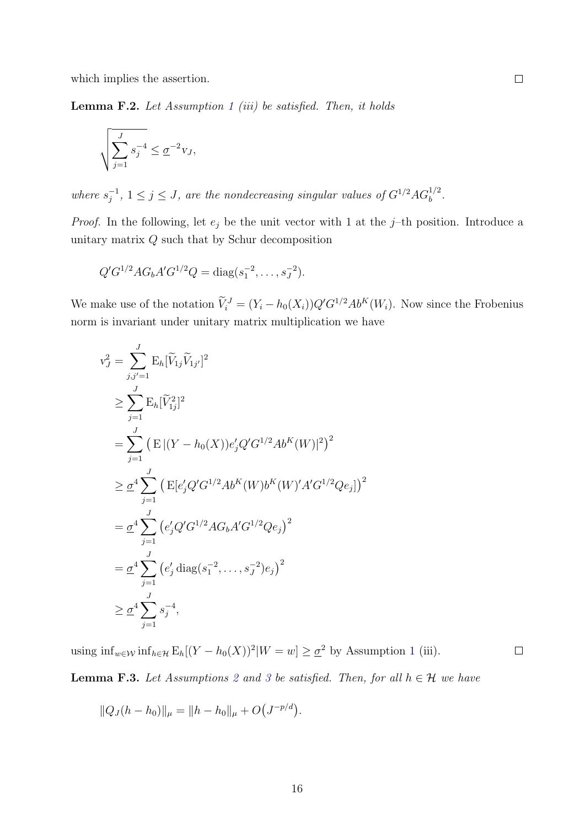which implies the assertion.

<span id="page-61-1"></span>**Lemma F.2.** Let Assumption [1](#page-46-2) (iii) be satisfied. Then, it holds

$$
\sqrt{\sum_{j=1}^J s_j^{-4}} \le \underline{\sigma}^{-2} v_J,
$$

where  $s_i^{-1}$  $j^{-1}$ ,  $1 \leq j \leq J$ , are the nondecreasing singular values of  $G^{1/2} A G_b^{1/2}$ .

*Proof.* In the following, let  $e_j$  be the unit vector with 1 at the j-th position. Introduce a unitary matrix  $Q$  such that by Schur decomposition

$$
Q'G^{1/2}AG_bA'G^{1/2}Q = \text{diag}(s_1^{-2}, \dots, s_J^{-2}).
$$

We make use of the notation  $V_i^J = (Y_i - h_0(X_i))Q'G^{1/2}Ab^K(W_i)$ . Now since the Frobenius norm is invariant under unitary matrix multiplication we have

$$
v_J^2 = \sum_{j,j'=1}^J \mathbb{E}_h[\widetilde{V}_{1j}\widetilde{V}_{1j'}]^2
$$
  
\n
$$
\geq \sum_{j=1}^J \mathbb{E}_h[\widetilde{V}_{1j}^2]^2
$$
  
\n
$$
= \sum_{j=1}^J (\mathbb{E} |(Y - h_0(X))e'_j Q' G^{1/2} Ab^K(W)|^2)^2
$$
  
\n
$$
\geq \underline{\sigma}^4 \sum_{j=1}^J (\mathbb{E}[e'_j Q' G^{1/2} Ab^K(W) b^K(W)' A' G^{1/2} Q e_j])^2
$$
  
\n
$$
= \underline{\sigma}^4 \sum_{j=1}^J (e'_j Q' G^{1/2} AG_b A' G^{1/2} Q e_j)^2
$$
  
\n
$$
= \underline{\sigma}^4 \sum_{j=1}^J (e'_j \operatorname{diag}(s_1^{-2}, \dots, s_J^{-2}) e_j)^2
$$
  
\n
$$
\geq \underline{\sigma}^4 \sum_{j=1}^J s_j^{-4},
$$

using  $\inf_{w \in \mathcal{W}} \inf_{h \in \mathcal{H}} \mathbb{E}_h[(Y - h_0(X))^2 | W = w] \ge \underline{\sigma}^2$  by Assumption [1](#page-46-2) (iii).

 $\Box$ 

<span id="page-61-0"></span>**Lemma F.[3](#page-46-2).** Let Assumptions [2](#page-46-2) and 3 be satisfied. Then, for all  $h \in \mathcal{H}$  we have

$$
||Q_J(h - h_0)||_{\mu} = ||h - h_0||_{\mu} + O(J^{-p/d}).
$$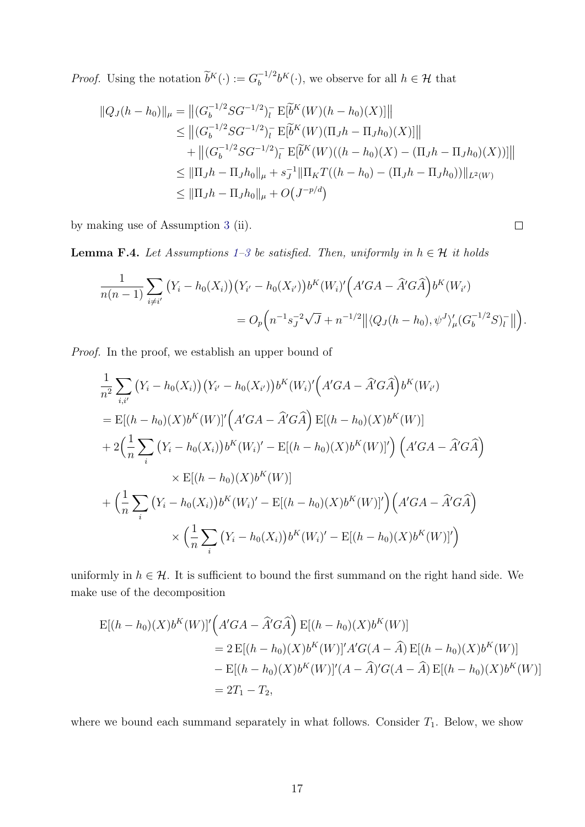*Proof.* Using the notation  $\widetilde{b}^K(\cdot) := G_b^{-1/2}$  $b^{-1/2}b^{K}(\cdot)$ , we observe for all  $h \in \mathcal{H}$  that

$$
||Q_{J}(h - h_{0})||_{\mu} = ||(G_{b}^{-1/2}SG^{-1/2})_{l}^{-} E[\tilde{b}^{K}(W)(h - h_{0})(X)]||
$$
  
\n
$$
\leq ||(G_{b}^{-1/2}SG^{-1/2})_{l}^{-} E[\tilde{b}^{K}(W)(\Pi_{J}h - \Pi_{J}h_{0})(X)]||
$$
  
\n
$$
+ ||(G_{b}^{-1/2}SG^{-1/2})_{l}^{-} E[\tilde{b}^{K}(W)((h - h_{0})(X) - (\Pi_{J}h - \Pi_{J}h_{0})(X))]]||
$$
  
\n
$$
\leq ||\Pi_{J}h - \Pi_{J}h_{0}||_{\mu} + s_{J}^{-1}||\Pi_{K}T((h - h_{0}) - (\Pi_{J}h - \Pi_{J}h_{0}))||_{L^{2}(W)}
$$
  
\n
$$
\leq ||\Pi_{J}h - \Pi_{J}h_{0}||_{\mu} + O(J^{-p/d})
$$

by making use of Assumption [3](#page-46-2) (ii).

<span id="page-62-0"></span>**Lemma F.4.** Let Assumptions [1–3](#page-46-2) be satisfied. Then, uniformly in  $h \in \mathcal{H}$  it holds

$$
\frac{1}{n(n-1)} \sum_{i \neq i'} (Y_i - h_0(X_i)) (Y_{i'} - h_0(X_{i'})) b^K(W_i)' (A'GA - \hat{A}'G\hat{A}) b^K(W_{i'})
$$
  
=  $O_p \Big( n^{-1} s_J^{-2} \sqrt{J} + n^{-1/2} || \langle Q_J(h - h_0), \psi^J \rangle_{\mu} (G_b^{-1/2} S)_l^- || \Big).$ 

 $\Box$ 

Proof. In the proof, we establish an upper bound of

$$
\frac{1}{n^2} \sum_{i,i'} (Y_i - h_0(X_i)) (Y_{i'} - h_0(X_{i'})) b^{K}(W_i)' (A'GA - \hat{A}'G\hat{A}) b^{K}(W_i')
$$
\n
$$
= \mathbb{E}[(h - h_0)(X) b^{K}(W)]' (A'GA - \hat{A}'G\hat{A}) \mathbb{E}[(h - h_0)(X) b^{K}(W)]
$$
\n
$$
+ 2\left(\frac{1}{n}\sum_{i} (Y_i - h_0(X_i)) b^{K}(W_i)' - \mathbb{E}[(h - h_0)(X) b^{K}(W)]'\right) (A'GA - \hat{A}'G\hat{A})
$$
\n
$$
\times \mathbb{E}[(h - h_0)(X) b^{K}(W)]
$$
\n
$$
+ \left(\frac{1}{n}\sum_{i} (Y_i - h_0(X_i)) b^{K}(W_i)' - \mathbb{E}[(h - h_0)(X) b^{K}(W)]'\right) (A'GA - \hat{A}'G\hat{A})
$$
\n
$$
\times \left(\frac{1}{n}\sum_{i} (Y_i - h_0(X_i)) b^{K}(W_i)' - \mathbb{E}[(h - h_0)(X) b^{K}(W)]'\right)
$$

uniformly in  $h \in \mathcal{H}$ . It is sufficient to bound the first summand on the right hand side. We make use of the decomposition

$$
E[(h - h_0)(X)b^{K}(W)]'\left(A'GA - \hat{A}'G\hat{A}\right)E[(h - h_0)(X)b^{K}(W)]
$$
  
=  $2 E[(h - h_0)(X)b^{K}(W)]'A'G(A - \hat{A}) E[(h - h_0)(X)b^{K}(W)]$   
 $- E[(h - h_0)(X)b^{K}(W)]'(A - \hat{A})'G(A - \hat{A}) E[(h - h_0)(X)b^{K}(W)]$   
=  $2T_1 - T_2$ ,

where we bound each summand separately in what follows. Consider  $T_1$ . Below, we show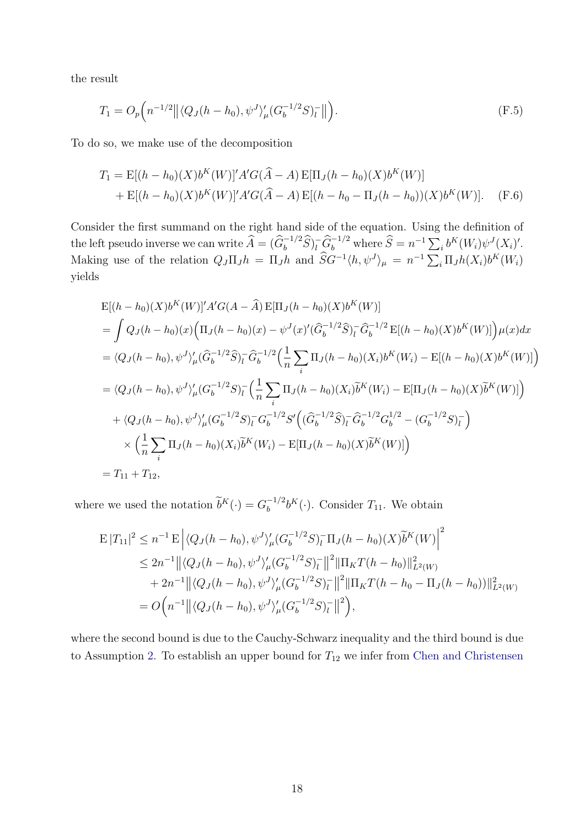the result

<span id="page-63-1"></span>
$$
T_1 = O_p\left(n^{-1/2} \left\| \langle Q_J(h - h_0), \psi^J \rangle_{\mu} (G_b^{-1/2} S)_l^- \right\| \right).
$$
 (F.5)

To do so, we make use of the decomposition

<span id="page-63-0"></span>
$$
T_1 = \mathbb{E}[(h - h_0)(X)b^{K}(W)]'A'G(\hat{A} - A)\mathbb{E}[\Pi_{J}(h - h_0)(X)b^{K}(W)]
$$
  
+  $\mathbb{E}[(h - h_0)(X)b^{K}(W)]'A'G(\hat{A} - A)\mathbb{E}[(h - h_0 - \Pi_{J}(h - h_0))(X)b^{K}(W)].$  (F.6)

Consider the first summand on the right hand side of the equation. Using the definition of the left pseudo inverse we can write  $\widehat{A} = (\widehat{G}_b^{-1/2} \widehat{S})_l^{\dagger} \widehat{G}_b^{-1/2}$  where  $\widehat{S} = n^{-1} \sum_i b^K(W_i) \psi^J(X_i)'$ . Making use of the relation  $Q_J \Pi_J h = \Pi_J h$  and  $\hat{S}G^{-1} \langle h, \psi^J \rangle_\mu = n^{-1} \sum_i \Pi_J h(X_i) b^K(W_i)$ yields

$$
E[(h-h_0)(X)b^{K}(W)]'A'G(A - \hat{A}) E[\Pi_{J}(h-h_0)(X)b^{K}(W)]
$$
  
=  $\int Q_{J}(h-h_0)(x)\Big(\Pi_{J}(h-h_0)(x) - \psi^{J}(x)'\Big(\hat{G}_{b}^{-1/2}\hat{S}\Big)_{l}^{-} \hat{G}_{b}^{-1/2} E[(h-h_0)(X)b^{K}(W)]\Big) \mu(x)dx$   
=  $\langle Q_{J}(h-h_0), \psi^{J}\rangle_{\mu}'(\hat{G}_{b}^{-1/2}\hat{S})_{l}^{-} \hat{G}_{b}^{-1/2} \Big(\frac{1}{n}\sum_{i} \Pi_{J}(h-h_0)(X_{i})b^{K}(W_{i}) - E[(h-h_0)(X)b^{K}(W)]\Big)$   
=  $\langle Q_{J}(h-h_0), \psi^{J}\rangle_{\mu}'(G_{b}^{-1/2}S)_{l}^{-} \Big(\frac{1}{n}\sum_{i} \Pi_{J}(h-h_0)(X_{i})\tilde{b}^{K}(W_{i}) - E[\Pi_{J}(h-h_0)(X)\tilde{b}^{K}(W)]\Big)$   
+  $\langle Q_{J}(h-h_0), \psi^{J}\rangle_{\mu}'(G_{b}^{-1/2}S)_{l}^{-} G_{b}^{-1/2} S' \Big((\hat{G}_{b}^{-1/2}\hat{S})_{l}^{-} \hat{G}_{b}^{-1/2} G_{b}^{1/2} - (\hat{G}_{b}^{-1/2}S)_{l}^{-}\Big)$   
 $\times \Big(\frac{1}{n}\sum_{i} \Pi_{J}(h-h_0)(X_{i})\tilde{b}^{K}(W_{i}) - E[\Pi_{J}(h-h_0)(X)\tilde{b}^{K}(W)]\Big)$   
=  $T_{11} + T_{12}$ ,

where we used the notation  $\widetilde{b}^K(\cdot) = G_b^{-1/2}$  $b_b^{-1/2}b^K(\cdot)$ . Consider  $T_{11}$ . We obtain

$$
\begin{split} \mathcal{E} |T_{11}|^{2} &\leq n^{-1} \mathcal{E} \left| \langle Q_{J}(h-h_{0}), \psi^{J} \rangle_{\mu}^{\prime} (G_{b}^{-1/2}S)_{l}^{-} \Pi_{J}(h-h_{0})(X) \widetilde{b}^{K}(W) \right|^{2} \\ &\leq 2n^{-1} \left| \left| \langle Q_{J}(h-h_{0}), \psi^{J} \rangle_{\mu}^{\prime} (G_{b}^{-1/2}S)_{l}^{-} \right| \right|^{2} \left| \Pi_{K} T(h-h_{0}) \right|_{L^{2}(W)}^{2} \\ &\quad + 2n^{-1} \left| \left| \langle Q_{J}(h-h_{0}), \psi^{J} \rangle_{\mu}^{\prime} (G_{b}^{-1/2}S)_{l}^{-} \right| \right|^{2} \left| \Pi_{K} T(h-h_{0} - \Pi_{J}(h-h_{0})) \right|_{L^{2}(W)}^{2} \\ &= O\Big(n^{-1} \left| \left| \langle Q_{J}(h-h_{0}), \psi^{J} \rangle_{\mu}^{\prime} (G_{b}^{-1/2}S)_{l}^{-} \right|^{2} \Big), \end{split}
$$

where the second bound is due to the Cauchy-Schwarz inequality and the third bound is due to Assumption [2.](#page-46-2) To establish an upper bound for  $T_{12}$  we infer from [Chen and Christensen](#page-69-1)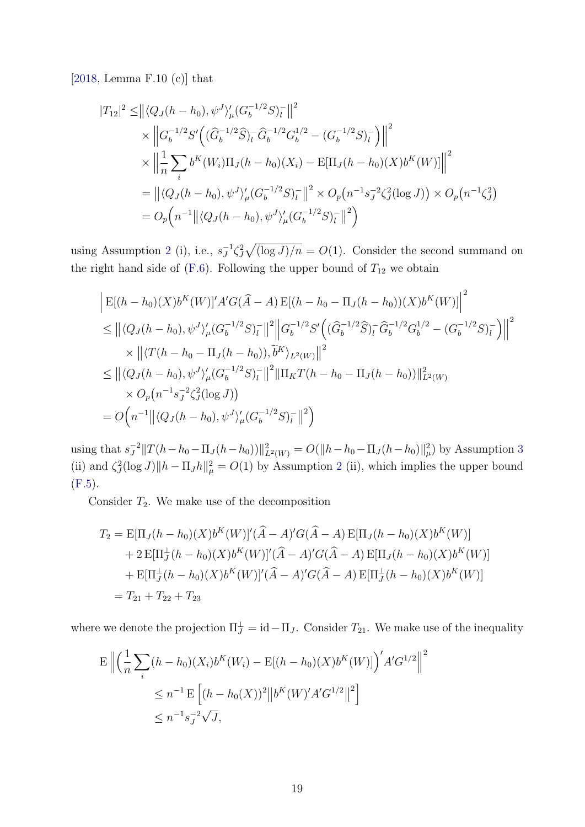[\[2018,](#page-69-1) Lemma F.10 (c)] that

$$
|T_{12}|^2 \le ||\langle Q_J(h-h_0), \psi^J \rangle_{\mu}' (G_b^{-1/2} S)_{l}^- ||^2
$$
  
\n
$$
\times ||G_b^{-1/2} S' \Big( (\hat{G}_b^{-1/2} \hat{S})_{l}^- \hat{G}_b^{-1/2} G_b^{1/2} - (G_b^{-1/2} S)_{l}^- \Big) ||^2
$$
  
\n
$$
\times ||\frac{1}{n} \sum_{i} b^K(W_i) \Pi_J(h-h_0)(X_i) - \mathbb{E}[\Pi_J(h-h_0)(X) b^K(W)] ||^2
$$
  
\n
$$
= ||\langle Q_J(h-h_0), \psi^J \rangle_{\mu}' (G_b^{-1/2} S)_{l}^- ||^2 \times O_p(n^{-1} s_J^{-2} \zeta_J^2(\log J)) \times O_p(n^{-1} \zeta_J^2)
$$
  
\n
$$
= O_p(n^{-1} || \langle Q_J(h-h_0), \psi^J \rangle_{\mu}' (G_b^{-1/2} S)_{l}^- ||^2)
$$

using Assumption [2](#page-46-2) (i), i.e.,  $s_I^{-1}$  $J^1 \zeta_J^2 \sqrt{\left(\log J\right)/n} = O(1)$ . Consider the second summand on the right hand side of [\(F.6\)](#page-63-0). Following the upper bound of  $T_{12}$  we obtain

$$
\begin{aligned}\n&\left| \mathbf{E}[(h-h_0)(X)b^K(W)]' A' G(\hat{A} - A) \mathbf{E}[(h-h_0 - \Pi_J(h-h_0))(X)b^K(W)] \right|^2 \\
&\leq \left\| \langle Q_J(h-h_0), \psi^J \rangle_{\mu}' (G_b^{-1/2} S)_{l}^{-} \right\|^2 \left\| G_b^{-1/2} S' \left( (\hat{G}_b^{-1/2} \hat{S})_{l}^{-} \hat{G}_b^{-1/2} G_b^{1/2} - (G_b^{-1/2} S)_{l}^{-} \right) \right\|^2 \\
&\times \left\| \langle T(h-h_0 - \Pi_J(h-h_0)), \tilde{b}^K \rangle_{L^2(W)} \right\|^2 \\
&\leq \left\| \langle Q_J(h-h_0), \psi^J \rangle_{\mu}' (G_b^{-1/2} S)_{l}^{-} \right\|^2 \left\| \Pi_K T(h-h_0 - \Pi_J(h-h_0)) \right\|_{L^2(W)}^2 \\
&\times O_p(n^{-1} s_J^{-2} \zeta_J^2(\log J)) \\
&= O\Big(n^{-1} \left\| \langle Q_J(h-h_0), \psi^J \rangle_{\mu}' (G_b^{-1/2} S)_{l}^{-} \right\|^2 \Big)\n\end{aligned}
$$

using that  $s_I^{-2}$  $\int_J^2 ||T(h-h_0-\Pi_J(h-h_0))||^2_{L^2(W)} = O(||h-h_0-\Pi_J(h-h_0)||^2_{\mu})$  by Assumption [3](#page-46-2) (ii) and  $\zeta^2 J(\log J) \|h - \Pi_J h\|^2 = O(1)$  $\zeta^2 J(\log J) \|h - \Pi_J h\|^2 = O(1)$  $\zeta^2 J(\log J) \|h - \Pi_J h\|^2 = O(1)$  by Assumption 2 (ii), which implies the upper bound [\(F.5\)](#page-63-1).

Consider  $T_2$ . We make use of the decomposition

$$
T_2 = \mathbb{E}[\Pi_J(h - h_0)(X)b^K(W)]'(\hat{A} - A)'G(\hat{A} - A) \mathbb{E}[\Pi_J(h - h_0)(X)b^K(W)]
$$
  
+ 2  $\mathbb{E}[\Pi_J^{\perp}(h - h_0)(X)b^K(W)]'(\hat{A} - A)'G(\hat{A} - A) \mathbb{E}[\Pi_J(h - h_0)(X)b^K(W)]$   
+  $\mathbb{E}[\Pi_J^{\perp}(h - h_0)(X)b^K(W)]'(\hat{A} - A)'G(\hat{A} - A) \mathbb{E}[\Pi_J^{\perp}(h - h_0)(X)b^K(W)]$   
=  $T_{21} + T_{22} + T_{23}$ 

where we denote the projection  $\Pi_J^{\perp} = \mathrm{id} - \Pi_J$ . Consider  $T_{21}$ . We make use of the inequality

$$
\mathcal{E} \left\| \left( \frac{1}{n} \sum_{i} (h - h_0)(X_i) b^{K}(W_i) - \mathcal{E}[(h - h_0)(X) b^{K}(W)] \right)^{'} A' G^{1/2} \right\|^{2}
$$
  

$$
\leq n^{-1} \mathcal{E} \left[ (h - h_0(X))^2 \left\| b^{K}(W)' A' G^{1/2} \right\|^{2} \right]
$$
  

$$
\leq n^{-1} s_J^{-2} \sqrt{J},
$$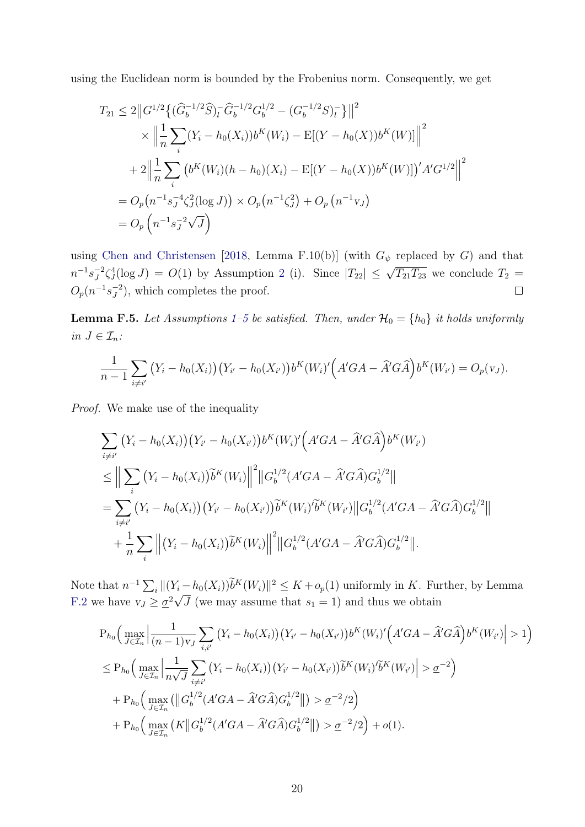using the Euclidean norm is bounded by the Frobenius norm. Consequently, we get

$$
T_{21} \leq 2||G^{1/2}\{(\widehat{G}_{b}^{-1/2}\widehat{S})_{l}^{-}\widehat{G}_{b}^{-1/2}G_{b}^{1/2} - (G_{b}^{-1/2}S)_{l}^{-}\}||^{2}
$$
  
\$\times \left\|\frac{1}{n}\sum\_{i}(Y\_{i} - h\_{0}(X\_{i}))b^{K}(W\_{i}) - \text{E}[(Y - h\_{0}(X))b^{K}(W)]\right\|^{2}  
+ 2\left\|\frac{1}{n}\sum\_{i}(b^{K}(W\_{i})(h - h\_{0})(X\_{i}) - \text{E}[(Y - h\_{0}(X))b^{K}(W)])'A'G^{1/2}\right\|^{2}  
= O\_{p}(n^{-1}s\_{J}^{-4}\zeta\_{J}^{2}(\log J)) \times O\_{p}(n^{-1}\zeta\_{J}^{2}) + O\_{p}(n^{-1}v\_{J})  
= O\_{p}(n^{-1}s\_{J}^{-2}\sqrt{J})

using [Chen and Christensen](#page-69-1) [\[2018,](#page-69-1) Lemma F.10(b)] (with  $G_{\psi}$  replaced by G) and that  $J^2 \zeta_j^4 (\log J) = O(1)$  $J^2 \zeta_j^4 (\log J) = O(1)$  $J^2 \zeta_j^4 (\log J) = O(1)$  by Assumption 2 (i). Since  $|T_{22}| \leq \sqrt{T_{21} T_{23}}$  we conclude  $T_2 =$  $n^{-1} s_J^{-2}$  $O_p(n^{-1}s_J^{-2})$  $\Box$  $J<sup>2</sup>$ ), which completes the proof.

**Lemma F.5.** Let Assumptions [1–5](#page-46-2) be satisfied. Then, under  $\mathcal{H}_0 = \{h_0\}$  it holds uniformly in  $J \in \mathcal{I}_n$ :

$$
\frac{1}{n-1}\sum_{i\neq i'} (Y_i - h_0(X_i))(Y_{i'} - h_0(X_{i'}))b^K(W_i)'(A'GA - \hat{A}'G\hat{A})b^K(W_{i'}) = O_p(v_J).
$$

Proof. We make use of the inequality

$$
\sum_{i \neq i'} (Y_i - h_0(X_i))(Y_{i'} - h_0(X_{i'}))b^K(W_i)'(A'GA - \hat{A}'G\hat{A})b^K(W_{i'})
$$
\n
$$
\leq \Big\| \sum_i (Y_i - h_0(X_i))\tilde{b}^K(W_i) \Big\|^2 \|G_b^{1/2}(A'GA - \hat{A}'G\hat{A})G_b^{1/2}\|
$$
\n
$$
= \sum_{i \neq i'} (Y_i - h_0(X_i))(Y_{i'} - h_0(X_{i'}))\tilde{b}^K(W_i')\tilde{b}^K(W_{i'}) \|G_b^{1/2}(A'GA - \hat{A}'G\hat{A})G_b^{1/2}\|
$$
\n
$$
+ \frac{1}{n} \sum_i \| (Y_i - h_0(X_i))\tilde{b}^K(W_i) \|^2 \|G_b^{1/2}(A'GA - \hat{A}'G\hat{A})G_b^{1/2}\|.
$$

Note that  $n^{-1} \sum_i ||(Y_i - h_0(X_i))b^K(W_i)||^2 \leq K + o_p(1)$  uniformly in K. Further, by Lemma [F.2](#page-61-1) we have  $v_J \geq \frac{\sigma^2}{\sqrt{J}}$  (we may assume that  $s_1 = 1$ ) and thus we obtain

$$
P_{h_0}\Big(\max_{J\in\mathcal{I}_n}\Big|\frac{1}{(n-1)v_J}\sum_{i,i'}\big(Y_i-h_0(X_i)\big)\big(Y_{i'}-h_0(X_{i'})\big)b^K(W_i)'\Big(A'GA-\hat{A}'G\hat{A}\Big)b^K(W_{i'}\Big|>1\Big)
$$
  
\n
$$
\leq P_{h_0}\Big(\max_{J\in\mathcal{I}_n}\Big|\frac{1}{n\sqrt{J}}\sum_{i\neq i'}\big(Y_i-h_0(X_i)\big)\big(Y_{i'}-h_0(X_{i'})\big)\tilde{b}^K(W_i)'\tilde{b}^K(W_{i'})\Big|>\underline{\sigma}^{-2}\Big)
$$
  
\n
$$
+P_{h_0}\Big(\max_{J\in\mathcal{I}_n}\big(\big\|G_b^{1/2}(A'GA-\hat{A}'G\hat{A})G_b^{1/2}\big\|\big)>\underline{\sigma}^{-2}/2\Big)
$$
  
\n
$$
+P_{h_0}\Big(\max_{J\in\mathcal{I}_n}\big(K\big\|G_b^{1/2}(A'GA-\hat{A}'G\hat{A})G_b^{1/2}\big\|\big)>\underline{\sigma}^{-2}/2\Big)+o(1).
$$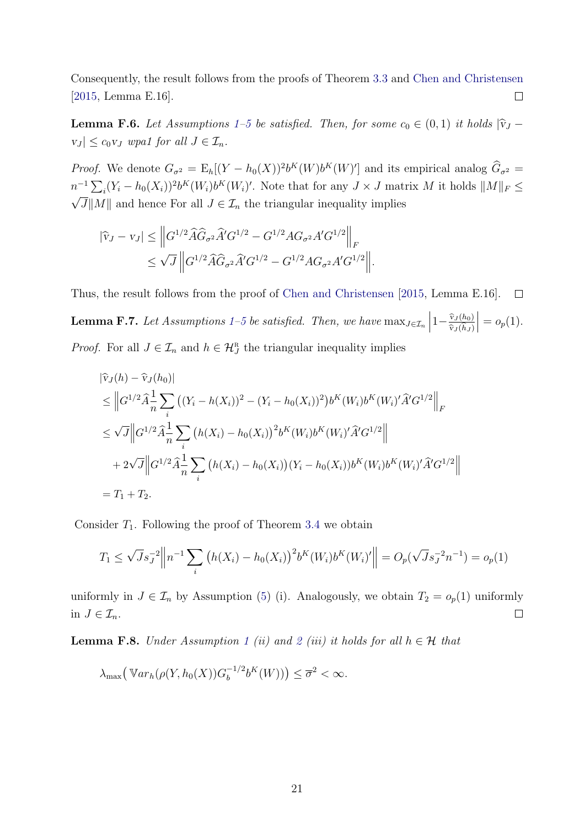Consequently, the result follows from the proofs of Theorem [3.3](#page-46-2) and [Chen and Christensen](#page-69-2) [\[2015,](#page-69-2) Lemma E.16].  $\Box$ 

**Lemma F.6.** Let Assumptions [1–5](#page-46-2) be satisfied. Then, for some  $c_0 \in (0,1)$  it holds  $|\hat{v}_J - \hat{v}_J|$  $|v_J| \leq c_0 v_J$  wpa1 for all  $J \in \mathcal{I}_n$ .

*Proof.* We denote  $G_{\sigma^2} = \mathbb{E}_h[(Y - h_0(X))^2 b^K(W) b^K(W)']$  and its empirical analog  $\hat{G}_{\sigma^2} =$  $n^{-1} \sum_i (Y_i - h_0(X_i))^2 b^K(W_i) b^K(W_i)'$ . Note that for any  $J \times J$  matrix M it holds  $||M||_F \leq$  $\sqrt{J}||M||$  and hence For all  $J \in \mathcal{I}_n$  the triangular inequality implies

$$
|\widehat{v}_J - v_J| \leq \left\| G^{1/2} \widehat{A} \widehat{G}_{\sigma^2} \widehat{A}' G^{1/2} - G^{1/2} A G_{\sigma^2} A' G^{1/2} \right\|_F
$$
  

$$
\leq \sqrt{J} \left\| G^{1/2} \widehat{A} \widehat{G}_{\sigma^2} \widehat{A}' G^{1/2} - G^{1/2} A G_{\sigma^2} A' G^{1/2} \right\|.
$$

Thus, the result follows from the proof of [Chen and Christensen](#page-69-2) [\[2015,](#page-69-2) Lemma E.16].  $\Box$ 

<span id="page-66-0"></span>**Lemma F.7.** Let Assumptions [1–5](#page-46-2) be satisfied. Then, we have  $\max_{J \in \mathcal{I}_n}$  $1-\frac{\widehat{v}_J(h_0)}{\widehat{c_1(h_0)}}$  $\widehat{\mathrm{v}}_J(h_J)$  $= o_p(1).$ *Proof.* For all  $J \in \mathcal{I}_n$  and  $h \in \mathcal{H}_J^{\mathbb{R}}$  the triangular inequality implies

$$
\begin{split}\n|\hat{\mathbf{v}}_{J}(h) - \hat{\mathbf{v}}_{J}(h_{0})| \\
&\leq \left\| G^{1/2} \hat{A}_{\overline{n}}^{\frac{1}{2}} \sum_{i} \left( (Y_{i} - h(X_{i}))^{2} - (Y_{i} - h_{0}(X_{i}))^{2} \right) b^{K}(W_{i}) b^{K}(W_{i})' \hat{A}' G^{1/2} \right\|_{F} \\
&\leq \sqrt{J} \left\| G^{1/2} \hat{A}_{\overline{n}}^{\frac{1}{2}} \sum_{i} \left( h(X_{i}) - h_{0}(X_{i}) \right)^{2} b^{K}(W_{i}) b^{K}(W_{i})' \hat{A}' G^{1/2} \right\| \\
&\quad + 2\sqrt{J} \left\| G^{1/2} \hat{A}_{\overline{n}}^{\frac{1}{2}} \sum_{i} \left( h(X_{i}) - h_{0}(X_{i}) \right) (Y_{i} - h_{0}(X_{i})) b^{K}(W_{i}) b^{K}(W_{i})' \hat{A}' G^{1/2} \right\| \\
&= T_{1} + T_{2}.\n\end{split}
$$

Consider  $T_1$ . Following the proof of Theorem [3.4](#page-46-2) we obtain

$$
T_1 \leq \sqrt{J} s_J^{-2} \left\| n^{-1} \sum_i \left( h(X_i) - h_0(X_i) \right)^2 b^K(W_i) b^K(W_i)' \right\| = O_p(\sqrt{J} s_J^{-2} n^{-1}) = o_p(1)
$$

uniformly in  $J \in \mathcal{I}_n$  by Assumption [\(5\)](#page-46-2) (i). Analogously, we obtain  $T_2 = o_p(1)$  uniformly  $\Box$ in  $J \in \mathcal{I}_n$ .

<span id="page-66-1"></span>**Lemma F.8.** Under Assumption [1](#page-46-2) (ii) and [2](#page-46-2) (iii) it holds for all  $h \in \mathcal{H}$  that

$$
\lambda_{\max} \big( \mathbb{V}ar_h(\rho(Y, h_0(X))G_b^{-1/2}b^K(W)) \big) \leq \overline{\sigma}^2 < \infty.
$$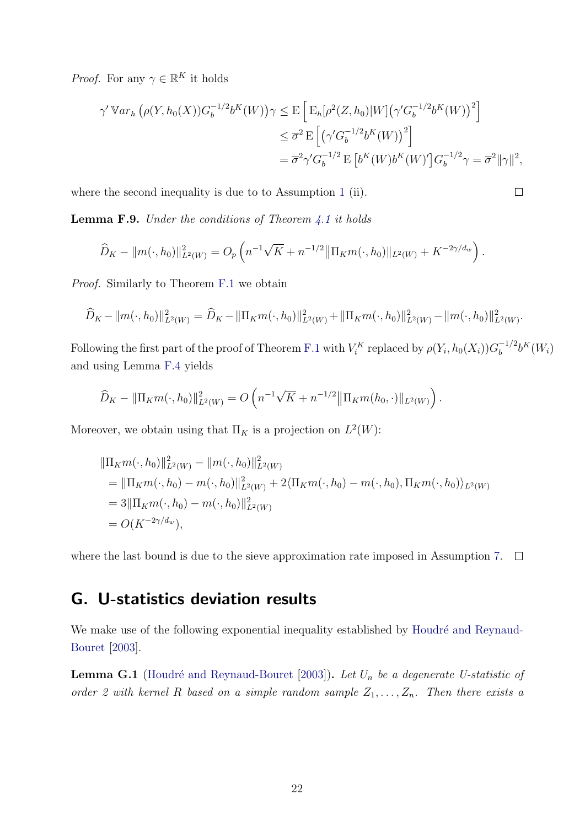*Proof.* For any  $\gamma \in \mathbb{R}^K$  it holds

$$
\gamma' \mathbb{V}ar_h \left( \rho(Y, h_0(X)) G_b^{-1/2} b^K(W) \right) \gamma \leq E \left[ E_h[\rho^2(Z, h_0)|W] \left( \gamma' G_b^{-1/2} b^K(W) \right)^2 \right]
$$
  

$$
\leq \overline{\sigma}^2 E \left[ \left( \gamma' G_b^{-1/2} b^K(W) \right)^2 \right]
$$
  

$$
= \overline{\sigma}^2 \gamma' G_b^{-1/2} E \left[ b^K(W) b^K(W) \right] G_b^{-1/2} \gamma = \overline{\sigma}^2 ||\gamma||^2,
$$

 $\Box$ 

where the second inequality is due to to Assumption [1](#page-46-2) (ii).

<span id="page-67-1"></span>**Lemma F.9.** Under the conditions of Theorem  $4.1$  it holds

$$
\widehat{D}_K - ||m(\cdot, h_0)||_{L^2(W)}^2 = O_p\left(n^{-1}\sqrt{K} + n^{-1/2} ||\Pi_K m(\cdot, h_0)||_{L^2(W)} + K^{-2\gamma/d_w}\right).
$$

Proof. Similarly to Theorem [F.1](#page-57-1) we obtain

$$
\widehat{D}_K - ||m(\cdot, h_0)||_{L^2(W)}^2 = \widehat{D}_K - ||\Pi_K m(\cdot, h_0)||_{L^2(W)}^2 + ||\Pi_K m(\cdot, h_0)||_{L^2(W)}^2 - ||m(\cdot, h_0)||_{L^2(W)}^2.
$$

Following the first part of the proof of Theorem [F.1](#page-57-1) with  $V_i^K$  replaced by  $\rho(Y_i, h_0(X_i))G_b^{-1/2}$  $b^{-1/2}b^{K}(W_{i})$ and using Lemma [F.4](#page-62-0) yields

$$
\widehat{D}_K - ||\Pi_K m(\cdot, h_0)||_{L^2(W)}^2 = O\left(n^{-1}\sqrt{K} + n^{-1/2} ||\Pi_K m(h_0, \cdot)||_{L^2(W)}\right).
$$

Moreover, we obtain using that  $\Pi_K$  is a projection on  $L^2(W)$ :

$$
\begin{aligned} &\|\Pi_K m(\cdot, h_0)\|_{L^2(W)}^2 - \|m(\cdot, h_0)\|_{L^2(W)}^2 \\ &= \|\Pi_K m(\cdot, h_0) - m(\cdot, h_0)\|_{L^2(W)}^2 + 2\langle\Pi_K m(\cdot, h_0) - m(\cdot, h_0), \Pi_K m(\cdot, h_0)\rangle_{L^2(W)} \\ &= 3\|\Pi_K m(\cdot, h_0) - m(\cdot, h_0)\|_{L^2(W)}^2 \\ &= O(K^{-2\gamma/d_w}), \end{aligned}
$$

where the last bound is due to the sieve approximation rate imposed in Assumption [7.](#page-46-2)  $\Box$ 

### <span id="page-67-0"></span>G. U-statistics deviation results

We make use of the following exponential inequality established by Houdré and Reynaud-[Bouret](#page-69-3) [\[2003\]](#page-69-3).

**Lemma G.1** (Houdré and Reynaud-Bouret [\[2003\]](#page-69-3)). Let  $U_n$  be a degenerate U-statistic of order 2 with kernel R based on a simple random sample  $Z_1, \ldots, Z_n$ . Then there exists a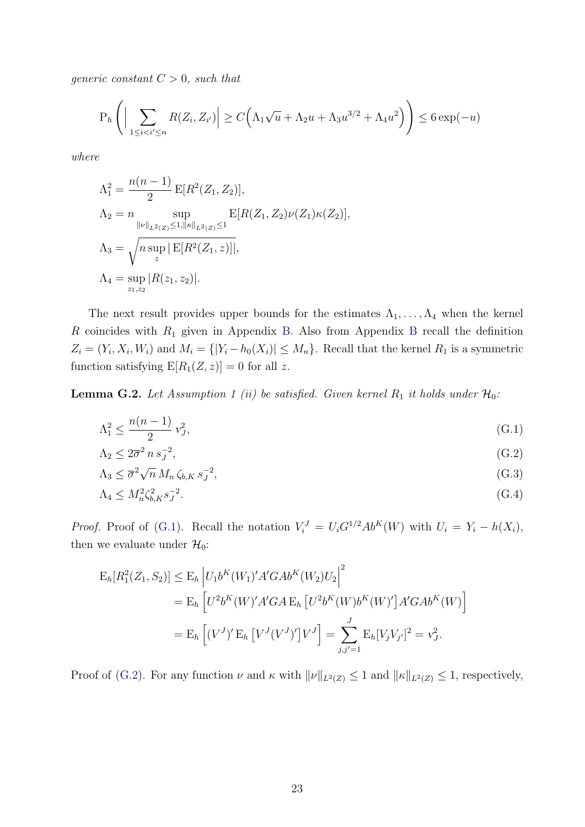generic constant  $C > 0$ , such that

$$
P_h\left(\Big|\sum_{1\leq i
$$

where

$$
\Lambda_1^2 = \frac{n(n-1)}{2} \mathbb{E}[R^2(Z_1, Z_2)],
$$
  
\n
$$
\Lambda_2 = n \sup_{\|\nu\|_{L^2(Z)} \le 1, \|\kappa\|_{L^2(Z)} \le 1} \mathbb{E}[R(Z_1, Z_2)\nu(Z_1)\kappa(Z_2)],
$$
  
\n
$$
\Lambda_3 = \sqrt{n \sup_z |\mathbb{E}[R^2(Z_1, z)]|},
$$
  
\n
$$
\Lambda_4 = \sup_{z_1, z_2} |R(z_1, z_2)|.
$$

The next result provides upper bounds for the estimates  $\Lambda_1, \ldots, \Lambda_4$  when the kernel  $R$  coincides with  $R_1$  given in Appendix [B.](#page-46-2) Also from Appendix [B](#page-46-2) recall the definition  $Z_i = (Y_i, X_i, W_i)$  and  $M_i = \{ |Y_i - h_0(X_i)| \leq M_n \}$ . Recall that the kernel  $R_1$  is a symmetric function satisfying  $E[R_1(Z, z)] = 0$  for all z.

**Lemma G.2.** Let Assumption [1](#page-46-2) (ii) be satisfied. Given kernel  $R_1$  it holds under  $\mathcal{H}_0$ :

$$
\Lambda_1^2 \le \frac{n(n-1)}{2} v_J^2,\tag{G.1}
$$

<span id="page-68-2"></span><span id="page-68-1"></span><span id="page-68-0"></span>
$$
\Lambda_2 \le 2\overline{\sigma}^2 n s_J^{-2},\tag{G.2}
$$

$$
\Lambda_3 \leq \overline{\sigma}^2 \sqrt{n} \, M_n \, \zeta_{b,K} \, s_J^{-2},\tag{G.3}
$$

<span id="page-68-3"></span>
$$
\Lambda_4 \le M_n^2 \zeta_{b,K}^2 s_J^{-2}.\tag{G.4}
$$

*Proof.* Proof of [\(G.1\)](#page-68-0). Recall the notation  $V_i^J = U_i G^{1/2} Ab^K(W)$  with  $U_i = Y_i - h(X_i)$ , then we evaluate under  $\mathcal{H}_0$ :

$$
E_h[R_1^2(Z_1, S_2)] \le E_h \left| U_1 b^K(W_1)' A' G A b^K(W_2) U_2 \right|^2
$$
  
=  $E_h \left[ U^2 b^K(W)' A' G A E_h \left[ U^2 b^K(W) b^K(W)' \right] A' G A b^K(W) \right]$   
=  $E_h \left[ (V^J)' E_h \left[ V^J(V^J)' \right] V^J \right] = \sum_{j,j'=1}^J E_h [V_j V_{j'}]^2 = v_J^2.$ 

Proof of [\(G.2\)](#page-68-1). For any function  $\nu$  and  $\kappa$  with  $\|\nu\|_{L^2(Z)} \leq 1$  and  $\|\kappa\|_{L^2(Z)} \leq 1$ , respectively,